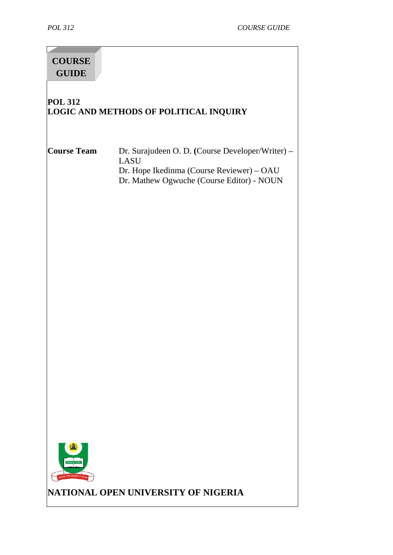# **COURSE GUIDE**

# **POL 312 LOGIC AND METHODS OF POLITICAL INQUIRY**

**Course Team** Dr. Surajudeen O. D. **(**Course Developer/Writer) – LASU Dr. Hope Ikedinma (Course Reviewer) – OAU Dr. Mathew Ogwuche (Course Editor) - NOUN



**NATIONAL OPEN UNIVERSITY OF NIGERIA**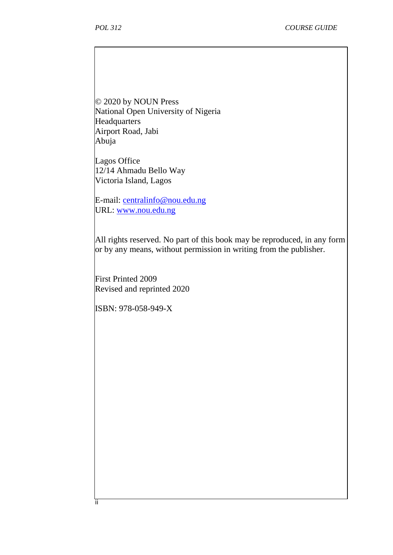© 2020 by NOUN Press National Open University of Nigeria **Headquarters** Airport Road, Jabi Abuja

Lagos Office 12/14 Ahmadu Bello Way Victoria Island, Lagos

E-mail: centralinfo@nou.edu.ng URL: www.nou.edu.ng

All rights reserved. No part of this book may be reproduced, in any form or by any means, without permission in writing from the publisher.

First Printed 2009 Revised and reprinted 2020

ISBN: 978-058-949-X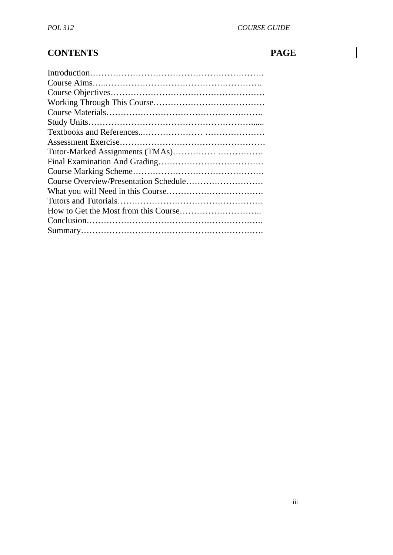# **CONTENTS PAGE**

 $\overline{\phantom{a}}$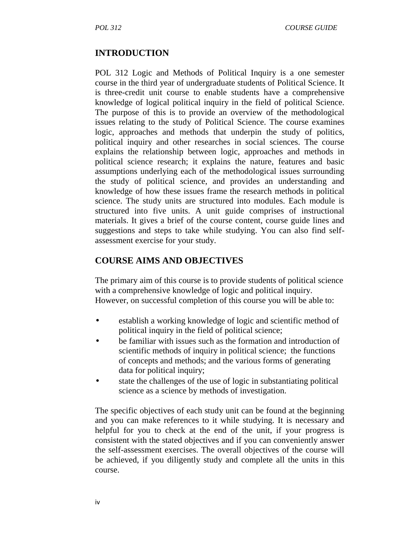#### **INTRODUCTION**

POL 312 Logic and Methods of Political Inquiry is a one semester course in the third year of undergraduate students of Political Science. It is three-credit unit course to enable students have a comprehensive knowledge of logical political inquiry in the field of political Science. The purpose of this is to provide an overview of the methodological issues relating to the study of Political Science. The course examines logic, approaches and methods that underpin the study of politics, political inquiry and other researches in social sciences. The course explains the relationship between logic, approaches and methods in political science research; it explains the nature, features and basic assumptions underlying each of the methodological issues surrounding the study of political science, and provides an understanding and knowledge of how these issues frame the research methods in political science. The study units are structured into modules. Each module is structured into five units. A unit guide comprises of instructional materials. It gives a brief of the course content, course guide lines and suggestions and steps to take while studying. You can also find self assessment exercise for your study.

#### **COURSE AIMS AND OBJECTIVES**

The primary aim of this course is to provide students of political science with a comprehensive knowledge of logic and political inquiry. However, on successful completion of this course you will be able to:

- establish a working knowledge of logic and scientific method of political inquiry in the field of political science;
- be familiar with issues such as the formation and introduction of scientific methods of inquiry in political science; the functions of concepts and methods; and the various forms of generating data for political inquiry;
- state the challenges of the use of logic in substantiating political science as a science by methods of investigation.

The specific objectives of each study unit can be found at the beginning and you can make references to it while studying. It is necessary and helpful for you to check at the end of the unit, if your progress is consistent with the stated objectives and if you can conveniently answer the self-assessment exercises. The overall objectives of the course will be achieved, if you diligently study and complete all the units in this course.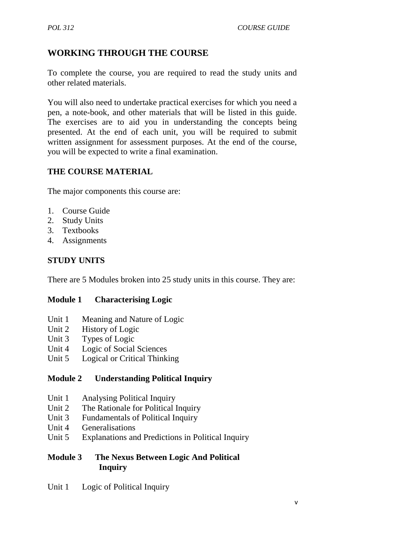# **WORKING THROUGH THE COURSE**

To complete the course, you are required to read the study units and other related materials.

You will also need to undertake practical exercises for which you need a pen, a note-book, and other materials that will be listed in this guide. The exercises are to aid you in understanding the concepts being presented. At the end of each unit, you will be required to submit written assignment for assessment purposes. At the end of the course, you will be expected to write a final examination.

### **THE COURSE MATERIAL**

The major components this course are:

- 1. Course Guide
- 2. Study Units
- 3. Textbooks
- 4. Assignments

### **STUDY UNITS**

There are 5 Modules broken into 25 study units in this course. They are:

#### **Module 1 Characterising Logic**

- Unit 1 Meaning and Nature of Logic
- Unit 2 History of Logic
- Unit 3 Types of Logic
- Unit 4 Logic of Social Sciences
- Unit 5 Logical or Critical Thinking

#### **Module 2 Understanding Political Inquiry**

- Unit 1 Analysing Political Inquiry
- Unit 2 The Rationale for Political Inquiry
- Unit 3 Fundamentals of Political Inquiry
- Unit 4 Generalisations
- Unit 5 Explanations and Predictions in Political Inquiry

#### **Module 3 The Nexus Between Logic And Political Inquiry**

Unit 1 Logic of Political Inquiry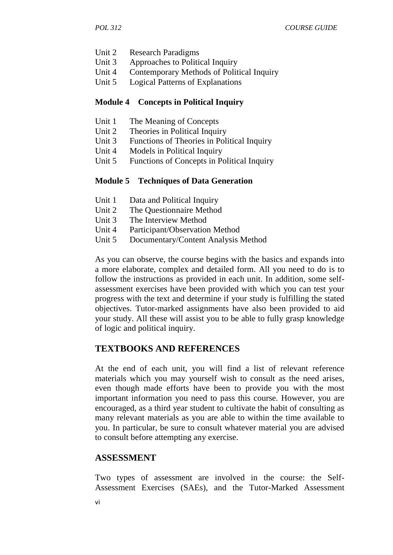- Unit 2 Research Paradigms
- Unit 3 Approaches to Political Inquiry
- Unit 4 Contemporary Methods of Political Inquiry
- Unit 5 Logical Patterns of Explanations

#### **Module 4 Concepts in Political Inquiry**

- Unit 1 The Meaning of Concepts
- Unit 2 Theories in Political Inquiry
- Unit 3 Functions of Theories in Political Inquiry
- Unit 4 Models in Political Inquiry
- Unit 5 Functions of Concepts in Political Inquiry

#### **Module 5 Techniques of Data Generation**

- Unit 1 Data and Political Inquiry
- Unit 2 The Questionnaire Method
- Unit 3 The Interview Method
- Unit 4 Participant/Observation Method
- Unit 5 Documentary/Content Analysis Method

As you can observe, the course begins with the basics and expands into a more elaborate, complex and detailed form. All you need to do is to follow the instructions as provided in each unit. In addition, some self assessment exercises have been provided with which you can test your progress with the text and determine if your study is fulfilling the stated objectives. Tutor-marked assignments have also been provided to aid your study. All these will assist you to be able to fully grasp knowledge of logic and political inquiry.

#### **TEXTBOOKS AND REFERENCES**

At the end of each unit, you will find a list of relevant reference materials which you may yourself wish to consult as the need arises, even though made efforts have been to provide you with the most important information you need to pass this course. However, you are encouraged, as a third year student to cultivate the habit of consulting as many relevant materials as you are able to within the time available to you. In particular, be sure to consult whatever material you are advised to consult before attempting any exercise.

#### **ASSESSMENT**

Two types of assessment are involved in the course: the Self- Assessment Exercises (SAEs), and the Tutor-Marked Assessment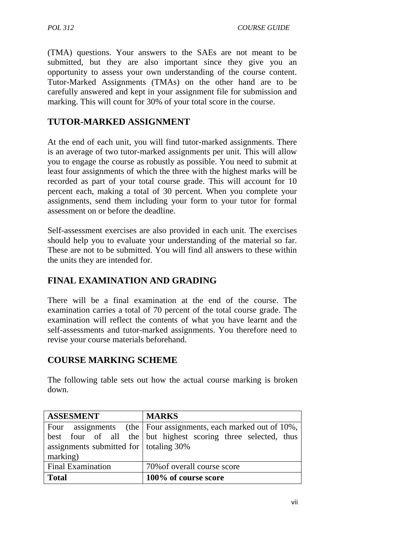(TMA) questions. Your answers to the SAEs are not meant to be submitted, but they are also important since they give you an opportunity to assess your own understanding of the course content. Tutor-Marked Assignments (TMAs) on the other hand are to be carefully answered and kept in your assignment file for submission and marking. This will count for 30% of your total score in the course.

# **TUTOR-MARKED ASSIGNMENT**

At the end of each unit, you will find tutor-marked assignments. There is an average of two tutor-marked assignments per unit. This will allow you to engage the course as robustly as possible. You need to submit at least four assignments of which the three with the highest marks will be recorded as part of your total course grade. This will account for 10 percent each, making a total of 30 percent. When you complete your assignments, send them including your form to your tutor for formal assessment on or before the deadline.

Self-assessment exercises are also provided in each unit. The exercises should help you to evaluate your understanding of the material so far. These are not to be submitted. You will find all answers to these within the units they are intended for.

# **FINAL EXAMINATION AND GRADING**

There will be a final examination at the end of the course. The examination carries a total of 70 percent of the total course grade. The examination will reflect the contents of what you have learnt and the self-assessments and tutor-marked assignments. You therefore need to revise your course materials beforehand.

# **COURSE MARKING SCHEME**

The following table sets out how the actual course marking is broken down.

| <b>ASSESMENT</b>                                     | <b>MARKS</b>                                                                                                                     |
|------------------------------------------------------|----------------------------------------------------------------------------------------------------------------------------------|
| assignments submitted for   totaling 30%<br>marking) | Four assignments (the Four assignments, each marked out of 10%,<br>best four of all the but highest scoring three selected, thus |
| <b>Final Examination</b>                             | 70% of overall course score                                                                                                      |
| <b>Total</b>                                         | 100% of course score                                                                                                             |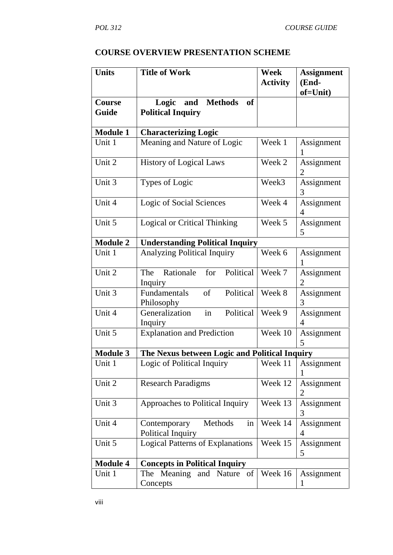# **COURSE OVERVIEW PRESENTATION SCHEME**

| <b>Units</b>           | <b>Title of Work</b>                                          | <b>Week</b><br><b>Activity</b> | <b>Assignment</b><br>(End-<br>of=Unit) |
|------------------------|---------------------------------------------------------------|--------------------------------|----------------------------------------|
| <b>Course</b><br>Guide | <b>Methods</b><br>Logic and<br>of<br><b>Political Inquiry</b> |                                |                                        |
| <b>Module 1</b>        | <b>Characterizing Logic</b>                                   |                                |                                        |
| Unit 1                 | Meaning and Nature of Logic                                   | Week 1                         | Assignment                             |
| Unit 2                 | <b>History of Logical Laws</b>                                | Week 2                         | Assignment<br>$\overline{2}$           |
| Unit 3                 | Types of Logic                                                | Week3                          | Assignment<br>3                        |
| Unit 4                 | Logic of Social Sciences                                      | Week 4                         | Assignment<br>$\overline{4}$           |
| Unit 5                 | <b>Logical or Critical Thinking</b>                           | Week 5                         | Assignment<br>5                        |
| <b>Module 2</b>        | <b>Understanding Political Inquiry</b>                        |                                |                                        |
| Unit 1                 | <b>Analyzing Political Inquiry</b>                            | Week 6                         | Assignment<br>1                        |
| Unit 2                 | Political<br>Rationale<br>for<br>The<br>Inquiry               | Week 7                         | Assignment<br>$\overline{2}$           |
| Unit 3                 | Fundamentals<br>Political<br>of<br>Philosophy                 | Week 8                         | Assignment<br>3                        |
| Unit 4                 | in<br>Political<br>Generalization<br>Inquiry                  | Week 9                         | Assignment<br>$\overline{4}$           |
| Unit 5                 | <b>Explanation and Prediction</b>                             | Week 10                        | Assignment<br>5                        |
| <b>Module 3</b>        | The Nexus between Logic and Political Inquiry                 |                                |                                        |
| Unit 1                 | Logic of Political Inquiry                                    | Week 11                        | Assignment<br>1                        |
| Unit 2                 | <b>Research Paradigms</b>                                     | Week 12                        | Assignment<br>2                        |
| Unit 3                 | Approaches to Political Inquiry                               | Week 13                        | Assignment<br>3                        |
| Unit 4                 | Methods<br>Contemporary<br>in<br><b>Political Inquiry</b>     | Week 14                        | Assignment<br>4                        |
| Unit 5                 | <b>Logical Patterns of Explanations</b>                       | Week 15                        | Assignment<br>5                        |
| <b>Module 4</b>        | <b>Concepts in Political Inquiry</b>                          |                                |                                        |
| Unit 1                 | The Meaning and Nature of<br>Concepts                         | Week 16                        | Assignment<br>$\mathbf 1$              |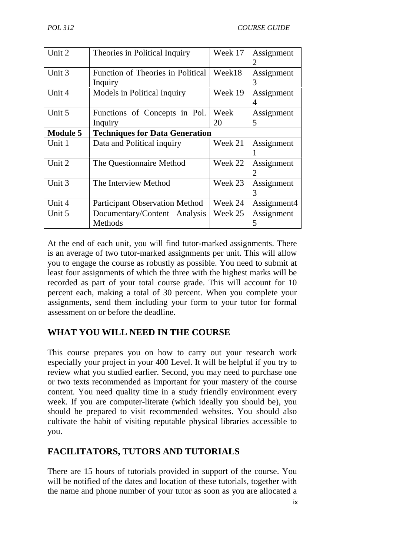| Unit 2          | Theories in Political Inquiry                | Week 17 | Assignment<br>2  |
|-----------------|----------------------------------------------|---------|------------------|
| Unit 3          | Function of Theories in Political<br>Inquiry | Week18  | Assignment<br>3  |
| Unit 4          | Models in Political Inquiry                  | Week 19 | Assignment<br>4  |
| Unit 5          | Functions of Concepts in Pol.                | Week    | Assignment       |
|                 | Inquiry                                      |         | 5                |
| <b>Module 5</b> | <b>Techniques for Data Generation</b>        |         |                  |
| Unit 1          | Data and Political inquiry                   | Week 21 | Assignment<br>-1 |
| Unit 2          | The Questionnaire Method                     | Week 22 | Assignment<br>2  |
| Unit 3          | The Interview Method                         | Week 23 | Assignment<br>3  |
| Unit 4          | <b>Participant Observation Method</b>        | Week 24 | Assignment4      |
| Unit 5          | Documentary/Content Analysis<br>Methods      | Week 25 | Assignment<br>5  |

At the end of each unit, you will find tutor-marked assignments. There is an average of two tutor-marked assignments per unit. This will allow you to engage the course as robustly as possible. You need to submit at least four assignments of which the three with the highest marks will be recorded as part of your total course grade. This will account for 10 percent each, making a total of 30 percent. When you complete your assignments, send them including your form to your tutor for formal assessment on or before the deadline.

# **WHAT YOU WILL NEED IN THE COURSE**

This course prepares you on how to carry out your research work especially your project in your 400 Level. It will be helpful if you try to review what you studied earlier. Second, you may need to purchase one or two texts recommended as important for your mastery of the course content. You need quality time in a study friendly environment every week. If you are computer-literate (which ideally you should be), you should be prepared to visit recommended websites. You should also cultivate the habit of visiting reputable physical libraries accessible to you.

# **FACILITATORS, TUTORS AND TUTORIALS**

There are 15 hours of tutorials provided in support of the course. You will be notified of the dates and location of these tutorials, together with the name and phone number of your tutor as soon as you are allocated a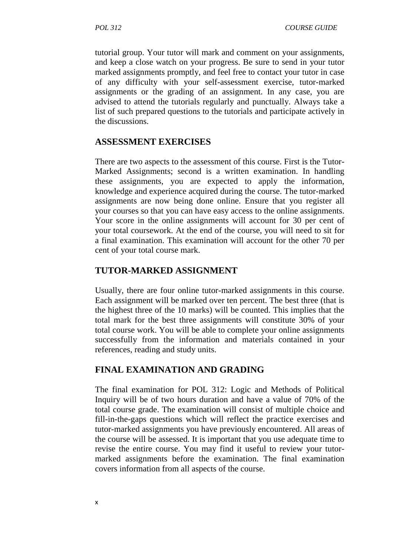tutorial group. Your tutor will mark and comment on your assignments, and keep a close watch on your progress. Be sure to send in your tutor marked assignments promptly, and feel free to contact your tutor in case of any difficulty with your self-assessment exercise, tutor-marked assignments or the grading of an assignment. In any case, you are advised to attend the tutorials regularly and punctually. Always take a list of such prepared questions to the tutorials and participate actively in the discussions.

#### **ASSESSMENT EXERCISES**

There are two aspects to the assessment of this course. First is the Tutor- Marked Assignments; second is a written examination. In handling these assignments, you are expected to apply the information, knowledge and experience acquired during the course. The tutor-marked assignments are now being done online. Ensure that you register all your courses so that you can have easy access to the online assignments. Your score in the online assignments will account for 30 per cent of your total coursework. At the end of the course, you will need to sit for a final examination. This examination will account for the other 70 per cent of your total course mark.

#### **TUTOR-MARKED ASSIGNMENT**

Usually, there are four online tutor-marked assignments in this course. Each assignment will be marked over ten percent. The best three (that is the highest three of the 10 marks) will be counted. This implies that the total mark for the best three assignments will constitute 30% of your total course work. You will be able to complete your online assignments successfully from the information and materials contained in your references, reading and study units.

#### **FINAL EXAMINATION AND GRADING**

The final examination for POL 312: Logic and Methods of Political Inquiry will be of two hours duration and have a value of 70% of the total course grade. The examination will consist of multiple choice and fill-in-the-gaps questions which will reflect the practice exercises and tutor-marked assignments you have previously encountered. All areas of the course will be assessed. It is important that you use adequate time to revise the entire course. You may find it useful to review your tutor marked assignments before the examination. The final examination covers information from all aspects of the course.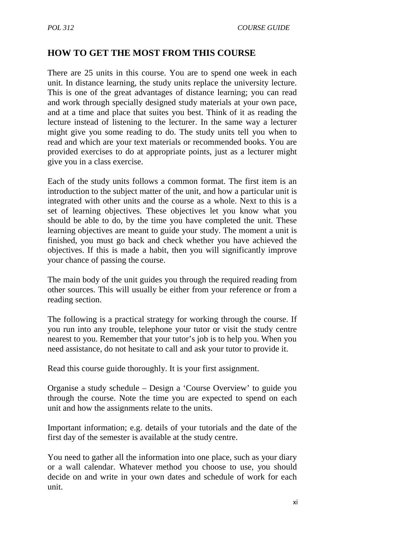# **HOW TO GET THE MOST FROM THIS COURSE**

There are 25 units in this course. You are to spend one week in each unit. In distance learning, the study units replace the university lecture. This is one of the great advantages of distance learning; you can read and work through specially designed study materials at your own pace, and at a time and place that suites you best. Think of it as reading the lecture instead of listening to the lecturer. In the same way a lecturer might give you some reading to do. The study units tell you when to read and which are your text materials or recommended books. You are provided exercises to do at appropriate points, just as a lecturer might give you in a class exercise.

Each of the study units follows a common format. The first item is an introduction to the subject matter of the unit, and how a particular unit is integrated with other units and the course as a whole. Next to this is a set of learning objectives. These objectives let you know what you should be able to do, by the time you have completed the unit. These learning objectives are meant to guide your study. The moment a unit is finished, you must go back and check whether you have achieved the objectives. If this is made a habit, then you will significantly improve your chance of passing the course.

The main body of the unit guides you through the required reading from other sources. This will usually be either from your reference or from a reading section.

The following is a practical strategy for working through the course. If you run into any trouble, telephone your tutor or visit the study centre nearest to you. Remember that your tutor's job is to help you. When you need assistance, do not hesitate to call and ask your tutor to provide it.

Read this course guide thoroughly. It is your first assignment.

Organise a study schedule – Design a 'Course Overview' to guide you through the course. Note the time you are expected to spend on each unit and how the assignments relate to the units.

Important information; e.g. details of your tutorials and the date of the first day of the semester is available at the study centre.

You need to gather all the information into one place, such as your diary or a wall calendar. Whatever method you choose to use, you should decide on and write in your own dates and schedule of work for each unit.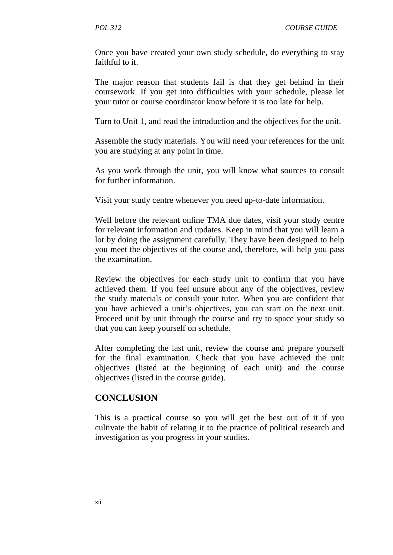Once you have created your own study schedule, do everything to stay faithful to it.

The major reason that students fail is that they get behind in their coursework. If you get into difficulties with your schedule, please let your tutor or course coordinator know before it is too late for help.

Turn to Unit 1, and read the introduction and the objectives for the unit.

Assemble the study materials. You will need your references for the unit you are studying at any point in time.

As you work through the unit, you will know what sources to consult for further information.

Visit your study centre whenever you need up-to-date information.

Well before the relevant online TMA due dates, visit your study centre for relevant information and updates. Keep in mind that you will learn a lot by doing the assignment carefully. They have been designed to help you meet the objectives of the course and, therefore, will help you pass the examination.

Review the objectives for each study unit to confirm that you have achieved them. If you feel unsure about any of the objectives, review the study materials or consult your tutor. When you are confident that you have achieved a unit's objectives, you can start on the next unit. Proceed unit by unit through the course and try to space your study so that you can keep yourself on schedule.

After completing the last unit, review the course and prepare yourself for the final examination. Check that you have achieved the unit objectives (listed at the beginning of each unit) and the course objectives (listed in the course guide).

#### **CONCLUSION**

This is a practical course so you will get the best out of it if you cultivate the habit of relating it to the practice of political research and investigation as you progress in your studies.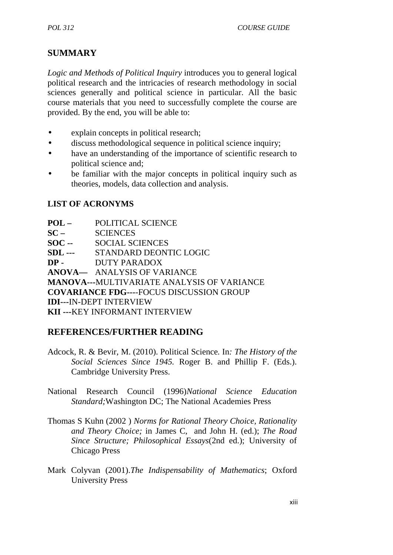# **SUMMARY**

*Logic and Methods of Political Inquiry* introduces you to general logical political research and the intricacies of research methodology in social sciences generally and political science in particular. All the basic course materials that you need to successfully complete the course are provided. By the end, you will be able to:

- explain concepts in political research;
- discuss methodological sequence in political science inquiry;
- have an understanding of the importance of scientific research to political science and;
- be familiar with the major concepts in political inquiry such as theories, models, data collection and analysis.

#### **LIST OF ACRONYMS**

| $\bf{POL}$ - | POLITICAL SCIENCE                                 |
|--------------|---------------------------------------------------|
| $SC -$       | <b>SCIENCES</b>                                   |
| $SOC -$      | <b>SOCIAL SCIENCES</b>                            |
|              | <b>SDL</b> --- STANDARD DEONTIC LOGIC             |
|              | <b>DP</b> DUTY PARADOX                            |
|              | <b>ANOVA— ANALYSIS OF VARIANCE</b>                |
|              | <b>MANOVA---MULTIVARIATE ANALYSIS OF VARIANCE</b> |
|              | <b>COVARIANCE FDG----FOCUS DISCUSSION GROUP</b>   |
|              | <b>IDI---IN-DEPT INTERVIEW</b>                    |
|              | <b>KII---KEY INFORMANT INTERVIEW</b>              |
|              |                                                   |

#### **REFERENCES/FURTHER READING**

- Adcock, R. & Bevir, M. (2010). Political Science*.* In*: The History of the Social Sciences Since 1945.* Roger B. and Phillip F. (Eds.). Cambridge University Press.
- National Research Council (1996)*National Science Education Standard;*Washington DC; The National Academies Press
- Thomas S Kuhn (2002 ) *Norms for Rational Theory Choice, Rationality and Theory Choice;* in James C, and John H. (ed.); *The Road Since Structure; Philosophical Essays*(2nd ed.); University of Chicago Press
- Mark Colyvan (2001).*The Indispensability of Mathematics*; Oxford University Press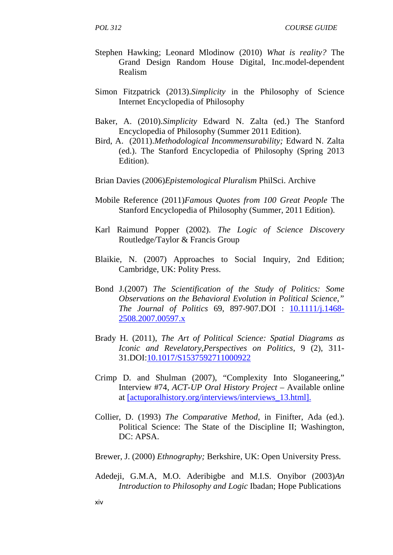- Stephen Hawking; Leonard Mlodinow (2010) *What is reality?* The Grand Design Random House Digital, Inc.model-dependent Realism
- Simon Fitzpatrick (2013).*Simplicity* in the Philosophy of Science Internet Encyclopedia of Philosophy
- Baker, A. (2010).*Simplicity* Edward N. Zalta (ed.) The Stanford Encyclopedia of Philosophy (Summer 2011 Edition).
- Bird, A. (2011).*Methodological Incommensurability;* Edward N. Zalta (ed.). The Stanford Encyclopedia of Philosophy (Spring 2013 Edition).
- Brian Davies (2006)*Epistemological Pluralism* PhilSci. Archive
- Mobile Reference (2011)*Famous Quotes from 100 Great People* The Stanford Encyclopedia of Philosophy (Summer, 2011 Edition).
- Karl Raimund Popper (2002). *The Logic of Science Discovery* Routledge/Taylor & Francis Group
- Blaikie, N. (2007) Approaches to Social Inquiry, 2nd Edition; Cambridge, UK: Polity Press.
- Bond J.(2007) *The Scientification of the Study of Politics: Some Observations on the Behavioral Evolution in Political Science," The Journal of Politics* 69, 897-907.DOI : 10.1111/j.1468- 2508.2007.00597.x
- Brady H. (2011), *The Art of Political Science: Spatial Diagrams as Iconic and Revelatory,Perspectives on Politics*, 9 (2), 311- 31.DOI:10.1017/S1537592711000922
- Crimp D. and Shulman (2007), "Complexity Into Sloganeering," Interview #74, *ACT-UP Oral History Project* – Available online at [actuporalhistory.org/interviews/interviews\_13.html].
- Collier, D. (1993) *The Comparative Method,* in Finifter, Ada (ed.). Political Science: The State of the Discipline II; Washington, DC: APSA.
- Brewer, J. (2000) *Ethnography;* Berkshire, UK: Open University Press.
- Adedeji, G.M.A, M.O. Aderibigbe and M.I.S. Onyibor (2003)*An Introduction to Philosophy and Logic* Ibadan; Hope Publications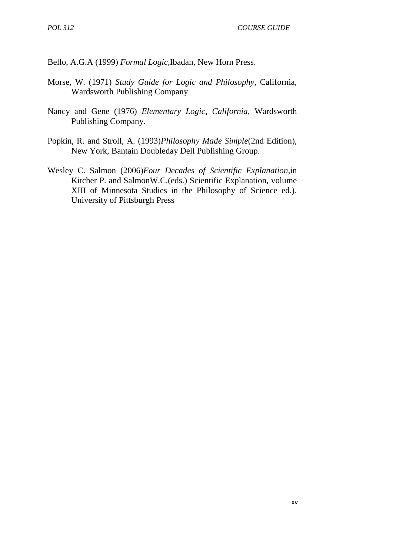Bello, A.G.A (1999) *Formal Logic,*Ibadan, New Horn Press.

- Morse, W. (1971) *Study Guide for Logic and Philosophy,* California, Wardsworth Publishing Company
- Nancy and Gene (1976) *Elementary Logic, California,* Wardsworth Publishing Company.
- Popkin, R. and Stroll, A. (1993)*Philosophy Made Simple*(2nd Edition), New York, Bantain Doubleday Dell Publishing Group.
- Wesley C. Salmon (2006)*Four Decades of Scientific Explanation*,in Kitcher P. and SalmonW.C.(eds.) Scientific Explanation, volume XIII of Minnesota Studies in the Philosophy of Science ed.). University of Pittsburgh Press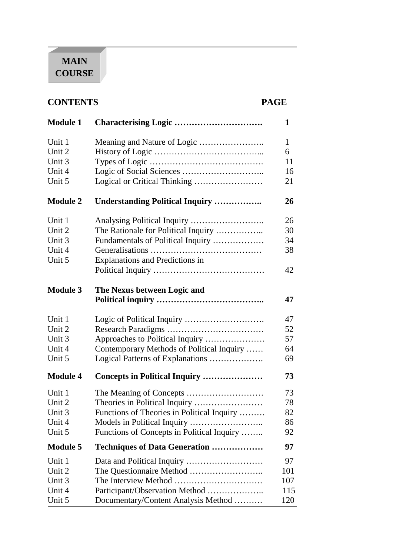# **MAIN COURSE**

# **CONTENTS PAGE**

| <b>Module 1</b> |                                            | 1         |
|-----------------|--------------------------------------------|-----------|
| Unit 1          |                                            | 1         |
| Unit 2          |                                            | 6         |
| Unit 3          |                                            | 11        |
| Unit 4          |                                            | 16        |
| Unit 5          | Logical or Critical Thinking               | 21        |
| <b>Module 2</b> | <b>Understanding Political Inquiry </b>    | <b>26</b> |
| Unit 1          |                                            | 26        |
| Unit 2          | The Rationale for Political Inquiry        | 30        |
| Unit 3          | Fundamentals of Political Inquiry          | 34        |
| Unit 4          |                                            | 38        |
| Unit 5          | <b>Explanations and Predictions in</b>     |           |
|                 |                                            | 42        |
| <b>Module 3</b> | The Nexus between Logic and                |           |
|                 |                                            | 47        |
| Unit 1          |                                            | 47        |
| Unit 2          |                                            | 52        |
| Unit 3          | Approaches to Political Inquiry            | 57        |
| Unit 4          | Contemporary Methods of Political Inquiry  | 64        |
| Unit 5          | Logical Patterns of Explanations           | 69        |
| <b>Module 4</b> | Concepts in Political Inquiry              | 73        |
| Unit 1          |                                            | 73        |
| Unit 2          | Theories in Political Inquiry              | 78        |
| Unit 3          | Functions of Theories in Political Inquiry | 82        |
| Unit 4          |                                            | 86        |
| Unit 5          | Functions of Concepts in Political Inquiry | 92        |
| <b>Module 5</b> | <b>Techniques of Data Generation </b>      | 97        |
| Unit 1          |                                            | 97        |
| Unit 2          |                                            | 101       |
| Unit 3          | The Interview Method                       | 107       |
| Unit 4          | Participant/Observation Method             | 115       |
| Unit 5          | Documentary/Content Analysis Method        | 120       |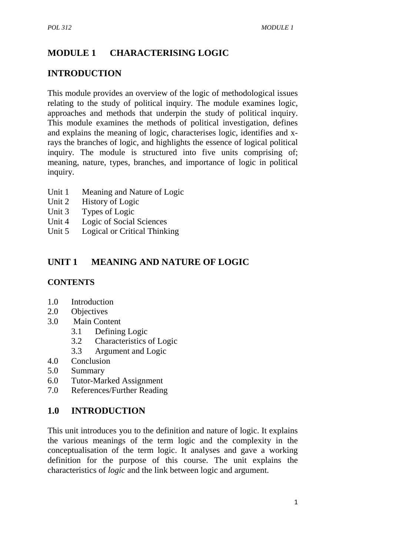# **MODULE 1 CHARACTERISING LOGIC**

# **INTRODUCTION**

This module provides an overview of the logic of methodological issues relating to the study of political inquiry. The module examines logic, approaches and methods that underpin the study of political inquiry. This module examines the methods of political investigation, defines and explains the meaning of logic, characterises logic, identifies and xrays the branches of logic, and highlights the essence of logical political inquiry. The module is structured into five units comprising of; meaning, nature, types, branches, and importance of logic in political inquiry.

- Unit 1 Meaning and Nature of Logic
- Unit 2 History of Logic
- Unit 3 Types of Logic
- Unit 4 Logic of Social Sciences
- Unit 5 Logical or Critical Thinking

# **UNIT 1 MEANING AND NATURE OF LOGIC**

#### **CONTENTS**

- 1.0 Introduction
- 2.0 Objectives
- 3.0 Main Content
	- 3.1 Defining Logic
	- 3.2 Characteristics of Logic
	- 3.3 Argument and Logic
- 4.0 Conclusion
- 5.0 Summary
- 6.0 Tutor-Marked Assignment
- 7.0 References/Further Reading

# **1.0 INTRODUCTION**

This unit introduces you to the definition and nature of logic. It explains the various meanings of the term logic and the complexity in the conceptualisation of the term logic. It analyses and gave a working definition for the purpose of this course. The unit explains the characteristics of *logic* and the link between logic and argument.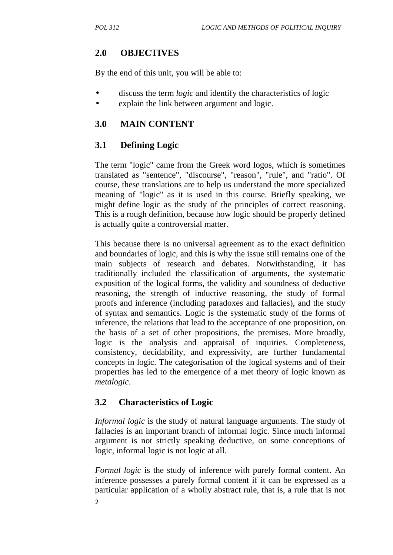# **2.0 OBJECTIVES**

By the end of this unit, you will be able to:

- discuss the term *logic* and identify the characteristics of logic
- explain the link between argument and logic.

# **3.0 MAIN CONTENT**

# **3.1 Defining Logic**

The term "logic" came from the Greek word logos, which is sometimes translated as "sentence", "discourse", "reason", "rule", and "ratio". Of course, these translations are to help us understand the more specialized meaning of "logic" as it is used in this course. Briefly speaking, we might define logic as the study of the principles of correct reasoning. This is a rough definition, because how logic should be properly defined is actually quite a controversial matter.

This because there is no universal agreement as to the exact definition and boundaries of logic, and this is why the issue still remains one of the main subjects of research and debates. Notwithstanding, it has traditionally included the classification of arguments, the systematic exposition of the logical forms, the validity and soundness of deductive reasoning, the strength of inductive reasoning, the study of formal proofs and inference (including paradoxes and fallacies), and the study of syntax and semantics. Logic is the systematic study of the forms of inference, the relations that lead to the acceptance of one proposition, on the basis of a set of other propositions, the premises. More broadly, logic is the analysis and appraisal of inquiries. Completeness, consistency, decidability, and expressivity, are further fundamental concepts in logic. The categorisation of the logical systems and of their properties has led to the emergence of a met theory of logic known as *metalogic*.

# **3.2 Characteristics of Logic**

*Informal logic* is the study of natural language arguments. The study of fallacies is an important branch of informal logic. Since much informal argument is not strictly speaking deductive, on some conceptions of logic, informal logic is not logic at all.

*Formal logic* is the study of inference with purely formal content. An inference possesses a purely formal content if it can be expressed as a particular application of a wholly abstract rule, that is, a rule that is not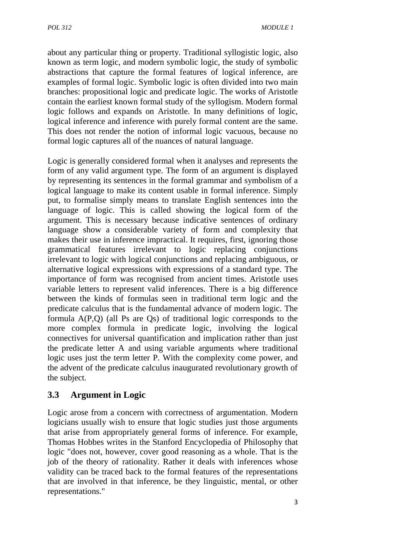about any particular thing or property. Traditional syllogistic logic, also known as term logic, and modern symbolic logic, the study of symbolic abstractions that capture the formal features of logical inference, are examples of formal logic. Symbolic logic is often divided into two main branches: propositional logic and predicate logic. The works of Aristotle contain the earliest known formal study of the syllogism. Modern formal logic follows and expands on Aristotle. In many definitions of logic, logical inference and inference with purely formal content are the same. This does not render the notion of informal logic vacuous, because no formal logic captures all of the nuances of natural language.

Logic is generally considered formal when it analyses and represents the form of any valid argument type. The form of an argument is displayed by representing its sentences in the formal grammar and symbolism of a logical language to make its content usable in formal inference. Simply put, to formalise simply means to translate English sentences into the language of logic. This is called showing the logical form of the argument. This is necessary because indicative sentences of ordinary language show a considerable variety of form and complexity that makes their use in inference impractical. It requires, first, ignoring those grammatical features irrelevant to logic replacing conjunctions irrelevant to logic with logical conjunctions and replacing ambiguous, or alternative logical expressions with expressions of a standard type. The importance of form was recognised from ancient times. Aristotle uses variable letters to represent valid inferences. There is a big difference between the kinds of formulas seen in traditional term logic and the predicate calculus that is the fundamental advance of modern logic. The formula A(P,Q) (all Ps are Qs) of traditional logic corresponds to the more complex formula in predicate logic, involving the logical connectives for universal quantification and implication rather than just the predicate letter A and using variable arguments where traditional logic uses just the term letter P. With the complexity come power, and the advent of the predicate calculus inaugurated revolutionary growth of the subject.

# **3.3 Argument in Logic**

Logic arose from a concern with correctness of argumentation. Modern logicians usually wish to ensure that logic studies just those arguments that arise from appropriately general forms of inference. For example, Thomas Hobbes writes in the Stanford Encyclopedia of Philosophy that logic "does not, however, cover good reasoning as a whole. That is the job of the theory of rationality. Rather it deals with inferences whose validity can be traced back to the formal features of the representations that are involved in that inference, be they linguistic, mental, or other representations."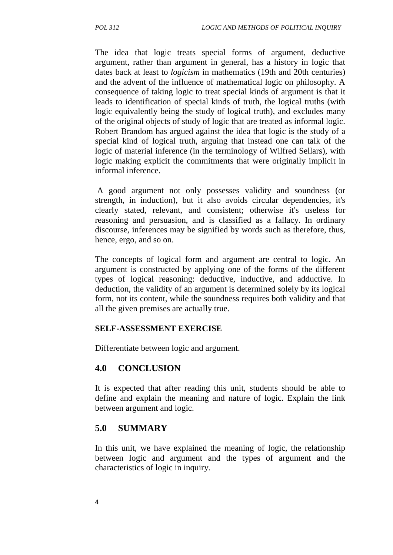The idea that logic treats special forms of argument, deductive argument, rather than argument in general, has a history in logic that dates back at least to *logicism* in mathematics (19th and 20th centuries) and the advent of the influence of mathematical logic on philosophy. A consequence of taking logic to treat special kinds of argument is that it leads to identification of special kinds of truth, the logical truths (with logic equivalently being the study of logical truth), and excludes many of the original objects of study of logic that are treated as informal logic. Robert Brandom has argued against the idea that logic is the study of a special kind of logical truth, arguing that instead one can talk of the logic of material inference (in the terminology of Wilfred Sellars), with logic making explicit the commitments that were originally implicit in informal inference.

A good argument not only possesses validity and soundness (or strength, in induction), but it also avoids circular dependencies, it's clearly stated, relevant, and consistent; otherwise it's useless for reasoning and persuasion, and is classified as a fallacy. In ordinary discourse, inferences may be signified by words such as therefore, thus, hence, ergo, and so on.

The concepts of logical form and argument are central to logic. An argument is constructed by applying one of the forms of the different types of logical reasoning: deductive, inductive, and adductive. In deduction, the validity of an argument is determined solely by its logical form, not its content, while the soundness requires both validity and that all the given premises are actually true.

#### **SELF-ASSESSMENT EXERCISE**

Differentiate between logic and argument.

#### **4.0 CONCLUSION**

It is expected that after reading this unit, students should be able to define and explain the meaning and nature of logic. Explain the link between argument and logic.

#### **5.0 SUMMARY**

In this unit, we have explained the meaning of logic, the relationship between logic and argument and the types of argument and the characteristics of logic in inquiry.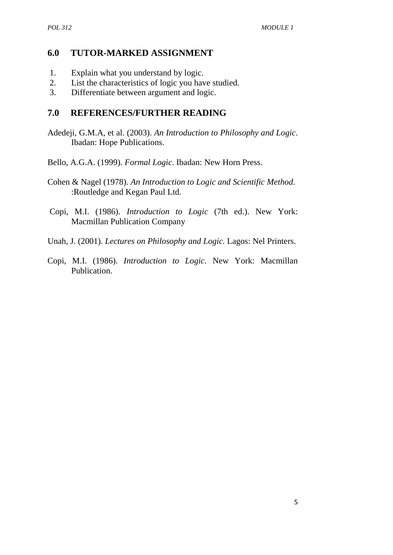#### **6.0 TUTOR-MARKED ASSIGNMENT**

- 1. Explain what you understand by logic.
- 2. List the characteristics of logic you have studied.
- 3. Differentiate between argument and logic.

#### **7.0 REFERENCES/FURTHER READING**

- Adedeji, G.M.A, et al. (2003). *An Introduction to Philosophy and Logic*. Ibadan: Hope Publications.
- Bello, A.G.A. (1999). *Formal Logic*. Ibadan: New Horn Press.
- Cohen & Nagel (1978). *An Introduction to Logic and Scientific Method*. :Routledge and Kegan Paul Ltd.
- Copi, M.I. (1986). *Introduction to Logic* (7th ed.). New York: Macmillan Publication Company
- Unah, J. (2001). *Lectures on Philosophy and Logic.* Lagos: Nel Printers.
- Copi, M.I. (1986). *Introduction to Logic*. New York: Macmillan Publication.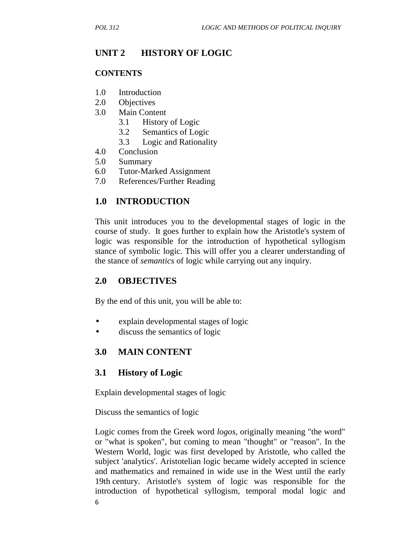# **UNIT 2 HISTORY OF LOGIC**

#### **CONTENTS**

- 1.0 Introduction
- 2.0 Objectives
- 3.0 Main Content
	- 3.1 History of Logic
	- 3.2 Semantics of Logic
	- 3.3 Logic and Rationality
- 4.0 Conclusion
- 5.0 Summary
- 6.0 Tutor-Marked Assignment
- 7.0 References/Further Reading

### **1.0 INTRODUCTION**

This unit introduces you to the developmental stages of logic in the course of study. It goes further to explain how the Aristotle's system of logic was responsible for the introduction of hypothetical syllogism stance of symbolic logic. This will offer you a clearer understanding of the stance of *semantics* of logic while carrying out any inquiry.

#### **2.0 OBJECTIVES**

By the end of this unit, you will be able to:

- explain developmental stages of logic
- discuss the semantics of logic

# **3.0 MAIN CONTENT**

#### **3.1 History of Logic**

Explain developmental stages of logic

Discuss the semantics of logic

6 Logic comes from the Greek word *logos*, originally meaning "the word" or "what is spoken", but coming to mean "thought" or "reason". In the Western World, logic was first developed by Aristotle, who called the subject 'analytics'. Aristotelian logic became widely accepted in science and mathematics and remained in wide use in the West until the early 19th century. Aristotle's system of logic was responsible for the introduction of hypothetical syllogism, temporal modal logic and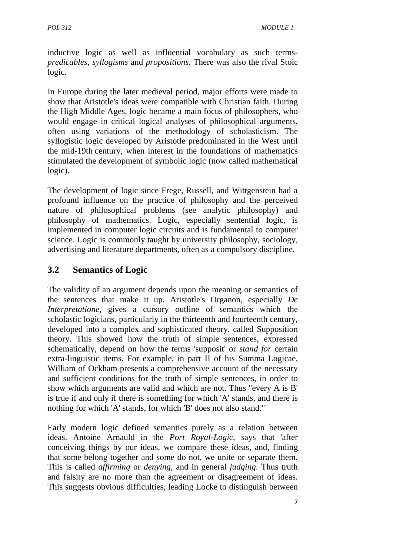inductive logic as well as influential vocabulary as such terms *predicables*, *syllogisms* and *propositions*. There was also the rival Stoic logic.

In Europe during the later medieval period, major efforts were made to show that Aristotle's ideas were compatible with Christian faith. During the High Middle Ages, logic became a main focus of philosophers, who would engage in critical logical analyses of philosophical arguments, often using variations of the methodology of scholasticism. The syllogistic logic developed by Aristotle predominated in the West until the mid-19th century, when interest in the foundations of mathematics stimulated the development of symbolic logic (now called mathematical logic).

The development of logic since Frege, Russell, and Wittgenstein had a profound influence on the practice of philosophy and the perceived nature of philosophical problems (see analytic philosophy) and philosophy of mathematics. Logic, especially sentential logic, is implemented in computer logic circuits and is fundamental to computer science. Logic is commonly taught by university philosophy, sociology, advertising and literature departments, often as a compulsory discipline.

# **3.2 Semantics of Logic**

The validity of an argument depends upon the meaning or semantics of the sentences that make it up. Aristotle's Organon, especially *De Interpretatione*, gives a cursory outline of semantics which the scholastic logicians, particularly in the thirteenth and fourteenth century, developed into a complex and sophisticated theory, called Supposition theory. This showed how the truth of simple sentences, expressed schematically, depend on how the terms 'supposit' or *stand for* certain extra-linguistic items. For example, in part II of his Summa Logicae, William of Ockham presents a comprehensive account of the necessary and sufficient conditions for the truth of simple sentences, in order to show which arguments are valid and which are not. Thus "every A is B' is true if and only if there is something for which 'A' stands, and there is nothing for which 'A' stands, for which 'B' does not also stand."

Early modern logic defined semantics purely as a relation between ideas. Antoine Arnauld in the *Port Royal-Logic*, says that 'after conceiving things by our ideas, we compare these ideas, and, finding that some belong together and some do not, we unite or separate them. This is called *affirming* or*denying*, and in general *judging*. Thus truth and falsity are no more than the agreement or disagreement of ideas. This suggests obvious difficulties, leading Locke to distinguish between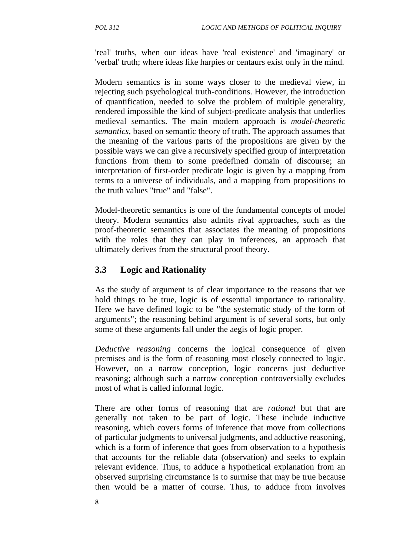'real' truths, when our ideas have 'real existence' and 'imaginary' or 'verbal' truth; where ideas like harpies or centaurs exist only in the mind.

Modern semantics is in some ways closer to the medieval view, in rejecting such psychological truth-conditions. However, the introduction of quantification, needed to solve the problem of multiple generality, rendered impossible the kind of subject-predicate analysis that underlies medieval semantics. The main modern approach is *model-theoretic semantics*, based on semantic theory of truth. The approach assumes that the meaning of the various parts of the propositions are given by the possible ways we can give a recursively specified group of interpretation functions from them to some predefined domain of discourse; an interpretation of first-order predicate logic is given by a mapping from terms to a universe of individuals, and a mapping from propositions to the truth values "true" and "false".

Model-theoretic semantics is one of the fundamental concepts of model theory. Modern semantics also admits rival approaches, such as the proof-theoretic semantics that associates the meaning of propositions with the roles that they can play in inferences, an approach that ultimately derives from the structural proof theory.

# **3.3 Logic and Rationality**

As the study of argument is of clear importance to the reasons that we hold things to be true, logic is of essential importance to rationality. Here we have defined logic to be "the systematic study of the form of arguments"; the reasoning behind argument is of several sorts, but only some of these arguments fall under the aegis of logic proper.

*Deductive reasoning* concerns the logical consequence of given premises and is the form of reasoning most closely connected to logic. However, on a narrow conception, logic concerns just deductive reasoning; although such a narrow conception controversially excludes most of what is called informal logic.

There are other forms of reasoning that are *rational* but that are generally not taken to be part of logic. These include inductive reasoning, which covers forms of inference that move from collections of particular judgments to universal judgments, and adductive reasoning, which is a form of inference that goes from observation to a hypothesis that accounts for the reliable data (observation) and seeks to explain relevant evidence. Thus, to adduce a hypothetical explanation from an observed surprising circumstance is to surmise that may be true because then would be a matter of course. Thus, to adduce from involves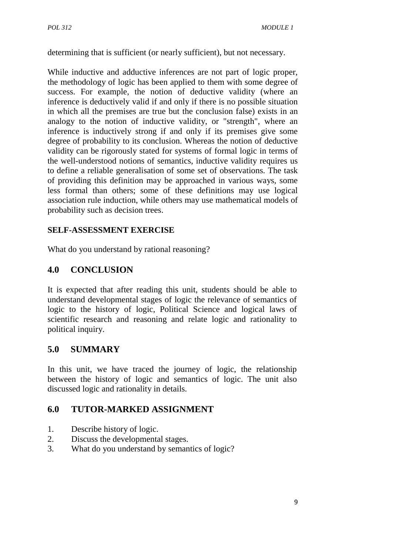determining that is sufficient (or nearly sufficient), but not necessary.

While inductive and adductive inferences are not part of logic proper, the methodology of logic has been applied to them with some degree of success. For example, the notion of deductive validity (where an inference is deductively valid if and only if there is no possible situation in which all the premises are true but the conclusion false) exists in an analogy to the notion of inductive validity, or "strength", where an inference is inductively strong if and only if its premises give some degree of probability to its conclusion. Whereas the notion of deductive validity can be rigorously stated for systems of formal logic in terms of the well-understood notions of semantics, inductive validity requires us to define a reliable generalisation of some set of observations. The task of providing this definition may be approached in various ways, some less formal than others; some of these definitions may use logical association rule induction, while others may use mathematical models of probability such as decision trees.

#### **SELF-ASSESSMENT EXERCISE**

What do you understand by rational reasoning?

# **4.0 CONCLUSION**

It is expected that after reading this unit, students should be able to understand developmental stages of logic the relevance of semantics of logic to the history of logic, Political Science and logical laws of scientific research and reasoning and relate logic and rationality to political inquiry.

# **5.0 SUMMARY**

In this unit, we have traced the journey of logic, the relationship between the history of logic and semantics of logic. The unit also discussed logic and rationality in details.

# **6.0 TUTOR-MARKED ASSIGNMENT**

- 1. Describe history of logic.
- 2. Discuss the developmental stages.
- 3. What do you understand by semantics of logic?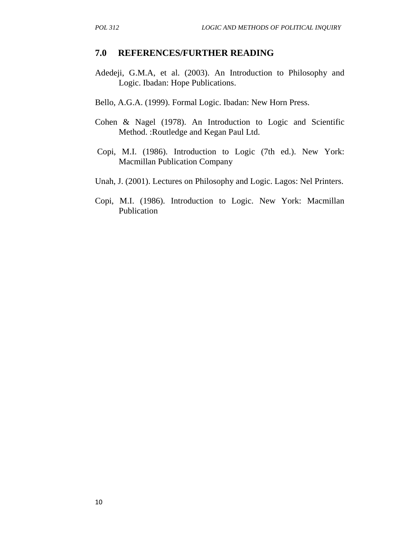#### **7.0 REFERENCES/FURTHER READING**

- Adedeji, G.M.A, et al. (2003). An Introduction to Philosophy and Logic. Ibadan: Hope Publications.
- Bello, A.G.A. (1999). Formal Logic. Ibadan: New Horn Press.
- Cohen & Nagel (1978). An Introduction to Logic and Scientific Method. :Routledge and Kegan Paul Ltd.
- Copi, M.I. (1986). Introduction to Logic (7th ed.). New York: Macmillan Publication Company
- Unah, J. (2001). Lectures on Philosophy and Logic. Lagos: Nel Printers.
- Copi, M.I. (1986). Introduction to Logic. New York: Macmillan Publication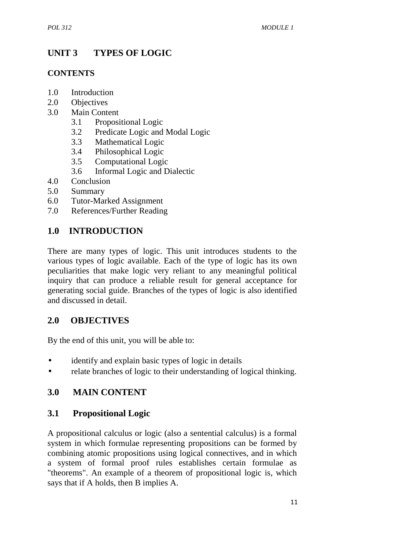# **UNIT 3 TYPES OF LOGIC**

### **CONTENTS**

- 1.0 Introduction
- 2.0 Objectives
- 3.0 Main Content
	- 3.1 Propositional Logic
	- 3.2 Predicate Logic and Modal Logic
	- 3.3 Mathematical Logic
	- 3.4 Philosophical Logic
	- 3.5 Computational Logic
	- 3.6 Informal Logic and Dialectic
- 4.0 Conclusion
- 5.0 Summary
- 6.0 Tutor-Marked Assignment
- 7.0 References/Further Reading

# **1.0 INTRODUCTION**

There are many types of logic. This unit introduces students to the various types of logic available. Each of the type of logic has its own peculiarities that make logic very reliant to any meaningful political inquiry that can produce a reliable result for general acceptance for generating social guide. Branches of the types of logic is also identified and discussed in detail.

# **2.0 OBJECTIVES**

By the end of this unit, you will be able to:

- identify and explain basic types of logic in details
- relate branches of logic to their understanding of logical thinking.

# **3.0 MAIN CONTENT**

# **3.1 Propositional Logic**

A propositional calculus or logic (also a sentential calculus) is a formal system in which formulae representing propositions can be formed by combining atomic propositions using logical connectives, and in which a system of formal proof rules establishes certain formulae as "theorems". An example of a theorem of propositional logic is, which says that if A holds, then B implies A.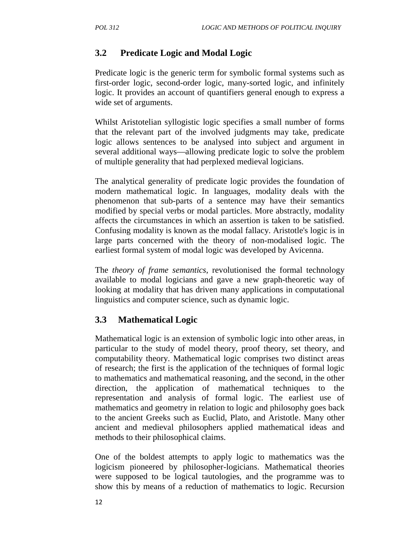# **3.2 Predicate Logic and Modal Logic**

Predicate logic is the generic term for symbolic formal systems such as first-order logic, second-order logic, many-sorted logic, and infinitely logic. It provides an account of quantifiers general enough to express a wide set of arguments.

Whilst Aristotelian syllogistic logic specifies a small number of forms that the relevant part of the involved judgments may take, predicate logic allows sentences to be analysed into subject and argument in several additional ways—allowing predicate logic to solve the problem of multiple generality that had perplexed medieval logicians.

The analytical generality of predicate logic provides the foundation of modern mathematical logic. In languages, modality deals with the phenomenon that sub-parts of a sentence may have their semantics modified by special verbs or modal particles. More abstractly, modality affects the circumstances in which an assertion is taken to be satisfied. Confusing modality is known as the modal fallacy. Aristotle's logic is in large parts concerned with the theory of non-modalised logic. The earliest formal system of modal logic was developed by Avicenna.

The *theory of frame semantics*, revolutionised the formal technology available to modal logicians and gave a new graph-theoretic way of looking at modality that has driven many applications in computational linguistics and computer science, such as dynamic logic.

# **3.3 Mathematical Logic**

Mathematical logic is an extension of symbolic logic into other areas, in particular to the study of model theory, proof theory, set theory, and computability theory. Mathematical logic comprises two distinct areas of research; the first is the application of the techniques of formal logic to mathematics and mathematical reasoning, and the second, in the other direction, the application of mathematical techniques to the representation and analysis of formal logic. The earliest use of mathematics and geometry in relation to logic and philosophy goes back to the ancient Greeks such as Euclid, Plato, and Aristotle. Many other ancient and medieval philosophers applied mathematical ideas and methods to their philosophical claims.

One of the boldest attempts to apply logic to mathematics was the logicism pioneered by philosopher-logicians. Mathematical theories were supposed to be logical tautologies, and the programme was to show this by means of a reduction of mathematics to logic. Recursion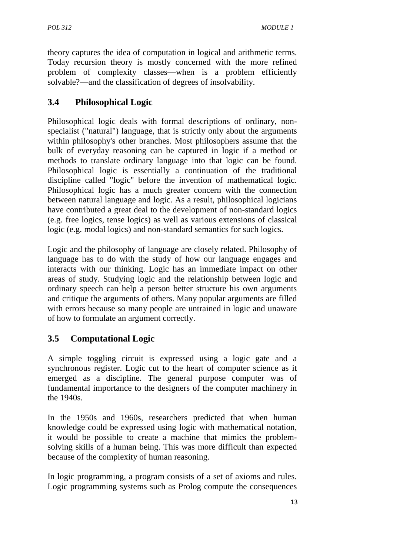theory captures the idea of computation in logical and arithmetic terms. Today recursion theory is mostly concerned with the more refined problem of complexity classes—when is a problem efficiently solvable?—and the classification of degrees of insolvability.

# **3.4 Philosophical Logic**

Philosophical logic deals with formal descriptions of ordinary, non specialist ("natural") language, that is strictly only about the arguments within philosophy's other branches. Most philosophers assume that the bulk of everyday reasoning can be captured in logic if a method or methods to translate ordinary language into that logic can be found. Philosophical logic is essentially a continuation of the traditional discipline called "logic" before the invention of mathematical logic. Philosophical logic has a much greater concern with the connection between natural language and logic. As a result, philosophical logicians have contributed a great deal to the development of non-standard logics (e.g. free logics, tense logics) as well as various extensions of classical logic (e.g. modal logics) and non-standard semantics for such logics.

Logic and the philosophy of language are closely related. Philosophy of language has to do with the study of how our language engages and interacts with our thinking. Logic has an immediate impact on other areas of study. Studying logic and the relationship between logic and ordinary speech can help a person better structure his own arguments and critique the arguments of others. Many popular arguments are filled with errors because so many people are untrained in logic and unaware of how to formulate an argument correctly.

# **3.5 Computational Logic**

A simple toggling circuit is expressed using a logic gate and a synchronous register. Logic cut to the heart of computer science as it emerged as a discipline. The general purpose computer was of fundamental importance to the designers of the computer machinery in the 1940s.

In the 1950s and 1960s, researchers predicted that when human knowledge could be expressed using logic with mathematical notation, it would be possible to create a machine that mimics the problem solving skills of a human being. This was more difficult than expected because of the complexity of human reasoning.

In logic programming, a program consists of a set of axioms and rules. Logic programming systems such as Prolog compute the consequences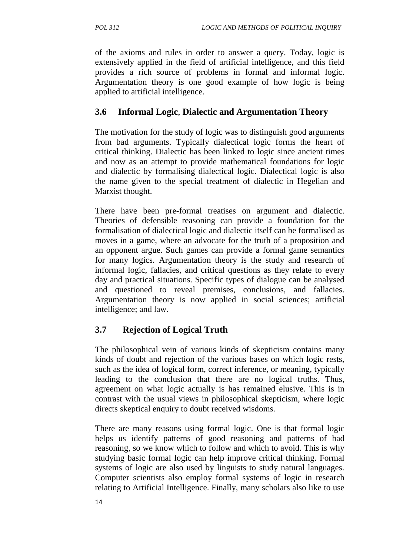of the axioms and rules in order to answer a query. Today, logic is extensively applied in the field of artificial intelligence, and this field provides a rich source of problems in formal and informal logic. Argumentation theory is one good example of how logic is being applied to artificial intelligence.

# **3.6 Informal Logic**, **Dialectic and Argumentation Theory**

The motivation for the study of logic was to distinguish good arguments from bad arguments. Typically dialectical logic forms the heart of critical thinking. Dialectic has been linked to logic since ancient times and now as an attempt to provide mathematical foundations for logic and dialectic by formalising dialectical logic. Dialectical logic is also the name given to the special treatment of dialectic in Hegelian and Marxist thought.

There have been pre-formal treatises on argument and dialectic. Theories of defensible reasoning can provide a foundation for the formalisation of dialectical logic and dialectic itself can be formalised as moves in a game, where an advocate for the truth of a proposition and an opponent argue. Such games can provide a formal game semantics for many logics. Argumentation theory is the study and research of informal logic, fallacies, and critical questions as they relate to every day and practical situations. Specific types of dialogue can be analysed and questioned to reveal premises, conclusions, and fallacies. Argumentation theory is now applied in social sciences; artificial intelligence; and law.

# **3.7 Rejection of Logical Truth**

The philosophical vein of various kinds of skepticism contains many kinds of doubt and rejection of the various bases on which logic rests, such as the idea of logical form, correct inference, or meaning, typically leading to the conclusion that there are no logical truths. Thus, agreement on what logic actually is has remained elusive. This is in contrast with the usual views in philosophical skepticism, where logic directs skeptical enquiry to doubt received wisdoms.

There are many reasons using formal logic. One is that formal logic helps us identify patterns of good reasoning and patterns of bad reasoning, so we know which to follow and which to avoid. This is why studying basic formal logic can help improve critical thinking. Formal systems of logic are also used by linguists to study natural languages. Computer scientists also employ formal systems of logic in research relating to Artificial Intelligence. Finally, many scholars also like to use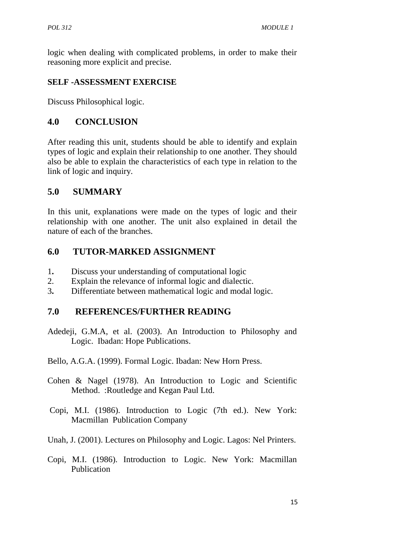logic when dealing with complicated problems, in order to make their reasoning more explicit and precise.

### **SELF -ASSESSMENT EXERCISE**

Discuss Philosophical logic.

# **4.0 CONCLUSION**

After reading this unit, students should be able to identify and explain types of logic and explain their relationship to one another. They should also be able to explain the characteristics of each type in relation to the link of logic and inquiry.

# **5.0 SUMMARY**

In this unit, explanations were made on the types of logic and their relationship with one another. The unit also explained in detail the nature of each of the branches.

# **6.0 TUTOR-MARKED ASSIGNMENT**

- 1**.** Discuss your understanding of computational logic
- 2. Explain the relevance of informal logic and dialectic.
- 3**.** Differentiate between mathematical logic and modal logic.

# **7.0 REFERENCES/FURTHER READING**

- Adedeji, G.M.A, et al. (2003). An Introduction to Philosophy and Logic. Ibadan: Hope Publications.
- Bello, A.G.A. (1999). Formal Logic. Ibadan: New Horn Press.
- Cohen & Nagel (1978). An Introduction to Logic and Scientific Method. :Routledge and Kegan Paul Ltd.
- Copi, M.I. (1986). Introduction to Logic (7th ed.). New York: Macmillan Publication Company
- Unah, J. (2001). Lectures on Philosophy and Logic. Lagos: Nel Printers.
- Copi, M.I. (1986). Introduction to Logic. New York: Macmillan Publication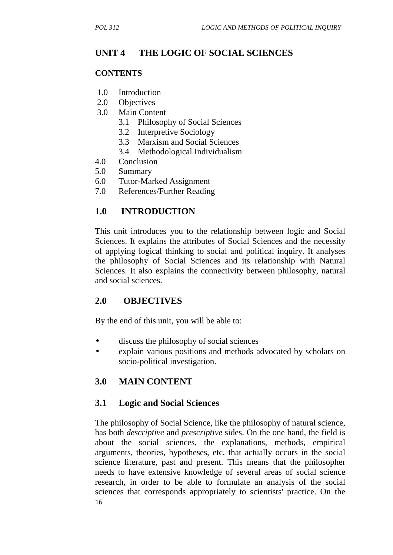# **UNIT 4 THE LOGIC OF SOCIAL SCIENCES**

#### **CONTENTS**

- 1.0 Introduction
- 2.0 Objectives
- 3.0 Main Content
	- 3.1 Philosophy of Social Sciences
	- 3.2 Interpretive Sociology
	- 3.3 Marxism and Social Sciences
	- 3.4 Methodological Individualism
- 4.0 Conclusion
- 5.0 Summary
- 6.0 Tutor-Marked Assignment
- 7.0 References/Further Reading

# **1.0 INTRODUCTION**

This unit introduces you to the relationship between logic and Social Sciences. It explains the attributes of Social Sciences and the necessity of applying logical thinking to social and political inquiry. It analyses the philosophy of Social Sciences and its relationship with Natural Sciences. It also explains the connectivity between philosophy, natural and social sciences.

# **2.0 OBJECTIVES**

By the end of this unit, you will be able to:

- discuss the philosophy of social sciences
- explain various positions and methods advocated by scholars on socio-political investigation.

# **3.0 MAIN CONTENT**

# **3.1 Logic and Social Sciences**

16 The philosophy of Social Science, like the philosophy of natural science, has both *descriptive* and *prescriptive* sides. On the one hand, the field is about the social sciences, the explanations, methods, empirical arguments, theories, hypotheses, etc. that actually occurs in the social science literature, past and present. This means that the philosopher needs to have extensive knowledge of several areas of social science research, in order to be able to formulate an analysis of the social sciences that corresponds appropriately to scientists' practice. On the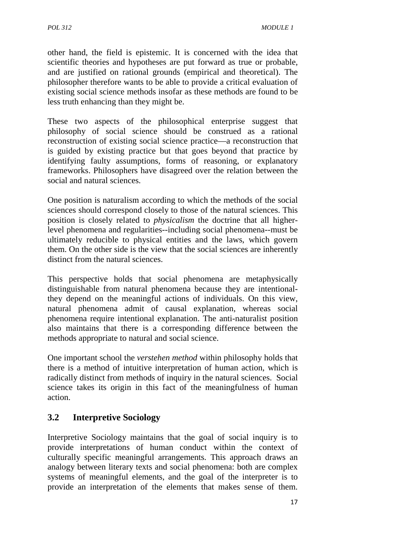other hand, the field is epistemic. It is concerned with the idea that scientific theories and hypotheses are put forward as true or probable, and are justified on rational grounds (empirical and theoretical). The philosopher therefore wants to be able to provide a critical evaluation of existing social science methods insofar as these methods are found to be less truth enhancing than they might be.

These two aspects of the philosophical enterprise suggest that philosophy of social science should be construed as a rational reconstruction of existing social science practice—a reconstruction that is guided by existing practice but that goes beyond that practice by identifying faulty assumptions, forms of reasoning, or explanatory frameworks. Philosophers have disagreed over the relation between the social and natural sciences.

One position is naturalism according to which the methods of the social sciences should correspond closely to those of the natural sciences. This position is closely related to *physicalism* the doctrine that all higherlevel phenomena and regularities--including social phenomena--must be ultimately reducible to physical entities and the laws, which govern them. On the other side is the view that the social sciences are inherently distinct from the natural sciences.

This perspective holds that social phenomena are metaphysically distinguishable from natural phenomena because they are intentionalthey depend on the meaningful actions of individuals. On this view, natural phenomena admit of causal explanation, whereas social phenomena require intentional explanation. The anti-naturalist position also maintains that there is a corresponding difference between the methods appropriate to natural and social science.

One important school the *verstehen method* within philosophy holds that there is a method of intuitive interpretation of human action, which is radically distinct from methods of inquiry in the natural sciences. Social science takes its origin in this fact of the meaningfulness of human action.

# **3.2 Interpretive Sociology**

Interpretive Sociology maintains that the goal of social inquiry is to provide interpretations of human conduct within the context of culturally specific meaningful arrangements. This approach draws an analogy between literary texts and social phenomena: both are complex systems of meaningful elements, and the goal of the interpreter is to provide an interpretation of the elements that makes sense of them.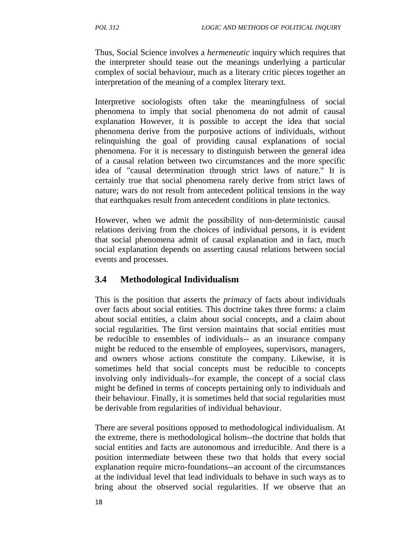Thus, Social Science involves a *hermeneutic* inquiry which requires that the interpreter should tease out the meanings underlying a particular complex of social behaviour, much as a literary critic pieces together an interpretation of the meaning of a complex literary text.

Interpretive sociologists often take the meaningfulness of social phenomena to imply that social phenomena do not admit of causal explanation However, it is possible to accept the idea that social phenomena derive from the purposive actions of individuals, without relinquishing the goal of providing causal explanations of social phenomena. For it is necessary to distinguish between the general idea of a causal relation between two circumstances and the more specific idea of "causal determination through strict laws of nature." It is certainly true that social phenomena rarely derive from strict laws of nature; wars do not result from antecedent political tensions in the way that earthquakes result from antecedent conditions in plate tectonics.

However, when we admit the possibility of non-deterministic causal relations deriving from the choices of individual persons, it is evident that social phenomena admit of causal explanation and in fact, much social explanation depends on asserting causal relations between social events and processes.

### **3.4 Methodological Individualism**

This is the position that asserts the *primacy* of facts about individuals over facts about social entities. This doctrine takes three forms: a claim about social entities, a claim about social concepts, and a claim about social regularities. The first version maintains that social entities must be reducible to ensembles of individuals-- as an insurance company might be reduced to the ensemble of employees, supervisors, managers, and owners whose actions constitute the company. Likewise, it is sometimes held that social concepts must be reducible to concepts involving only individuals--for example, the concept of a social class might be defined in terms of concepts pertaining only to individuals and their behaviour. Finally, it is sometimes held that social regularities must be derivable from regularities of individual behaviour.

There are several positions opposed to methodological individualism. At the extreme, there is methodological holism--the doctrine that holds that social entities and facts are autonomous and irreducible. And there is a position intermediate between these two that holds that every social explanation require micro-foundations--an account of the circumstances at the individual level that lead individuals to behave in such ways as to bring about the observed social regularities. If we observe that an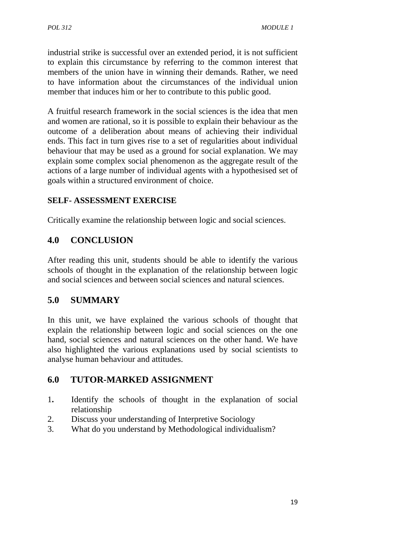industrial strike is successful over an extended period, it is not sufficient to explain this circumstance by referring to the common interest that members of the union have in winning their demands. Rather, we need to have information about the circumstances of the individual union member that induces him or her to contribute to this public good.

A fruitful research framework in the social sciences is the idea that men and women are rational, so it is possible to explain their behaviour as the outcome of a deliberation about means of achieving their individual ends. This fact in turn gives rise to a set of regularities about individual behaviour that may be used as a ground for social explanation. We may explain some complex social phenomenon as the aggregate result of the actions of a large number of individual agents with a hypothesised set of goals within a structured environment of choice.

#### **SELF- ASSESSMENT EXERCISE**

Critically examine the relationship between logic and social sciences.

# **4.0 CONCLUSION**

After reading this unit, students should be able to identify the various schools of thought in the explanation of the relationship between logic and social sciences and between social sciences and natural sciences.

#### **5.0 SUMMARY**

In this unit, we have explained the various schools of thought that explain the relationship between logic and social sciences on the one hand, social sciences and natural sciences on the other hand. We have also highlighted the various explanations used by social scientists to analyse human behaviour and attitudes.

#### **6.0 TUTOR-MARKED ASSIGNMENT**

- 1**.** Identify the schools of thought in the explanation of social relationship
- 2. Discuss your understanding of Interpretive Sociology
- 3. What do you understand by Methodological individualism?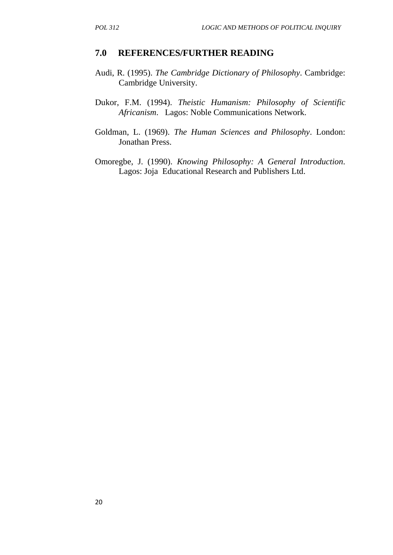- Audi, R. (1995). *The Cambridge Dictionary of Philosophy*. Cambridge: Cambridge University.
- Dukor, F.M. (1994). *Theistic Humanism: Philosophy of Scientific Africanism*. Lagos: Noble Communications Network.
- Goldman, L. (1969). *The Human Sciences and Philosophy*. London: Jonathan Press.
- Omoregbe, J. (1990). *Knowing Philosophy: A General Introduction*. Lagos: Joja Educational Research and Publishers Ltd.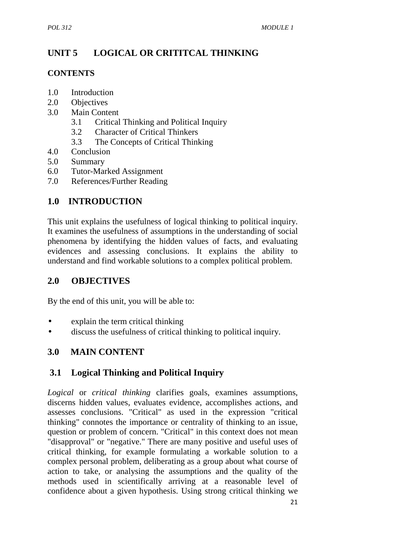# **UNIT 5 LOGICAL OR CRITITCAL THINKING**

#### **CONTENTS**

- 1.0 Introduction
- 2.0 Objectives
- 3.0 Main Content
	- 3.1 Critical Thinking and Political Inquiry
	- 3.2 Character of Critical Thinkers
	- 3.3 The Concepts of Critical Thinking
- 4.0 Conclusion
- 5.0 Summary
- 6.0 Tutor-Marked Assignment
- 7.0 References/Further Reading

# **1.0 INTRODUCTION**

This unit explains the usefulness of logical thinking to political inquiry. It examines the usefulness of assumptions in the understanding of social phenomena by identifying the hidden values of facts, and evaluating evidences and assessing conclusions. It explains the ability to understand and find workable solutions to a complex political problem.

# **2.0 OBJECTIVES**

By the end of this unit, you will be able to:

- explain the term critical thinking
- discuss the usefulness of critical thinking to political inquiry.

# **3.0 MAIN CONTENT**

# **3.1 Logical Thinking and Political Inquiry**

*Logical* or *critical thinking* clarifies goals, examines assumptions, discerns hidden values, evaluates evidence, accomplishes actions, and assesses conclusions. "Critical" as used in the expression "critical thinking" connotes the importance or centrality of thinking to an issue, question or problem of concern. "Critical" in this context does not mean "disapproval" or "negative." There are many positive and useful uses of critical thinking, for example formulating a workable solution to a complex personal problem, deliberating as a group about what course of action to take, or analysing the assumptions and the quality of the methods used in scientifically arriving at a reasonable level of confidence about a given hypothesis. Using strong critical thinking we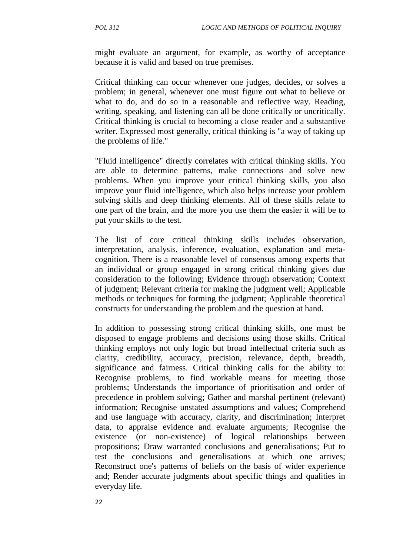might evaluate an argument, for example, as worthy of acceptance because it is valid and based on true premises.

Critical thinking can occur whenever one judges, decides, or solves a problem; in general, whenever one must figure out what to believe or what to do, and do so in a reasonable and reflective way. Reading, writing, speaking, and listening can all be done critically or uncritically. Critical thinking is crucial to becoming a close reader and a substantive writer. Expressed most generally, critical thinking is "a way of taking up the problems of life."

"Fluid intelligence" directly correlates with critical thinking skills. You are able to determine patterns, make connections and solve new problems. When you improve your critical thinking skills, you also improve your fluid intelligence, which also helps increase your problem solving skills and deep thinking elements. All of these skills relate to one part of the brain, and the more you use them the easier it will be to put your skills to the test.

The list of core critical thinking skills includes observation, interpretation, analysis, inference, evaluation, explanation and meta cognition. There is a reasonable level of consensus among experts that an individual or group engaged in strong critical thinking gives due consideration to the following; Evidence through observation; Context of judgment; Relevant criteria for making the judgment well; Applicable methods or techniques for forming the judgment; Applicable theoretical constructs for understanding the problem and the question at hand.

In addition to possessing strong critical thinking skills, one must be disposed to engage problems and decisions using those skills. Critical thinking employs not only logic but broad intellectual criteria such as clarity, credibility, accuracy, precision, relevance, depth, breadth, significance and fairness. Critical thinking calls for the ability to: Recognise problems, to find workable means for meeting those problems; Understands the importance of prioritisation and order of precedence in problem solving; Gather and marshal pertinent (relevant) information; Recognise unstated assumptions and values; Comprehend and use language with accuracy, clarity, and discrimination; Interpret data, to appraise evidence and evaluate arguments; Recognise the existence (or non-existence) of logical relationships between propositions; Draw warranted conclusions and generalisations; Put to test the conclusions and generalisations at which one arrives; Reconstruct one's patterns of beliefs on the basis of wider experience and; Render accurate judgments about specific things and qualities in everyday life.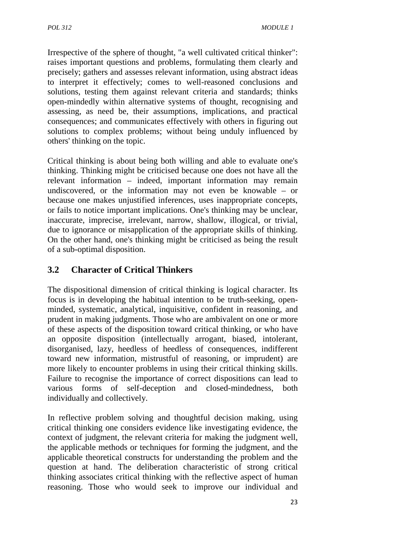Irrespective of the sphere of thought, "a well cultivated critical thinker": raises important questions and problems, formulating them clearly and precisely; gathers and assesses relevant information, using abstract ideas to interpret it effectively; comes to well-reasoned conclusions and solutions, testing them against relevant criteria and standards; thinks open-mindedly within alternative systems of thought, recognising and assessing, as need be, their assumptions, implications, and practical consequences; and communicates effectively with others in figuring out solutions to complex problems; without being unduly influenced by others' thinking on the topic.

Critical thinking is about being both willing and able to evaluate one's thinking. Thinking might be criticised because one does not have all the relevant information – indeed, important information may remain undiscovered, or the information may not even be knowable – or because one makes unjustified inferences, uses inappropriate concepts, or fails to notice important implications. One's thinking may be unclear, inaccurate, imprecise, irrelevant, narrow, shallow, illogical, or trivial, due to ignorance or misapplication of the appropriate skills of thinking. On the other hand, one's thinking might be criticised as being the result of a sub-optimal disposition.

# **3.2 Character of Critical Thinkers**

The dispositional dimension of critical thinking is logical character. Its focus is in developing the habitual intention to be truth-seeking, open minded, systematic, analytical, inquisitive, confident in reasoning, and prudent in making judgments. Those who are ambivalent on one or more of these aspects of the disposition toward critical thinking, or who have an opposite disposition (intellectually arrogant, biased, intolerant, disorganised, lazy, heedless of heedless of consequences, indifferent toward new information, mistrustful of reasoning, or imprudent) are more likely to encounter problems in using their critical thinking skills. Failure to recognise the importance of correct dispositions can lead to various forms of self-deception and closed-mindedness, both individually and collectively.

In reflective problem solving and thoughtful decision making, using critical thinking one considers evidence like investigating evidence, the context of judgment, the relevant criteria for making the judgment well, the applicable methods or techniques for forming the judgment, and the applicable theoretical constructs for understanding the problem and the question at hand. The deliberation characteristic of strong critical thinking associates critical thinking with the reflective aspect of human reasoning. Those who would seek to improve our individual and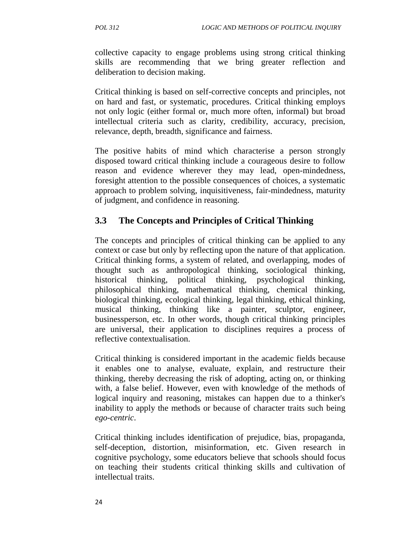collective capacity to engage problems using strong critical thinking skills are recommending that we bring greater reflection and deliberation to decision making.

Critical thinking is based on self-corrective concepts and principles, not on hard and fast, or systematic, procedures. Critical thinking employs not only logic (either formal or, much more often, informal) but broad intellectual criteria such as clarity, credibility, accuracy, precision, relevance, depth, breadth, significance and fairness.

The positive habits of mind which characterise a person strongly disposed toward critical thinking include a courageous desire to follow reason and evidence wherever they may lead, open-mindedness, foresight attention to the possible consequences of choices, a systematic approach to problem solving, inquisitiveness, fair-mindedness, maturity of judgment, and confidence in reasoning.

# **3.3 The Concepts and Principles of Critical Thinking**

The concepts and principles of critical thinking can be applied to any context or case but only by reflecting upon the nature of that application. Critical thinking forms, a system of related, and overlapping, modes of thought such as anthropological thinking, sociological thinking, historical thinking, political thinking, psychological thinking, philosophical thinking, mathematical thinking, chemical thinking, biological thinking, ecological thinking, legal thinking, ethical thinking, musical thinking, thinking like a painter, sculptor, engineer, businessperson, etc. In other words, though critical thinking principles are universal, their application to disciplines requires a process of reflective contextualisation.

Critical thinking is considered important in the academic fields because it enables one to analyse, evaluate, explain, and restructure their thinking, thereby decreasing the risk of adopting, acting on, or thinking with, a false belief. However, even with knowledge of the methods of logical inquiry and reasoning, mistakes can happen due to a thinker's inability to apply the methods or because of character traits such being *ego*-*centric*.

Critical thinking includes identification of prejudice, bias, propaganda, self-deception, distortion, misinformation, etc. Given research in cognitive psychology, some educators believe that schools should focus on teaching their students critical thinking skills and cultivation of intellectual traits.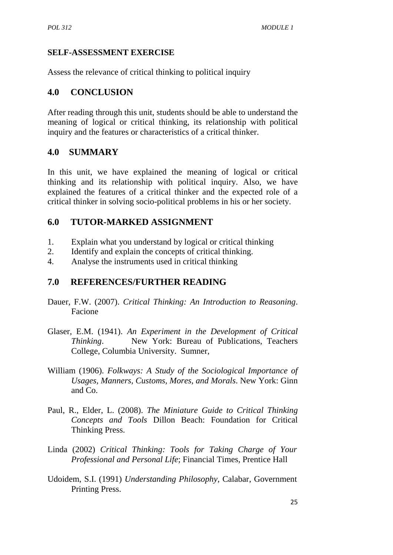#### **SELF-ASSESSMENT EXERCISE**

Assess the relevance of critical thinking to political inquiry

## **4.0 CONCLUSION**

After reading through this unit, students should be able to understand the meaning of logical or critical thinking, its relationship with political inquiry and the features or characteristics of a critical thinker.

## **4.0 SUMMARY**

In this unit, we have explained the meaning of logical or critical thinking and its relationship with political inquiry. Also, we have explained the features of a critical thinker and the expected role of a critical thinker in solving socio-political problems in his or her society.

## **6.0 TUTOR-MARKED ASSIGNMENT**

- 1. Explain what you understand by logical or critical thinking
- 2. Identify and explain the concepts of critical thinking.
- 4. Analyse the instruments used in critical thinking

- Dauer, F.W. (2007). *Critical Thinking: An Introduction to Reasoning*. Facione
- Glaser, E.M. (1941). *An Experiment in the Development of Critical Thinking*. New York: Bureau of Publications, Teachers College, Columbia University. Sumner,
- William (1906). *Folkways: A Study of the Sociological Importance of Usages, Manners, Customs, Mores, and Morals*. New York: Ginn and Co.
- Paul, R., Elder, L. (2008). *The Miniature Guide to Critical Thinking Concepts and Tools* Dillon Beach: Foundation for Critical Thinking Press.
- Linda (2002) *Critical Thinking: Tools for Taking Charge of Your Professional and Personal Life*; Financial Times, Prentice Hall
- Udoidem, S.I. (1991) *Understanding Philosophy*, Calabar, Government Printing Press.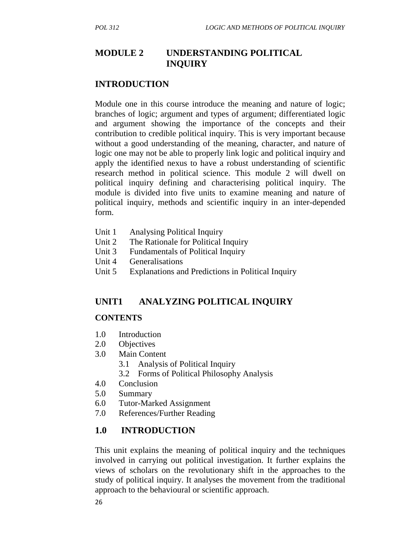# **MODULE 2 UNDERSTANDING POLITICAL INQUIRY**

### **INTRODUCTION**

Module one in this course introduce the meaning and nature of logic; branches of logic; argument and types of argument; differentiated logic and argument showing the importance of the concepts and their contribution to credible political inquiry. This is very important because without a good understanding of the meaning, character, and nature of logic one may not be able to properly link logic and political inquiry and apply the identified nexus to have a robust understanding of scientific research method in political science. This module 2 will dwell on political inquiry defining and characterising political inquiry. The module is divided into five units to examine meaning and nature of political inquiry, methods and scientific inquiry in an inter-depended form.

- Unit 1 Analysing Political Inquiry
- Unit 2 The Rationale for Political Inquiry<br>Unit 3 Fundamentals of Political Inquiry
- Fundamentals of Political Inquiry
- Unit 4 Generalisations
- Unit 5 Explanations and Predictions in Political Inquiry

### **UNIT1 ANALYZING POLITICAL INQUIRY**

#### **CONTENTS**

- 1.0 Introduction
- 2.0 Objectives
- 3.0 Main Content
	- 3.1 Analysis of Political Inquiry
	- 3.2 Forms of Political Philosophy Analysis
- 4.0 Conclusion
- 5.0 Summary
- 6.0 Tutor-Marked Assignment
- 7.0 References/Further Reading

### **1.0 INTRODUCTION**

This unit explains the meaning of political inquiry and the techniques involved in carrying out political investigation. It further explains the views of scholars on the revolutionary shift in the approaches to the study of political inquiry. It analyses the movement from the traditional approach to the behavioural or scientific approach.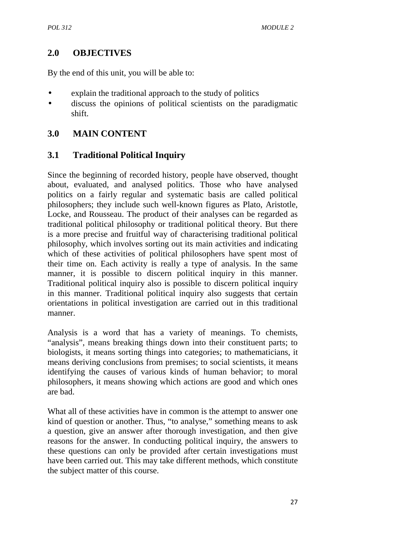## **2.0 OBJECTIVES**

By the end of this unit, you will be able to:

- explain the traditional approach to the study of politics
- discuss the opinions of political scientists on the paradigmatic shift.

### **3.0 MAIN CONTENT**

## **3.1 Traditional Political Inquiry**

Since the beginning of recorded history, people have observed, thought about, evaluated, and analysed politics. Those who have analysed politics on a fairly regular and systematic basis are called political philosophers; they include such well-known figures as Plato, Aristotle, Locke, and Rousseau. The product of their analyses can be regarded as traditional political philosophy or traditional political theory. But there is a more precise and fruitful way of characterising traditional political philosophy, which involves sorting out its main activities and indicating which of these activities of political philosophers have spent most of their time on. Each activity is really a type of analysis. In the same manner, it is possible to discern political inquiry in this manner. Traditional political inquiry also is possible to discern political inquiry in this manner. Traditional political inquiry also suggests that certain orientations in political investigation are carried out in this traditional manner.

Analysis is a word that has a variety of meanings. To chemists, "analysis", means breaking things down into their constituent parts; to biologists, it means sorting things into categories; to mathematicians, it means deriving conclusions from premises; to social scientists, it means identifying the causes of various kinds of human behavior; to moral philosophers, it means showing which actions are good and which ones are bad.

What all of these activities have in common is the attempt to answer one kind of question or another. Thus, "to analyse," something means to ask a question, give an answer after thorough investigation, and then give reasons for the answer. In conducting political inquiry, the answers to these questions can only be provided after certain investigations must have been carried out. This may take different methods, which constitute the subject matter of this course.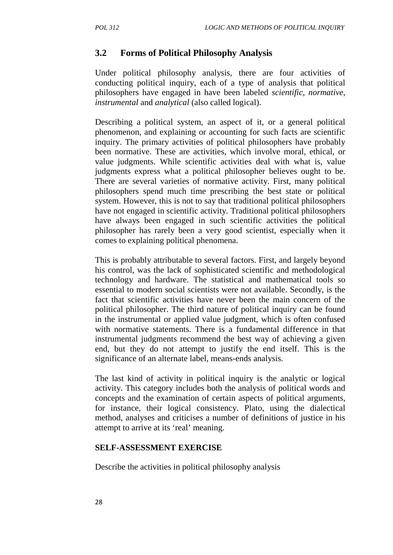## **3.2 Forms of Political Philosophy Analysis**

Under political philosophy analysis, there are four activities of conducting political inquiry, each of a type of analysis that political philosophers have engaged in have been labeled *scientific*, *normative*, *instrumental* and *analytical* (also called logical).

Describing a political system, an aspect of it, or a general political phenomenon, and explaining or accounting for such facts are scientific inquiry. The primary activities of political philosophers have probably been normative. These are activities, which involve moral, ethical, or value judgments. While scientific activities deal with what is, value judgments express what a political philosopher believes ought to be. There are several varieties of normative activity. First, many political philosophers spend much time prescribing the best state or political system. However, this is not to say that traditional political philosophers have not engaged in scientific activity. Traditional political philosophers have always been engaged in such scientific activities the political philosopher has rarely been a very good scientist, especially when it comes to explaining political phenomena.

This is probably attributable to several factors. First, and largely beyond his control, was the lack of sophisticated scientific and methodological technology and hardware. The statistical and mathematical tools so essential to modern social scientists were not available. Secondly, is the fact that scientific activities have never been the main concern of the political philosopher. The third nature of political inquiry can be found in the instrumental or applied value judgment, which is often confused with normative statements. There is a fundamental difference in that instrumental judgments recommend the best way of achieving a given end, but they do not attempt to justify the end itself. This is the significance of an alternate label, means-ends analysis.

The last kind of activity in political inquiry is the analytic or logical activity. This category includes both the analysis of political words and concepts and the examination of certain aspects of political arguments, for instance, their logical consistency. Plato, using the dialectical method, analyses and criticises a number of definitions of justice in his attempt to arrive at its 'real' meaning.

#### **SELF-ASSESSMENT EXERCISE**

Describe the activities in political philosophy analysis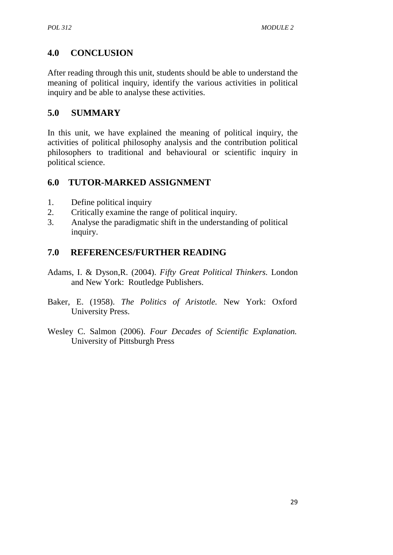# **4.0 CONCLUSION**

After reading through this unit, students should be able to understand the meaning of political inquiry, identify the various activities in political inquiry and be able to analyse these activities.

# **5.0 SUMMARY**

In this unit, we have explained the meaning of political inquiry, the activities of political philosophy analysis and the contribution political philosophers to traditional and behavioural or scientific inquiry in political science.

## **6.0 TUTOR-MARKED ASSIGNMENT**

- 1. Define political inquiry
- 2. Critically examine the range of political inquiry.
- 3. Analyse the paradigmatic shift in the understanding of political inquiry.

- Adams, I. & Dyson,R. (2004). *Fifty Great Political Thinkers.* London and New York: Routledge Publishers.
- Baker, E. (1958). *The Politics of Aristotle.* New York: Oxford University Press.
- Wesley C. Salmon (2006). *Four Decades of Scientific Explanation.* University of Pittsburgh Press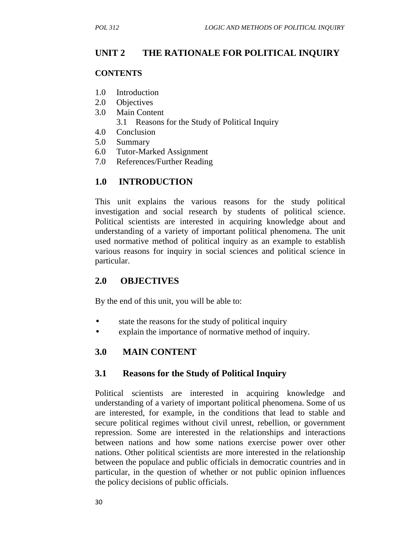# **UNIT 2 THE RATIONALE FOR POLITICAL INQUIRY**

#### **CONTENTS**

- 1.0 Introduction
- 2.0 Objectives
- 3.0 Main Content
	- 3.1 Reasons for the Study of Political Inquiry
- 4.0 Conclusion
- 5.0 Summary
- 6.0 Tutor-Marked Assignment
- 7.0 References/Further Reading

## **1.0 INTRODUCTION**

This unit explains the various reasons for the study political investigation and social research by students of political science. Political scientists are interested in acquiring knowledge about and understanding of a variety of important political phenomena. The unit used normative method of political inquiry as an example to establish various reasons for inquiry in social sciences and political science in particular.

### **2.0 OBJECTIVES**

By the end of this unit, you will be able to:

- state the reasons for the study of political inquiry
- explain the importance of normative method of inquiry.

### **3.0 MAIN CONTENT**

### **3.1 Reasons for the Study of Political Inquiry**

Political scientists are interested in acquiring knowledge and understanding of a variety of important political phenomena. Some of us are interested, for example, in the conditions that lead to stable and secure political regimes without civil unrest, rebellion, or government repression. Some are interested in the relationships and interactions between nations and how some nations exercise power over other nations. Other political scientists are more interested in the relationship between the populace and public officials in democratic countries and in particular, in the question of whether or not public opinion influences the policy decisions of public officials.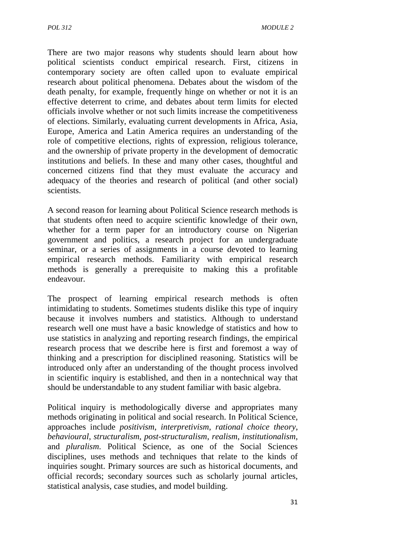There are two major reasons why students should learn about how political scientists conduct empirical research. First, citizens in contemporary society are often called upon to evaluate empirical research about political phenomena. Debates about the wisdom of the death penalty, for example, frequently hinge on whether or not it is an effective deterrent to crime, and debates about term limits for elected officials involve whether or not such limits increase the competitiveness of elections. Similarly, evaluating current developments in Africa, Asia, Europe, America and Latin America requires an understanding of the role of competitive elections, rights of expression, religious tolerance, and the ownership of private property in the development of democratic institutions and beliefs. In these and many other cases, thoughtful and concerned citizens find that they must evaluate the accuracy and adequacy of the theories and research of political (and other social) scientists.

A second reason for learning about Political Science research methods is that students often need to acquire scientific knowledge of their own, whether for a term paper for an introductory course on Nigerian government and politics, a research project for an undergraduate seminar, or a series of assignments in a course devoted to learning empirical research methods. Familiarity with empirical research methods is generally a prerequisite to making this a profitable endeavour.

The prospect of learning empirical research methods is often intimidating to students. Sometimes students dislike this type of inquiry because it involves numbers and statistics. Although to understand research well one must have a basic knowledge of statistics and how to use statistics in analyzing and reporting research findings, the empirical research process that we describe here is first and foremost a way of thinking and a prescription for disciplined reasoning. Statistics will be introduced only after an understanding of the thought process involved in scientific inquiry is established, and then in a nontechnical way that should be understandable to any student familiar with basic algebra.

Political inquiry is methodologically diverse and appropriates many methods originating in political and social research. In Political Science, approaches include *positivism*, *interpretivism*, *rational choice theory*, *behavioural*, *structuralism*, *post*-*structuralism*, *realism*, *institutionalism*, and *pluralism*. Political Science, as one of the Social Sciences disciplines, uses methods and techniques that relate to the kinds of inquiries sought. Primary sources are such as historical documents, and official records; secondary sources such as scholarly journal articles, statistical analysis, case studies, and model building.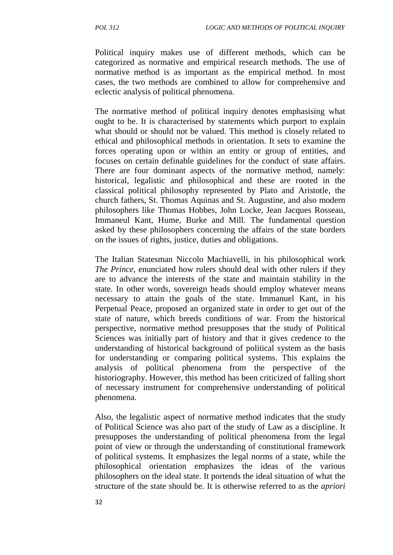Political inquiry makes use of different methods, which can be categorized as normative and empirical research methods. The use of normative method is as important as the empirical method. In most cases, the two methods are combined to allow for comprehensive and eclectic analysis of political phenomena.

The normative method of political inquiry denotes emphasising what ought to be. It is characterised by statements which purport to explain what should or should not be valued. This method is closely related to ethical and philosophical methods in orientation. It sets to examine the forces operating upon or within an entity or group of entities, and focuses on certain definable guidelines for the conduct of state affairs. There are four dominant aspects of the normative method, namely: historical, legalistic and philosophical and these are rooted in the classical political philosophy represented by Plato and Aristotle, the church fathers, St. Thomas Aquinas and St. Augustine, and also modern philosophers like Thomas Hobbes, John Locke, Jean Jacques Rosseau, Immaneul Kant, Hume, Burke and Mill. The fundamental question asked by these philosophers concerning the affairs of the state borders on the issues of rights, justice, duties and obligations.

The Italian Statesman Niccolo Machiavelli, in his philosophical work *The Prince*, enunciated how rulers should deal with other rulers if they are to advance the interests of the state and maintain stability in the state. In other words, sovereign heads should employ whatever means necessary to attain the goals of the state. Immanuel Kant, in his Perpetual Peace, proposed an organized state in order to get out of the state of nature, which breeds conditions of war. From the historical perspective, normative method presupposes that the study of Political Sciences was initially part of history and that it gives credence to the understanding of historical background of political system as the basis for understanding or comparing political systems. This explains the analysis of political phenomena from the perspective of the historiography. However, this method has been criticized of falling short of necessary instrument for comprehensive understanding of political phenomena.

Also, the legalistic aspect of normative method indicates that the study of Political Science was also part of the study of Law as a discipline. It presupposes the understanding of political phenomena from the legal point of view or through the understanding of constitutional framework of political systems. It emphasizes the legal norms of a state, while the philosophical orientation emphasizes the ideas of the various philosophers on the ideal state. It portends the ideal situation of what the structure of the state should be. It is otherwise referred to as the *apriori*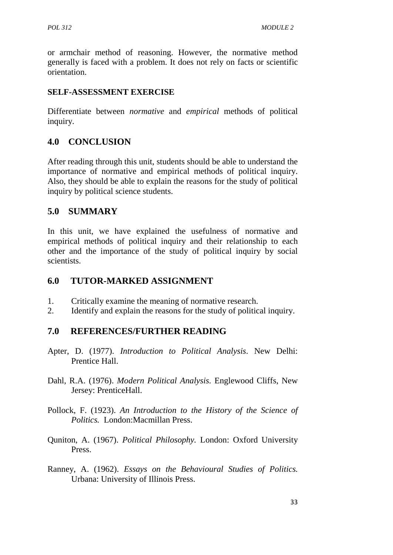or armchair method of reasoning. However, the normative method generally is faced with a problem. It does not rely on facts or scientific orientation.

#### **SELF-ASSESSMENT EXERCISE**

Differentiate between *normative* and *empirical* methods of political inquiry.

# **4.0 CONCLUSION**

After reading through this unit, students should be able to understand the importance of normative and empirical methods of political inquiry. Also, they should be able to explain the reasons for the study of political inquiry by political science students.

# **5.0 SUMMARY**

In this unit, we have explained the usefulness of normative and empirical methods of political inquiry and their relationship to each other and the importance of the study of political inquiry by social scientists.

### **6.0 TUTOR-MARKED ASSIGNMENT**

- 1. Critically examine the meaning of normative research.
- 2. Identify and explain the reasons for the study of political inquiry.

- Apter, D. (1977). *Introduction to Political Analysis*. New Delhi: Prentice Hall.
- Dahl, R.A. (1976). *Modern Political Analysis.* Englewood Cliffs, New Jersey: PrenticeHall.
- Pollock, F. (1923). *An Introduction to the History of the Science of Politics.* London:Macmillan Press.
- Quniton, A. (1967). *Political Philosophy.* London: Oxford University Press.
- Ranney, A. (1962). *Essays on the Behavioural Studies of Politics.* Urbana: University of Illinois Press.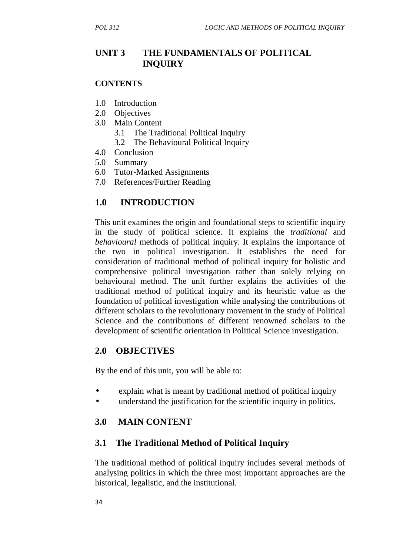# **UNIT 3 THE FUNDAMENTALS OF POLITICAL INQUIRY**

#### **CONTENTS**

- 1.0 Introduction
- 2.0 Objectives
- 3.0 Main Content
	- 3.1 The Traditional Political Inquiry
	- 3.2 The Behavioural Political Inquiry
- 4.0 Conclusion
- 5.0 Summary
- 6.0 Tutor-Marked Assignments
- 7.0 References/Further Reading

# **1.0 INTRODUCTION**

This unit examines the origin and foundational steps to scientific inquiry in the study of political science. It explains the *traditional* and *behavioural* methods of political inquiry. It explains the importance of the two in political investigation. It establishes the need for consideration of traditional method of political inquiry for holistic and comprehensive political investigation rather than solely relying on behavioural method. The unit further explains the activities of the traditional method of political inquiry and its heuristic value as the foundation of political investigation while analysing the contributions of different scholars to the revolutionary movement in the study of Political Science and the contributions of different renowned scholars to the development of scientific orientation in Political Science investigation.

### **2.0 OBJECTIVES**

By the end of this unit, you will be able to:

- explain what is meant by traditional method of political inquiry
- understand the justification for the scientific inquiry in politics.

# **3.0 MAIN CONTENT**

### **3.1 The Traditional Method of Political Inquiry**

The traditional method of political inquiry includes several methods of analysing politics in which the three most important approaches are the historical, legalistic, and the institutional.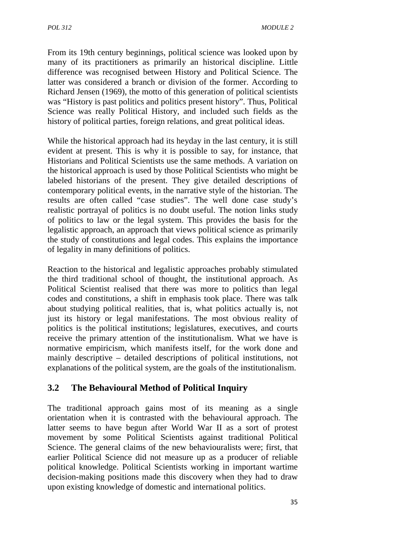From its 19th century beginnings, political science was looked upon by many of its practitioners as primarily an historical discipline. Little difference was recognised between History and Political Science. The latter was considered a branch or division of the former. According to Richard Jensen (1969), the motto of this generation of political scientists was "History is past politics and politics present history". Thus, Political Science was really Political History, and included such fields as the history of political parties, foreign relations, and great political ideas.

While the historical approach had its heyday in the last century, it is still evident at present. This is why it is possible to say, for instance, that Historians and Political Scientists use the same methods. A variation on the historical approach is used by those Political Scientists who might be labeled historians of the present. They give detailed descriptions of contemporary political events, in the narrative style of the historian. The results are often called "case studies". The well done case study's realistic portrayal of politics is no doubt useful. The notion links study of politics to law or the legal system. This provides the basis for the legalistic approach, an approach that views political science as primarily the study of constitutions and legal codes. This explains the importance of legality in many definitions of politics.

Reaction to the historical and legalistic approaches probably stimulated the third traditional school of thought, the institutional approach. As Political Scientist realised that there was more to politics than legal codes and constitutions, a shift in emphasis took place. There was talk about studying political realities, that is, what politics actually is, not just its history or legal manifestations. The most obvious reality of politics is the political institutions; legislatures, executives, and courts receive the primary attention of the institutionalism. What we have is normative empiricism, which manifests itself, for the work done and mainly descriptive – detailed descriptions of political institutions, not explanations of the political system, are the goals of the institutionalism.

# **3.2 The Behavioural Method of Political Inquiry**

The traditional approach gains most of its meaning as a single orientation when it is contrasted with the behavioural approach. The latter seems to have begun after World War II as a sort of protest movement by some Political Scientists against traditional Political Science. The general claims of the new behaviouralists were; first, that earlier Political Science did not measure up as a producer of reliable political knowledge. Political Scientists working in important wartime decision-making positions made this discovery when they had to draw upon existing knowledge of domestic and international politics.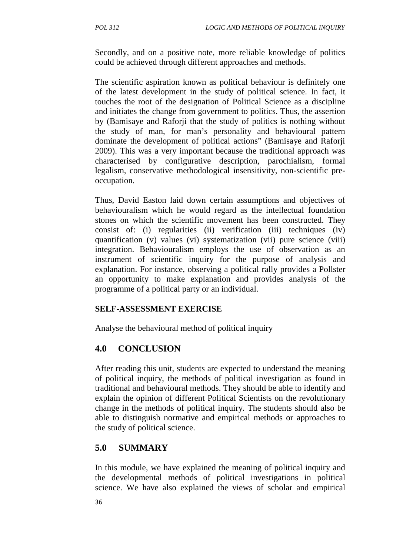Secondly, and on a positive note, more reliable knowledge of politics could be achieved through different approaches and methods.

The scientific aspiration known as political behaviour is definitely one of the latest development in the study of political science. In fact, it touches the root of the designation of Political Science as a discipline and initiates the change from government to politics. Thus, the assertion by (Bamisaye and Raforji that the study of politics is nothing without the study of man, for man's personality and behavioural pattern dominate the development of political actions" (Bamisaye and Raforji 2009). This was a very important because the traditional approach was characterised by configurative description, parochialism, formal legalism, conservative methodological insensitivity, non-scientific pre occupation.

Thus, David Easton laid down certain assumptions and objectives of behaviouralism which he would regard as the intellectual foundation stones on which the scientific movement has been constructed. They consist of: (i) regularities (ii) verification (iii) techniques (iv) quantification (v) values (vi) systematization (vii) pure science (viii) integration. Behaviouralism employs the use of observation as an instrument of scientific inquiry for the purpose of analysis and explanation. For instance, observing a political rally provides a Pollster an opportunity to make explanation and provides analysis of the programme of a political party or an individual.

#### **SELF-ASSESSMENT EXERCISE**

Analyse the behavioural method of political inquiry

### **4.0 CONCLUSION**

After reading this unit, students are expected to understand the meaning of political inquiry, the methods of political investigation as found in traditional and behavioural methods. They should be able to identify and explain the opinion of different Political Scientists on the revolutionary change in the methods of political inquiry. The students should also be able to distinguish normative and empirical methods or approaches to the study of political science.

### **5.0 SUMMARY**

In this module, we have explained the meaning of political inquiry and the developmental methods of political investigations in political science. We have also explained the views of scholar and empirical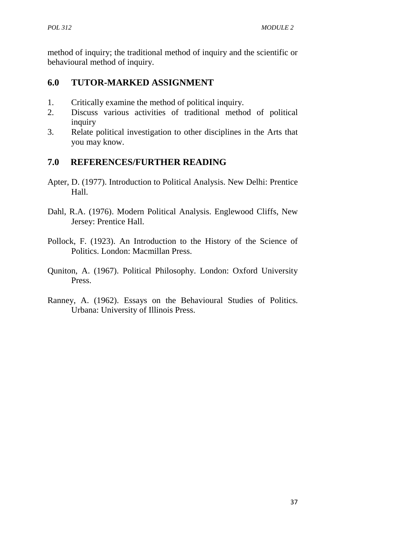method of inquiry; the traditional method of inquiry and the scientific or behavioural method of inquiry.

# **6.0 TUTOR-MARKED ASSIGNMENT**

- 1. Critically examine the method of political inquiry.
- 2. Discuss various activities of traditional method of political inquiry
- 3. Relate political investigation to other disciplines in the Arts that you may know.

- Apter, D. (1977). Introduction to Political Analysis. New Delhi: Prentice Hall.
- Dahl, R.A. (1976). Modern Political Analysis. Englewood Cliffs, New Jersey: Prentice Hall.
- Pollock, F. (1923). An Introduction to the History of the Science of Politics. London: Macmillan Press.
- Quniton, A. (1967). Political Philosophy. London: Oxford University Press.
- Ranney, A. (1962). Essays on the Behavioural Studies of Politics. Urbana: University of Illinois Press.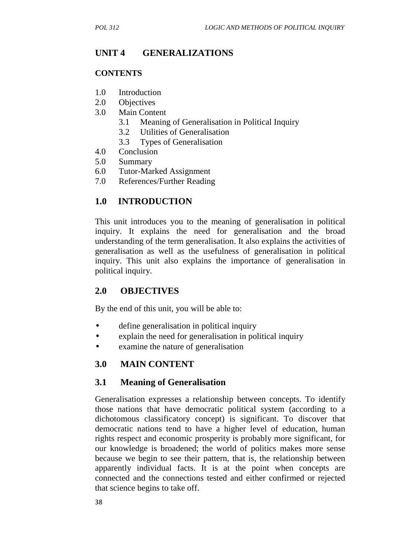# **UNIT 4 GENERALIZATIONS**

#### **CONTENTS**

- 1.0 Introduction
- 2.0 Objectives
- 3.0 Main Content
	- 3.1 Meaning of Generalisation in Political Inquiry
	- 3.2 Utilities of Generalisation
	- 3.3 Types of Generalisation
- 4.0 Conclusion
- 5.0 Summary
- 6.0 Tutor-Marked Assignment
- 7.0 References/Further Reading

# **1.0 INTRODUCTION**

This unit introduces you to the meaning of generalisation in political inquiry. It explains the need for generalisation and the broad understanding of the term generalisation. It also explains the activities of generalisation as well as the usefulness of generalisation in political inquiry. This unit also explains the importance of generalisation in political inquiry.

### **2.0 OBJECTIVES**

By the end of this unit, you will be able to:

- define generalisation in political inquiry
- explain the need for generalisation in political inquiry
- examine the nature of generalisation

# **3.0 MAIN CONTENT**

### **3.1 Meaning of Generalisation**

Generalisation expresses a relationship between concepts. To identify those nations that have democratic political system (according to a dichotomous classificatory concept) is significant. To discover that democratic nations tend to have a higher level of education, human rights respect and economic prosperity is probably more significant, for our knowledge is broadened; the world of politics makes more sense because we begin to see their pattern, that is, the relationship between apparently individual facts. It is at the point when concepts are connected and the connections tested and either confirmed or rejected that science begins to take off.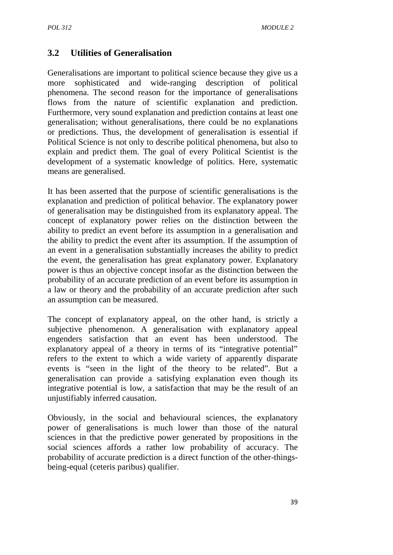# **3.2 Utilities of Generalisation**

Generalisations are important to political science because they give us a more sophisticated and wide-ranging description of political phenomena. The second reason for the importance of generalisations flows from the nature of scientific explanation and prediction. Furthermore, very sound explanation and prediction contains at least one generalisation; without generalisations, there could be no explanations or predictions. Thus, the development of generalisation is essential if Political Science is not only to describe political phenomena, but also to explain and predict them. The goal of every Political Scientist is the development of a systematic knowledge of politics. Here, systematic means are generalised.

It has been asserted that the purpose of scientific generalisations is the explanation and prediction of political behavior. The explanatory power of generalisation may be distinguished from its explanatory appeal. The concept of explanatory power relies on the distinction between the ability to predict an event before its assumption in a generalisation and the ability to predict the event after its assumption. If the assumption of an event in a generalisation substantially increases the ability to predict the event, the generalisation has great explanatory power. Explanatory power is thus an objective concept insofar as the distinction between the probability of an accurate prediction of an event before its assumption in a law or theory and the probability of an accurate prediction after such an assumption can be measured.

The concept of explanatory appeal, on the other hand, is strictly a subjective phenomenon. A generalisation with explanatory appeal engenders satisfaction that an event has been understood. The explanatory appeal of a theory in terms of its "integrative potential" refers to the extent to which a wide variety of apparently disparate events is "seen in the light of the theory to be related". But a generalisation can provide a satisfying explanation even though its integrative potential is low, a satisfaction that may be the result of an unjustifiably inferred causation.

Obviously, in the social and behavioural sciences, the explanatory power of generalisations is much lower than those of the natural sciences in that the predictive power generated by propositions in the social sciences affords a rather low probability of accuracy. The probability of accurate prediction is a direct function of the other-things being-equal (ceteris paribus) qualifier.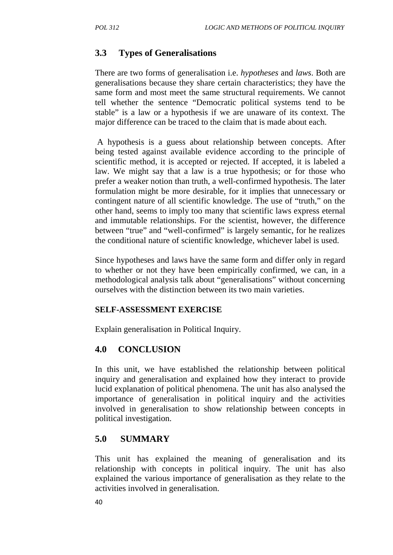# **3.3 Types of Generalisations**

There are two forms of generalisation i.e. *hypotheses* and *laws*. Both are generalisations because they share certain characteristics; they have the same form and most meet the same structural requirements. We cannot tell whether the sentence "Democratic political systems tend to be stable" is a law or a hypothesis if we are unaware of its context. The major difference can be traced to the claim that is made about each.

A hypothesis is a guess about relationship between concepts. After being tested against available evidence according to the principle of scientific method, it is accepted or rejected. If accepted, it is labeled a law. We might say that a law is a true hypothesis; or for those who prefer a weaker notion than truth, a well-confirmed hypothesis. The later formulation might be more desirable, for it implies that unnecessary or contingent nature of all scientific knowledge. The use of "truth," on the other hand, seems to imply too many that scientific laws express eternal and immutable relationships. For the scientist, however, the difference between "true" and "well-confirmed" is largely semantic, for he realizes the conditional nature of scientific knowledge, whichever label is used.

Since hypotheses and laws have the same form and differ only in regard to whether or not they have been empirically confirmed, we can, in a methodological analysis talk about "generalisations" without concerning ourselves with the distinction between its two main varieties.

#### **SELF-ASSESSMENT EXERCISE**

Explain generalisation in Political Inquiry.

#### **4.0 CONCLUSION**

In this unit, we have established the relationship between political inquiry and generalisation and explained how they interact to provide lucid explanation of political phenomena. The unit has also analysed the importance of generalisation in political inquiry and the activities involved in generalisation to show relationship between concepts in political investigation.

### **5.0 SUMMARY**

This unit has explained the meaning of generalisation and its relationship with concepts in political inquiry. The unit has also explained the various importance of generalisation as they relate to the activities involved in generalisation.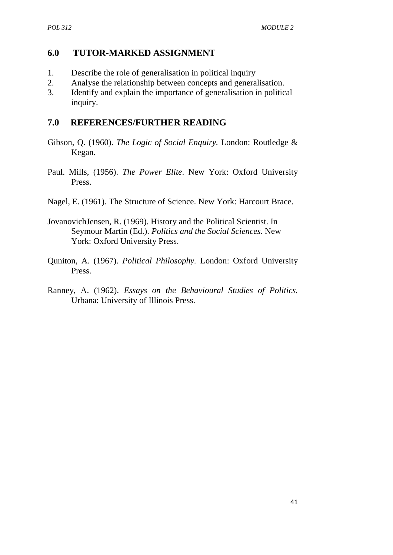#### **6.0 TUTOR-MARKED ASSIGNMENT**

- 1. Describe the role of generalisation in political inquiry
- 2. Analyse the relationship between concepts and generalisation.
- 3. Identify and explain the importance of generalisation in political inquiry.

- Gibson, Q. (1960). *The Logic of Social Enquiry.* London: Routledge & Kegan.
- Paul. Mills, (1956). *The Power Elite*. New York: Oxford University Press.
- Nagel, E. (1961). The Structure of Science. New York: Harcourt Brace.
- JovanovichJensen, R. (1969). History and the Political Scientist. In Seymour Martin (Ed.). *Politics and the Social Sciences*. New York: Oxford University Press.
- Quniton, A. (1967). *Political Philosophy.* London: Oxford University Press.
- Ranney, A. (1962). *Essays on the Behavioural Studies of Politics.* Urbana: University of Illinois Press.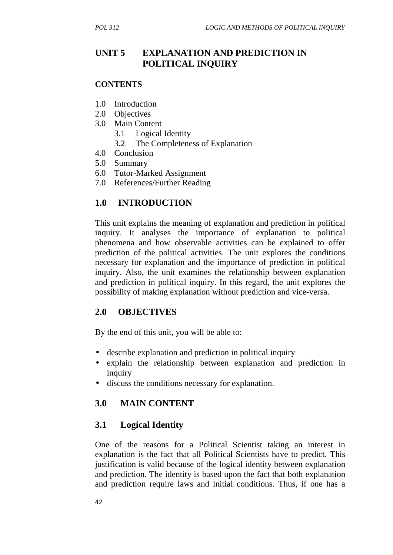# **UNIT 5 EXPLANATION AND PREDICTION IN POLITICAL INQUIRY**

#### **CONTENTS**

- 1.0 Introduction
- 2.0 Objectives
- 3.0 Main Content
	- 3.1 Logical Identity
	- 3.2 The Completeness of Explanation
- 4.0 Conclusion
- 5.0 Summary
- 6.0 Tutor-Marked Assignment
- 7.0 References/Further Reading

### **1.0 INTRODUCTION**

This unit explains the meaning of explanation and prediction in political inquiry. It analyses the importance of explanation to political phenomena and how observable activities can be explained to offer prediction of the political activities. The unit explores the conditions necessary for explanation and the importance of prediction in political inquiry. Also, the unit examines the relationship between explanation and prediction in political inquiry. In this regard, the unit explores the possibility of making explanation without prediction and vice-versa.

### **2.0 OBJECTIVES**

By the end of this unit, you will be able to:

- describe explanation and prediction in political inquiry
- explain the relationship between explanation and prediction in inquiry
- discuss the conditions necessary for explanation.

### **3.0 MAIN CONTENT**

### **3.1 Logical Identity**

One of the reasons for a Political Scientist taking an interest in explanation is the fact that all Political Scientists have to predict. This justification is valid because of the logical identity between explanation and prediction. The identity is based upon the fact that both explanation and prediction require laws and initial conditions. Thus, if one has a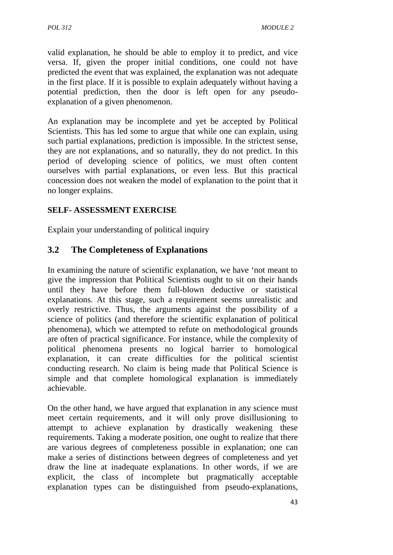valid explanation, he should be able to employ it to predict, and vice versa. If, given the proper initial conditions, one could not have predicted the event that was explained, the explanation was not adequate in the first place. If it is possible to explain adequately without having a potential prediction, then the door is left open for any pseudo explanation of a given phenomenon.

An explanation may be incomplete and yet be accepted by Political Scientists. This has led some to argue that while one can explain, using such partial explanations, prediction is impossible. In the strictest sense, they are not explanations, and so naturally, they do not predict. In this period of developing science of politics, we must often content ourselves with partial explanations, or even less. But this practical concession does not weaken the model of explanation to the point that it no longer explains.

#### **SELF- ASSESSMENT EXERCISE**

Explain your understanding of political inquiry

### **3.2 The Completeness of Explanations**

In examining the nature of scientific explanation, we have 'not meant to give the impression that Political Scientists ought to sit on their hands until they have before them full-blown deductive or statistical explanations. At this stage, such a requirement seems unrealistic and overly restrictive. Thus, the arguments against the possibility of a science of politics (and therefore the scientific explanation of political phenomena), which we attempted to refute on methodological grounds are often of practical significance. For instance, while the complexity of political phenomena presents no logical barrier to homological explanation, it can create difficulties for the political scientist conducting research. No claim is being made that Political Science is simple and that complete homological explanation is immediately achievable.

On the other hand, we have argued that explanation in any science must meet certain requirements, and it will only prove disillusioning to attempt to achieve explanation by drastically weakening these requirements. Taking a moderate position, one ought to realize that there are various degrees of completeness possible in explanation; one can make a series of distinctions between degrees of completeness and yet draw the line at inadequate explanations. In other words, if we are explicit, the class of incomplete but pragmatically acceptable explanation types can be distinguished from pseudo-explanations,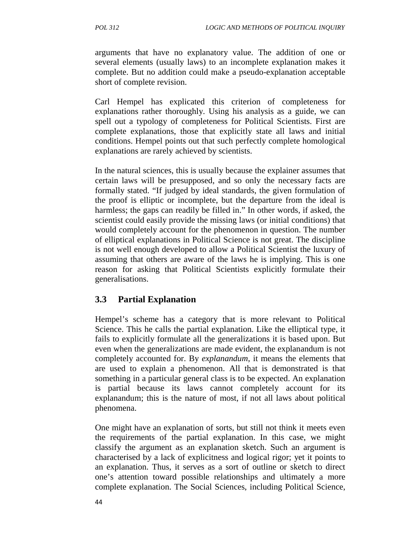arguments that have no explanatory value. The addition of one or several elements (usually laws) to an incomplete explanation makes it complete. But no addition could make a pseudo-explanation acceptable short of complete revision.

Carl Hempel has explicated this criterion of completeness for explanations rather thoroughly. Using his analysis as a guide, we can spell out a typology of completeness for Political Scientists. First are complete explanations, those that explicitly state all laws and initial conditions. Hempel points out that such perfectly complete homological explanations are rarely achieved by scientists.

In the natural sciences, this is usually because the explainer assumes that certain laws will be presupposed, and so only the necessary facts are formally stated. "If judged by ideal standards, the given formulation of the proof is elliptic or incomplete, but the departure from the ideal is harmless; the gaps can readily be filled in." In other words, if asked, the scientist could easily provide the missing laws (or initial conditions) that would completely account for the phenomenon in question. The number of elliptical explanations in Political Science is not great. The discipline is not well enough developed to allow a Political Scientist the luxury of assuming that others are aware of the laws he is implying. This is one reason for asking that Political Scientists explicitly formulate their generalisations.

# **3.3 Partial Explanation**

Hempel's scheme has a category that is more relevant to Political Science. This he calls the partial explanation. Like the elliptical type, it fails to explicitly formulate all the generalizations it is based upon. But even when the generalizations are made evident, the explanandum is not completely accounted for. By *explanandum*, it means the elements that are used to explain a phenomenon. All that is demonstrated is that something in a particular general class is to be expected. An explanation is partial because its laws cannot completely account for its explanandum; this is the nature of most, if not all laws about political phenomena.

One might have an explanation of sorts, but still not think it meets even the requirements of the partial explanation. In this case, we might classify the argument as an explanation sketch. Such an argument is characterised by a lack of explicitness and logical rigor; yet it points to an explanation. Thus, it serves as a sort of outline or sketch to direct one's attention toward possible relationships and ultimately a more complete explanation. The Social Sciences, including Political Science,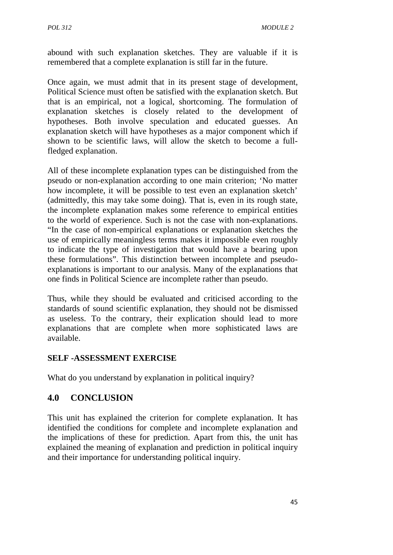abound with such explanation sketches. They are valuable if it is remembered that a complete explanation is still far in the future.

Once again, we must admit that in its present stage of development, Political Science must often be satisfied with the explanation sketch. But that is an empirical, not a logical, shortcoming. The formulation of explanation sketches is closely related to the development of hypotheses. Both involve speculation and educated guesses. An explanation sketch will have hypotheses as a major component which if shown to be scientific laws, will allow the sketch to become a fullfledged explanation.

All of these incomplete explanation types can be distinguished from the pseudo or non-explanation according to one main criterion; 'No matter how incomplete, it will be possible to test even an explanation sketch' (admittedly, this may take some doing). That is, even in its rough state, the incomplete explanation makes some reference to empirical entities to the world of experience. Such is not the case with non-explanations. "In the case of non-empirical explanations or explanation sketches the use of empirically meaningless terms makes it impossible even roughly to indicate the type of investigation that would have a bearing upon these formulations". This distinction between incomplete and pseudo explanations is important to our analysis. Many of the explanations that one finds in Political Science are incomplete rather than pseudo.

Thus, while they should be evaluated and criticised according to the standards of sound scientific explanation, they should not be dismissed as useless. To the contrary, their explication should lead to more explanations that are complete when more sophisticated laws are available.

#### **SELF -ASSESSMENT EXERCISE**

What do you understand by explanation in political inquiry?

# **4.0 CONCLUSION**

This unit has explained the criterion for complete explanation. It has identified the conditions for complete and incomplete explanation and the implications of these for prediction. Apart from this, the unit has explained the meaning of explanation and prediction in political inquiry and their importance for understanding political inquiry.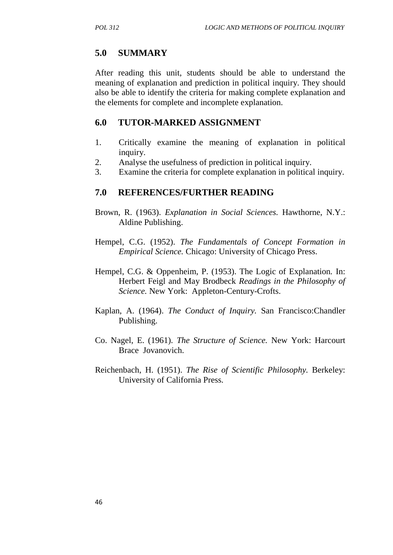## **5.0 SUMMARY**

After reading this unit, students should be able to understand the meaning of explanation and prediction in political inquiry. They should also be able to identify the criteria for making complete explanation and the elements for complete and incomplete explanation.

#### **6.0 TUTOR-MARKED ASSIGNMENT**

- 1. Critically examine the meaning of explanation in political inquiry.
- 2. Analyse the usefulness of prediction in political inquiry.
- 3. Examine the criteria for complete explanation in political inquiry.

- Brown, R. (1963). *Explanation in Social Sciences.* Hawthorne, N.Y.: Aldine Publishing.
- Hempel, C.G. (1952). *The Fundamentals of Concept Formation in Empirical Science.* Chicago: University of Chicago Press.
- Hempel, C.G. & Oppenheim, P. (1953). The Logic of Explanation*.* In: Herbert Feigl and May Brodbeck *Readings in the Philosophy of Science.* New York: Appleton-Century-Crofts.
- Kaplan, A. (1964). *The Conduct of Inquiry.* San Francisco:Chandler Publishing.
- Co. Nagel, E. (1961). *The Structure of Science.* New York: Harcourt Brace Jovanovich.
- Reichenbach, H. (1951). *The Rise of Scientific Philosophy.* Berkeley: University of California Press.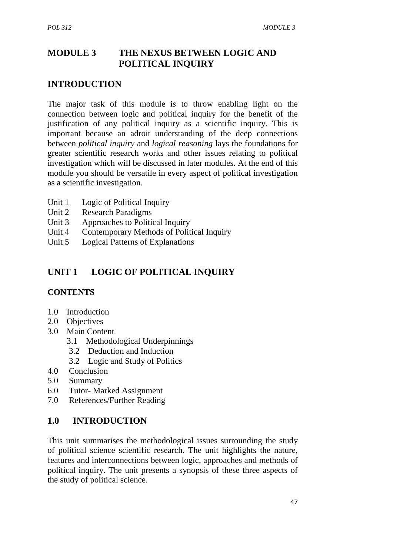## **MODULE 3 THE NEXUS BETWEEN LOGIC AND POLITICAL INQUIRY**

#### **INTRODUCTION**

The major task of this module is to throw enabling light on the connection between logic and political inquiry for the benefit of the justification of any political inquiry as a scientific inquiry. This is important because an adroit understanding of the deep connections between *political inquiry* and *logical reasoning* lays the foundations for greater scientific research works and other issues relating to political investigation which will be discussed in later modules. At the end of this module you should be versatile in every aspect of political investigation as a scientific investigation.

- Unit 1 Logic of Political Inquiry
- Unit 2 Research Paradigms
- Unit 3 Approaches to Political Inquiry
- Unit 4 Contemporary Methods of Political Inquiry
- Unit 5 Logical Patterns of Explanations

### **UNIT 1 LOGIC OF POLITICAL INQUIRY**

#### **CONTENTS**

- 1.0 Introduction
- 2.0 Objectives
- 3.0 Main Content
	- 3.1 Methodological Underpinnings
	- 3.2 Deduction and Induction
	- 3.2 Logic and Study of Politics
- 4.0 Conclusion
- 5.0 Summary
- 6.0 Tutor- Marked Assignment
- 7.0 References/Further Reading

### **1.0 INTRODUCTION**

This unit summarises the methodological issues surrounding the study of political science scientific research. The unit highlights the nature, features and interconnections between logic, approaches and methods of political inquiry. The unit presents a synopsis of these three aspects of the study of political science.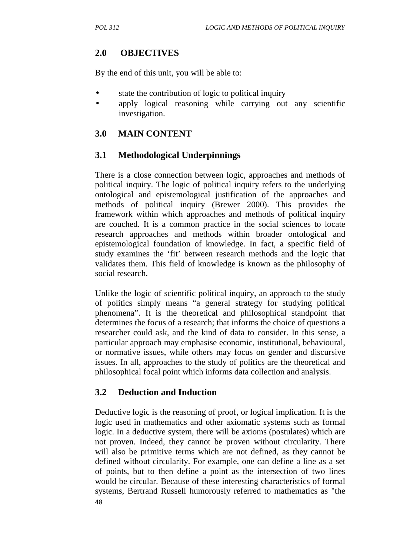# **2.0 OBJECTIVES**

By the end of this unit, you will be able to:

- state the contribution of logic to political inquiry
- apply logical reasoning while carrying out any scientific investigation.

### **3.0 MAIN CONTENT**

#### **3.1 Methodological Underpinnings**

There is a close connection between logic, approaches and methods of political inquiry. The logic of political inquiry refers to the underlying ontological and epistemological justification of the approaches and methods of political inquiry (Brewer 2000). This provides the framework within which approaches and methods of political inquiry are couched. It is a common practice in the social sciences to locate research approaches and methods within broader ontological and epistemological foundation of knowledge. In fact, a specific field of study examines the 'fit' between research methods and the logic that validates them. This field of knowledge is known as the philosophy of social research.

Unlike the logic of scientific political inquiry, an approach to the study of politics simply means "a general strategy for studying political phenomena". It is the theoretical and philosophical standpoint that determines the focus of a research; that informs the choice of questions a researcher could ask, and the kind of data to consider. In this sense, a particular approach may emphasise economic, institutional, behavioural, or normative issues, while others may focus on gender and discursive issues. In all, approaches to the study of politics are the theoretical and philosophical focal point which informs data collection and analysis.

### **3.2 Deduction and Induction**

48 Deductive logic is the reasoning of proof, or logical implication. It is the logic used in mathematics and other axiomatic systems such as formal logic. In a deductive system, there will be axioms (postulates) which are not proven. Indeed, they cannot be proven without circularity. There will also be primitive terms which are not defined, as they cannot be defined without circularity. For example, one can define a line as a set of points, but to then define a point as the intersection of two lines would be circular. Because of these interesting characteristics of formal systems, Bertrand Russell humorously referred to mathematics as "the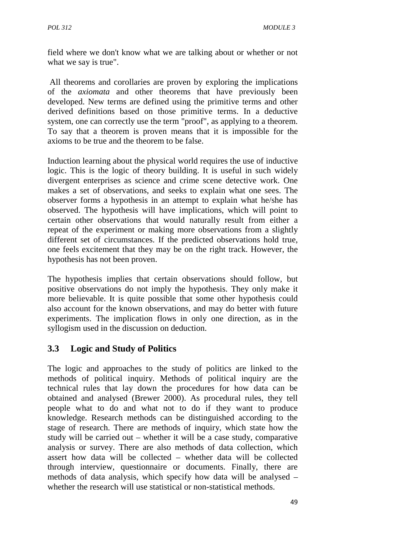field where we don't know what we are talking about or whether or not what we say is true".

All theorems and corollaries are proven by exploring the implications of the *axiomata* and other theorems that have previously been developed. New terms are defined using the primitive terms and other derived definitions based on those primitive terms. In a deductive system, one can correctly use the term "proof", as applying to a theorem. To say that a theorem is proven means that it is impossible for the axioms to be true and the theorem to be false.

Induction learning about the physical world requires the use of inductive logic. This is the logic of theory building. It is useful in such widely divergent enterprises as science and crime scene detective work. One makes a set of observations, and seeks to explain what one sees. The observer forms a hypothesis in an attempt to explain what he/she has observed. The hypothesis will have implications, which will point to certain other observations that would naturally result from either a repeat of the experiment or making more observations from a slightly different set of circumstances. If the predicted observations hold true, one feels excitement that they may be on the right track. However, the hypothesis has not been proven.

The hypothesis implies that certain observations should follow, but positive observations do not imply the hypothesis. They only make it more believable. It is quite possible that some other hypothesis could also account for the known observations, and may do better with future experiments. The implication flows in only one direction, as in the syllogism used in the discussion on deduction.

# **3.3 Logic and Study of Politics**

The logic and approaches to the study of politics are linked to the methods of political inquiry. Methods of political inquiry are the technical rules that lay down the procedures for how data can be obtained and analysed (Brewer 2000). As procedural rules, they tell people what to do and what not to do if they want to produce knowledge. Research methods can be distinguished according to the stage of research. There are methods of inquiry, which state how the study will be carried out – whether it will be a case study, comparative analysis or survey. There are also methods of data collection, which assert how data will be collected – whether data will be collected through interview, questionnaire or documents. Finally, there are methods of data analysis, which specify how data will be analysed – whether the research will use statistical or non-statistical methods.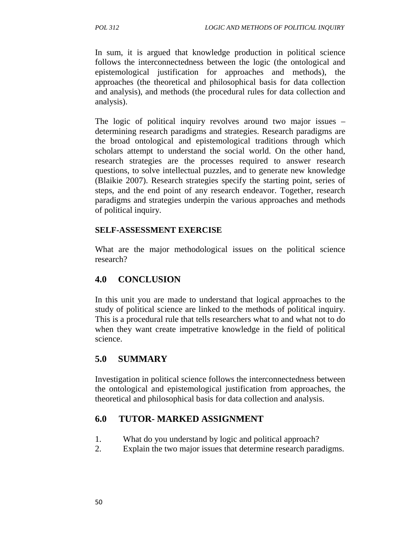In sum, it is argued that knowledge production in political science follows the interconnectedness between the logic (the ontological and epistemological justification for approaches and methods), the approaches (the theoretical and philosophical basis for data collection and analysis), and methods (the procedural rules for data collection and analysis).

The logic of political inquiry revolves around two major issues – determining research paradigms and strategies. Research paradigms are the broad ontological and epistemological traditions through which scholars attempt to understand the social world. On the other hand, research strategies are the processes required to answer research questions, to solve intellectual puzzles, and to generate new knowledge (Blaikie 2007). Research strategies specify the starting point, series of steps, and the end point of any research endeavor. Together, research paradigms and strategies underpin the various approaches and methods of political inquiry.

#### **SELF-ASSESSMENT EXERCISE**

What are the major methodological issues on the political science research?

# **4.0 CONCLUSION**

In this unit you are made to understand that logical approaches to the study of political science are linked to the methods of political inquiry. This is a procedural rule that tells researchers what to and what not to do when they want create impetrative knowledge in the field of political science.

# **5.0 SUMMARY**

Investigation in political science follows the interconnectedness between the ontological and epistemological justification from approaches, the theoretical and philosophical basis for data collection and analysis.

# **6.0 TUTOR- MARKED ASSIGNMENT**

- 1. What do you understand by logic and political approach?
- 2. Explain the two major issues that determine research paradigms.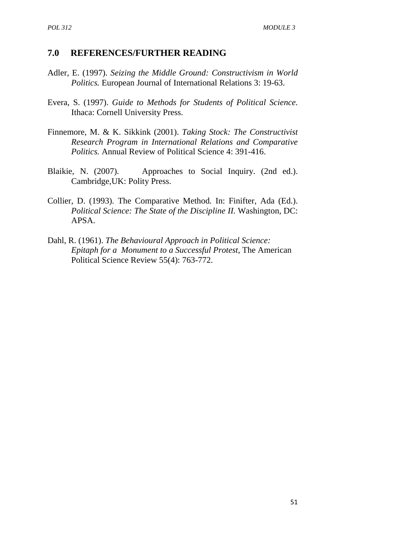- Adler, E. (1997). *Seizing the Middle Ground: Constructivism in World Politics.* European Journal of International Relations 3: 19-63.
- Evera, S. (1997). *Guide to Methods for Students of Political Science.* Ithaca: Cornell University Press.
- Finnemore, M. & K. Sikkink (2001). *Taking Stock: The Constructivist Research Program in International Relations and Comparative Politics.* Annual Review of Political Science 4: 391-416.
- Blaikie, N. (2007). Approaches to Social Inquiry. (2nd ed.). Cambridge,UK: Polity Press.
- Collier, D. (1993). The Comparative Method*.* In: Finifter, Ada (Ed.). *Political Science: The State of the Discipline II.* Washington, DC: APSA.
- Dahl, R. (1961). *The Behavioural Approach in Political Science: Epitaph for a Monument to a Successful Protest*, The American Political Science Review 55(4): 763-772.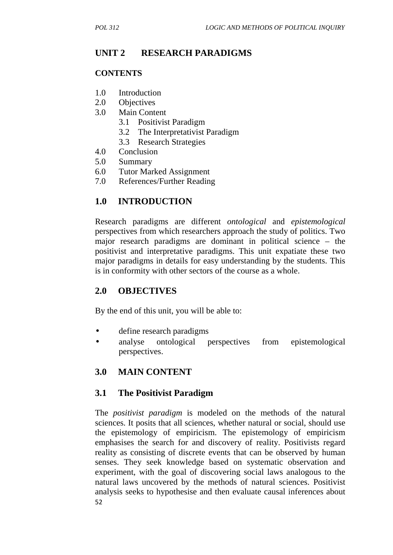# **UNIT 2 RESEARCH PARADIGMS**

#### **CONTENTS**

- 1.0 Introduction
- 2.0 Objectives
- 3.0 Main Content
	- 3.1 Positivist Paradigm
	- 3.2 The Interpretativist Paradigm
	- 3.3 Research Strategies
- 4.0 Conclusion
- 5.0 Summary
- 6.0 Tutor Marked Assignment
- 7.0 References/Further Reading

# **1.0 INTRODUCTION**

Research paradigms are different *ontological* and *epistemological* perspectives from which researchers approach the study of politics. Two major research paradigms are dominant in political science – the positivist and interpretative paradigms. This unit expatiate these two major paradigms in details for easy understanding by the students. This is in conformity with other sectors of the course as a whole.

# **2.0 OBJECTIVES**

By the end of this unit, you will be able to:

- define research paradigms
- analyse ontological perspectives from epistemological perspectives.

# **3.0 MAIN CONTENT**

### **3.1 The Positivist Paradigm**

52 The *positivist paradigm* is modeled on the methods of the natural sciences. It posits that all sciences, whether natural or social, should use the epistemology of empiricism. The epistemology of empiricism emphasises the search for and discovery of reality. Positivists regard reality as consisting of discrete events that can be observed by human senses. They seek knowledge based on systematic observation and experiment, with the goal of discovering social laws analogous to the natural laws uncovered by the methods of natural sciences. Positivist analysis seeks to hypothesise and then evaluate causal inferences about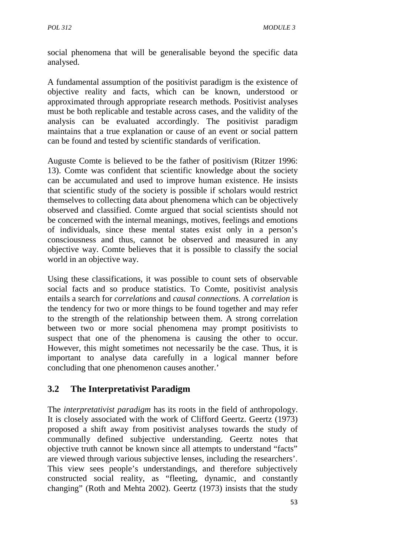social phenomena that will be generalisable beyond the specific data analysed.

A fundamental assumption of the positivist paradigm is the existence of objective reality and facts, which can be known, understood or approximated through appropriate research methods. Positivist analyses must be both replicable and testable across cases, and the validity of the analysis can be evaluated accordingly. The positivist paradigm maintains that a true explanation or cause of an event or social pattern can be found and tested by scientific standards of verification.

Auguste Comte is believed to be the father of positivism (Ritzer 1996: 13). Comte was confident that scientific knowledge about the society can be accumulated and used to improve human existence. He insists that scientific study of the society is possible if scholars would restrict themselves to collecting data about phenomena which can be objectively observed and classified. Comte argued that social scientists should not be concerned with the internal meanings, motives, feelings and emotions of individuals, since these mental states exist only in a person's consciousness and thus, cannot be observed and measured in any objective way. Comte believes that it is possible to classify the social world in an objective way.

Using these classifications, it was possible to count sets of observable social facts and so produce statistics. To Comte, positivist analysis entails a search for *correlations* and *causal connections*. A *correlation* is the tendency for two or more things to be found together and may refer to the strength of the relationship between them. A strong correlation between two or more social phenomena may prompt positivists to suspect that one of the phenomena is causing the other to occur. However, this might sometimes not necessarily be the case. Thus, it is important to analyse data carefully in a logical manner before concluding that one phenomenon causes another.'

# **3.2 The Interpretativist Paradigm**

The *interpretativist paradigm* has its roots in the field of anthropology. It is closely associated with the work of Clifford Geertz. Geertz (1973) proposed a shift away from positivist analyses towards the study of communally defined subjective understanding. Geertz notes that objective truth cannot be known since all attempts to understand "facts" are viewed through various subjective lenses, including the researchers'. This view sees people's understandings, and therefore subjectively constructed social reality, as "fleeting, dynamic, and constantly changing" (Roth and Mehta 2002). Geertz (1973) insists that the study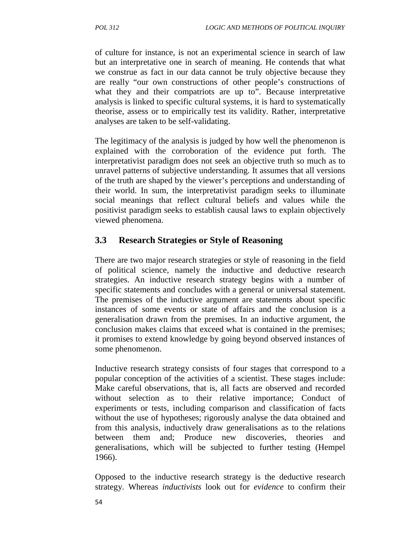of culture for instance, is not an experimental science in search of law but an interpretative one in search of meaning. He contends that what we construe as fact in our data cannot be truly objective because they are really "our own constructions of other people's constructions of what they and their compatriots are up to". Because interpretative analysis is linked to specific cultural systems, it is hard to systematically theorise, assess or to empirically test its validity. Rather, interpretative analyses are taken to be self-validating.

The legitimacy of the analysis is judged by how well the phenomenon is explained with the corroboration of the evidence put forth. The interpretativist paradigm does not seek an objective truth so much as to unravel patterns of subjective understanding. It assumes that all versions of the truth are shaped by the viewer's perceptions and understanding of their world. In sum, the interpretativist paradigm seeks to illuminate social meanings that reflect cultural beliefs and values while the positivist paradigm seeks to establish causal laws to explain objectively viewed phenomena.

## **3.3 Research Strategies or Style of Reasoning**

There are two major research strategies or style of reasoning in the field of political science, namely the inductive and deductive research strategies. An inductive research strategy begins with a number of specific statements and concludes with a general or universal statement. The premises of the inductive argument are statements about specific instances of some events or state of affairs and the conclusion is a generalisation drawn from the premises. In an inductive argument, the conclusion makes claims that exceed what is contained in the premises; it promises to extend knowledge by going beyond observed instances of some phenomenon.

Inductive research strategy consists of four stages that correspond to a popular conception of the activities of a scientist. These stages include: Make careful observations, that is, all facts are observed and recorded without selection as to their relative importance; Conduct of experiments or tests, including comparison and classification of facts without the use of hypotheses; rigorously analyse the data obtained and from this analysis, inductively draw generalisations as to the relations between them and; Produce new discoveries, theories and generalisations, which will be subjected to further testing (Hempel 1966).

Opposed to the inductive research strategy is the deductive research strategy. Whereas *inductivists* look out for *evidence* to confirm their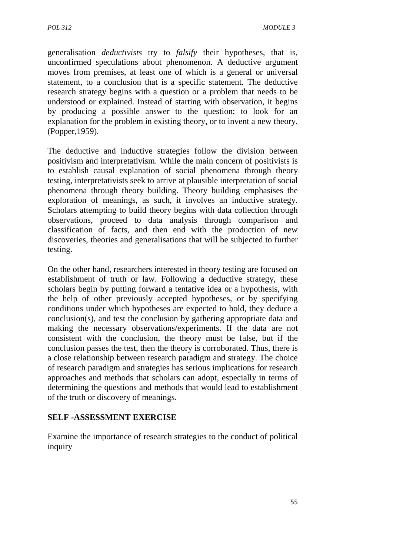generalisation *deductivists* try to *falsify* their hypotheses, that is, unconfirmed speculations about phenomenon. A deductive argument moves from premises, at least one of which is a general or universal statement, to a conclusion that is a specific statement. The deductive research strategy begins with a question or a problem that needs to be understood or explained. Instead of starting with observation, it begins by producing a possible answer to the question; to look for an explanation for the problem in existing theory, or to invent a new theory. (Popper,1959).

The deductive and inductive strategies follow the division between positivism and interpretativism. While the main concern of positivists is to establish causal explanation of social phenomena through theory testing, interpretativists seek to arrive at plausible interpretation of social phenomena through theory building. Theory building emphasises the exploration of meanings, as such, it involves an inductive strategy. Scholars attempting to build theory begins with data collection through observations, proceed to data analysis through comparison and classification of facts, and then end with the production of new discoveries, theories and generalisations that will be subjected to further testing.

On the other hand, researchers interested in theory testing are focused on establishment of truth or law. Following a deductive strategy, these scholars begin by putting forward a tentative idea or a hypothesis, with the help of other previously accepted hypotheses, or by specifying conditions under which hypotheses are expected to hold, they deduce a conclusion(s), and test the conclusion by gathering appropriate data and making the necessary observations/experiments. If the data are not consistent with the conclusion, the theory must be false, but if the conclusion passes the test, then the theory is corroborated. Thus, there is a close relationship between research paradigm and strategy. The choice of research paradigm and strategies has serious implications for research approaches and methods that scholars can adopt, especially in terms of determining the questions and methods that would lead to establishment of the truth or discovery of meanings.

#### **SELF -ASSESSMENT EXERCISE**

Examine the importance of research strategies to the conduct of political inquiry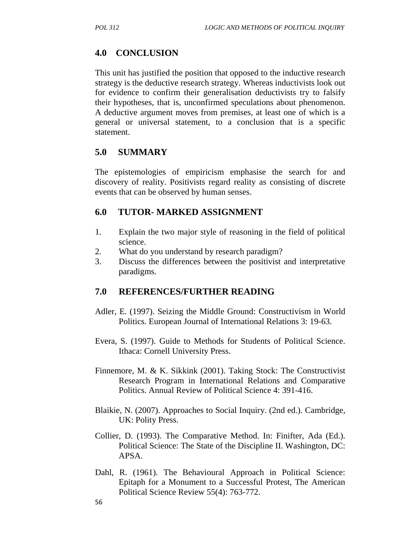# **4.0 CONCLUSION**

This unit has justified the position that opposed to the inductive research strategy is the deductive research strategy. Whereas inductivists look out for evidence to confirm their generalisation deductivists try to falsify their hypotheses, that is, unconfirmed speculations about phenomenon. A deductive argument moves from premises, at least one of which is a general or universal statement, to a conclusion that is a specific statement.

## **5.0 SUMMARY**

The epistemologies of empiricism emphasise the search for and discovery of reality. Positivists regard reality as consisting of discrete events that can be observed by human senses.

## **6.0 TUTOR- MARKED ASSIGNMENT**

- 1. Explain the two major style of reasoning in the field of political science.
- 2. What do you understand by research paradigm?
- 3. Discuss the differences between the positivist and interpretative paradigms.

- Adler, E. (1997). Seizing the Middle Ground: Constructivism in World Politics. European Journal of International Relations 3: 19-63.
- Evera, S. (1997). Guide to Methods for Students of Political Science. Ithaca: Cornell University Press.
- Finnemore, M. & K. Sikkink (2001). Taking Stock: The Constructivist Research Program in International Relations and Comparative Politics. Annual Review of Political Science 4: 391-416.
- Blaikie, N. (2007). Approaches to Social Inquiry. (2nd ed.). Cambridge, UK: Polity Press.
- Collier, D. (1993). The Comparative Method. In: Finifter, Ada (Ed.). Political Science: The State of the Discipline II. Washington, DC: APSA.
- Dahl, R. (1961). The Behavioural Approach in Political Science: Epitaph for a Monument to a Successful Protest, The American Political Science Review 55(4): 763-772.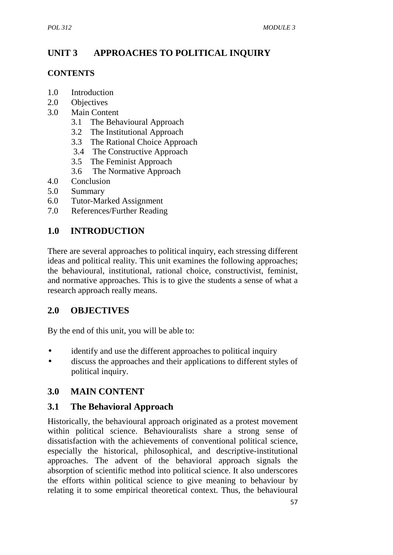# **UNIT 3 APPROACHES TO POLITICAL INQUIRY**

### **CONTENTS**

- 1.0 Introduction
- 2.0 Objectives
- 3.0 Main Content
	- 3.1 The Behavioural Approach
	- 3.2 The Institutional Approach
	- 3.3 The Rational Choice Approach
	- 3.4 The Constructive Approach
	- 3.5 The Feminist Approach
	- 3.6 The Normative Approach
- 4.0 Conclusion
- 5.0 Summary
- 6.0 Tutor-Marked Assignment
- 7.0 References/Further Reading

# **1.0 INTRODUCTION**

There are several approaches to political inquiry, each stressing different ideas and political reality. This unit examines the following approaches; the behavioural, institutional, rational choice, constructivist, feminist, and normative approaches. This is to give the students a sense of what a research approach really means.

## **2.0 OBJECTIVES**

By the end of this unit, you will be able to:

- identify and use the different approaches to political inquiry
- discuss the approaches and their applications to different styles of political inquiry.

## **3.0 MAIN CONTENT**

## **3.1 The Behavioral Approach**

Historically, the behavioural approach originated as a protest movement within political science. Behaviouralists share a strong sense of dissatisfaction with the achievements of conventional political science, especially the historical, philosophical, and descriptive-institutional approaches. The advent of the behavioral approach signals the absorption of scientific method into political science. It also underscores the efforts within political science to give meaning to behaviour by relating it to some empirical theoretical context. Thus, the behavioural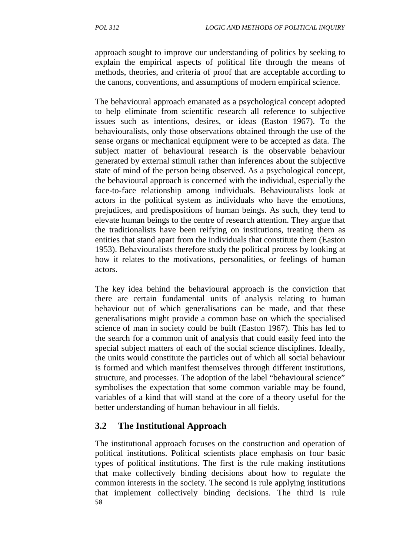approach sought to improve our understanding of politics by seeking to explain the empirical aspects of political life through the means of methods, theories, and criteria of proof that are acceptable according to the canons, conventions, and assumptions of modern empirical science.

The behavioural approach emanated as a psychological concept adopted to help eliminate from scientific research all reference to subjective issues such as intentions, desires, or ideas (Easton 1967). To the behaviouralists, only those observations obtained through the use of the sense organs or mechanical equipment were to be accepted as data. The subject matter of behavioural research is the observable behaviour generated by external stimuli rather than inferences about the subjective state of mind of the person being observed. As a psychological concept, the behavioural approach is concerned with the individual, especially the face-to-face relationship among individuals. Behaviouralists look at actors in the political system as individuals who have the emotions, prejudices, and predispositions of human beings. As such, they tend to elevate human beings to the centre of research attention. They argue that the traditionalists have been reifying on institutions, treating them as entities that stand apart from the individuals that constitute them (Easton 1953). Behaviouralists therefore study the political process by looking at how it relates to the motivations, personalities, or feelings of human actors.

The key idea behind the behavioural approach is the conviction that there are certain fundamental units of analysis relating to human behaviour out of which generalisations can be made, and that these generalisations might provide a common base on which the specialised science of man in society could be built (Easton 1967). This has led to the search for a common unit of analysis that could easily feed into the special subject matters of each of the social science disciplines. Ideally, the units would constitute the particles out of which all social behaviour is formed and which manifest themselves through different institutions, structure, and processes. The adoption of the label "behavioural science" symbolises the expectation that some common variable may be found, variables of a kind that will stand at the core of a theory useful for the better understanding of human behaviour in all fields.

# **3.2 The Institutional Approach**

58 The institutional approach focuses on the construction and operation of political institutions. Political scientists place emphasis on four basic types of political institutions. The first is the rule making institutions that make collectively binding decisions about how to regulate the common interests in the society. The second is rule applying institutions that implement collectively binding decisions. The third is rule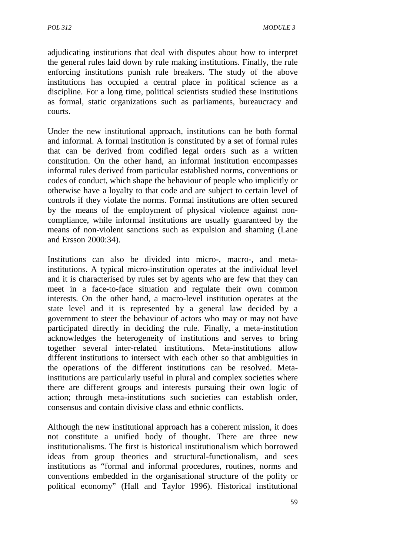adjudicating institutions that deal with disputes about how to interpret the general rules laid down by rule making institutions. Finally, the rule enforcing institutions punish rule breakers. The study of the above institutions has occupied a central place in political science as a discipline. For a long time, political scientists studied these institutions as formal, static organizations such as parliaments, bureaucracy and courts.

Under the new institutional approach, institutions can be both formal and informal. A formal institution is constituted by a set of formal rules that can be derived from codified legal orders such as a written constitution. On the other hand, an informal institution encompasses informal rules derived from particular established norms, conventions or codes of conduct, which shape the behaviour of people who implicitly or otherwise have a loyalty to that code and are subject to certain level of controls if they violate the norms. Formal institutions are often secured by the means of the employment of physical violence against non compliance, while informal institutions are usually guaranteed by the means of non-violent sanctions such as expulsion and shaming (Lane and Ersson 2000:34).

Institutions can also be divided into micro-, macro-, and metainstitutions. A typical micro-institution operates at the individual level and it is characterised by rules set by agents who are few that they can meet in a face-to-face situation and regulate their own common interests. On the other hand, a macro-level institution operates at the state level and it is represented by a general law decided by a government to steer the behaviour of actors who may or may not have participated directly in deciding the rule. Finally, a meta-institution acknowledges the heterogeneity of institutions and serves to bring together several inter-related institutions. Meta-institutions allow different institutions to intersect with each other so that ambiguities in the operations of the different institutions can be resolved. Metainstitutions are particularly useful in plural and complex societies where there are different groups and interests pursuing their own logic of action; through meta-institutions such societies can establish order, consensus and contain divisive class and ethnic conflicts.

Although the new institutional approach has a coherent mission, it does not constitute a unified body of thought. There are three new institutionalisms. The first is historical institutionalism which borrowed ideas from group theories and structural-functionalism, and sees institutions as "formal and informal procedures, routines, norms and conventions embedded in the organisational structure of the polity or political economy" (Hall and Taylor 1996). Historical institutional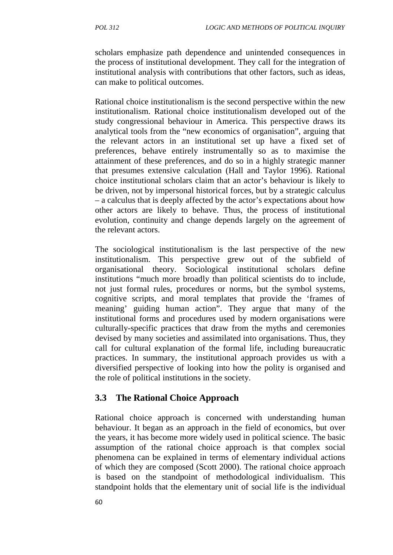scholars emphasize path dependence and unintended consequences in the process of institutional development. They call for the integration of institutional analysis with contributions that other factors, such as ideas, can make to political outcomes.

Rational choice institutionalism is the second perspective within the new institutionalism. Rational choice institutionalism developed out of the study congressional behaviour in America. This perspective draws its analytical tools from the "new economics of organisation", arguing that the relevant actors in an institutional set up have a fixed set of preferences, behave entirely instrumentally so as to maximise the attainment of these preferences, and do so in a highly strategic manner that presumes extensive calculation (Hall and Taylor 1996). Rational choice institutional scholars claim that an actor's behaviour is likely to be driven, not by impersonal historical forces, but by a strategic calculus – a calculus that is deeply affected by the actor's expectations about how other actors are likely to behave. Thus, the process of institutional evolution, continuity and change depends largely on the agreement of the relevant actors.

The sociological institutionalism is the last perspective of the new institutionalism. This perspective grew out of the subfield of organisational theory. Sociological institutional scholars define institutions "much more broadly than political scientists do to include, not just formal rules, procedures or norms, but the symbol systems, cognitive scripts, and moral templates that provide the 'frames of meaning' guiding human action". They argue that many of the institutional forms and procedures used by modern organisations were culturally-specific practices that draw from the myths and ceremonies devised by many societies and assimilated into organisations. Thus, they call for cultural explanation of the formal life, including bureaucratic practices. In summary, the institutional approach provides us with a diversified perspective of looking into how the polity is organised and the role of political institutions in the society.

## **3.3 The Rational Choice Approach**

Rational choice approach is concerned with understanding human behaviour. It began as an approach in the field of economics, but over the years, it has become more widely used in political science. The basic assumption of the rational choice approach is that complex social phenomena can be explained in terms of elementary individual actions of which they are composed (Scott 2000). The rational choice approach is based on the standpoint of methodological individualism. This standpoint holds that the elementary unit of social life is the individual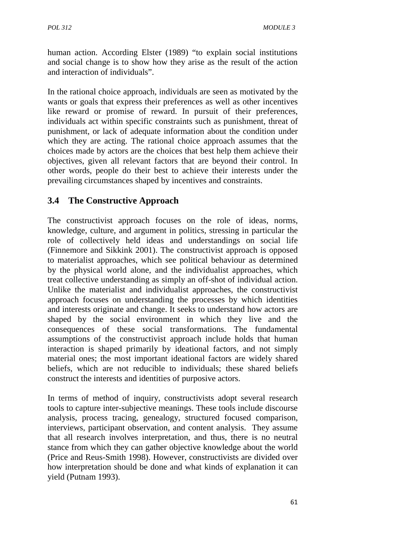human action. According Elster (1989) "to explain social institutions and social change is to show how they arise as the result of the action and interaction of individuals".

In the rational choice approach, individuals are seen as motivated by the wants or goals that express their preferences as well as other incentives like reward or promise of reward. In pursuit of their preferences, individuals act within specific constraints such as punishment, threat of punishment, or lack of adequate information about the condition under which they are acting. The rational choice approach assumes that the choices made by actors are the choices that best help them achieve their objectives, given all relevant factors that are beyond their control. In other words, people do their best to achieve their interests under the prevailing circumstances shaped by incentives and constraints.

# **3.4 The Constructive Approach**

The constructivist approach focuses on the role of ideas, norms, knowledge, culture, and argument in politics, stressing in particular the role of collectively held ideas and understandings on social life (Finnemore and Sikkink 2001). The constructivist approach is opposed to materialist approaches, which see political behaviour as determined by the physical world alone, and the individualist approaches, which treat collective understanding as simply an off-shot of individual action. Unlike the materialist and individualist approaches, the constructivist approach focuses on understanding the processes by which identities and interests originate and change. It seeks to understand how actors are shaped by the social environment in which they live and the consequences of these social transformations. The fundamental assumptions of the constructivist approach include holds that human interaction is shaped primarily by ideational factors, and not simply material ones; the most important ideational factors are widely shared beliefs, which are not reducible to individuals; these shared beliefs construct the interests and identities of purposive actors.

In terms of method of inquiry, constructivists adopt several research tools to capture inter-subjective meanings. These tools include discourse analysis, process tracing, genealogy, structured focused comparison, interviews, participant observation, and content analysis. They assume that all research involves interpretation, and thus, there is no neutral stance from which they can gather objective knowledge about the world (Price and Reus-Smith 1998). However, constructivists are divided over how interpretation should be done and what kinds of explanation it can yield (Putnam 1993).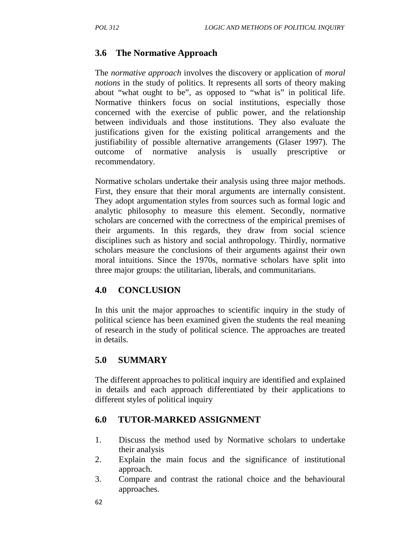# **3.6 The Normative Approach**

The *normative approach* involves the discovery or application of *moral notions* in the study of politics. It represents all sorts of theory making about "what ought to be", as opposed to "what is" in political life. Normative thinkers focus on social institutions, especially those concerned with the exercise of public power, and the relationship between individuals and those institutions. They also evaluate the justifications given for the existing political arrangements and the justifiability of possible alternative arrangements (Glaser 1997). The outcome of normative analysis is usually prescriptive or recommendatory.

Normative scholars undertake their analysis using three major methods. First, they ensure that their moral arguments are internally consistent. They adopt argumentation styles from sources such as formal logic and analytic philosophy to measure this element. Secondly, normative scholars are concerned with the correctness of the empirical premises of their arguments. In this regards, they draw from social science disciplines such as history and social anthropology. Thirdly, normative scholars measure the conclusions of their arguments against their own moral intuitions. Since the 1970s, normative scholars have split into three major groups: the utilitarian, liberals, and communitarians.

## **4.0 CONCLUSION**

In this unit the major approaches to scientific inquiry in the study of political science has been examined given the students the real meaning of research in the study of political science. The approaches are treated in details.

## **5.0 SUMMARY**

The different approaches to political inquiry are identified and explained in details and each approach differentiated by their applications to different styles of political inquiry

## **6.0 TUTOR-MARKED ASSIGNMENT**

- 1. Discuss the method used by Normative scholars to undertake their analysis
- 2. Explain the main focus and the significance of institutional approach.
- 3. Compare and contrast the rational choice and the behavioural approaches.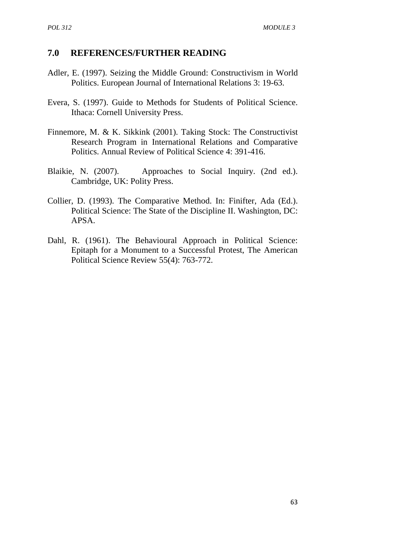- Adler, E. (1997). Seizing the Middle Ground: Constructivism in World Politics. European Journal of International Relations 3: 19-63.
- Evera, S. (1997). Guide to Methods for Students of Political Science. Ithaca: Cornell University Press.
- Finnemore, M. & K. Sikkink (2001). Taking Stock: The Constructivist Research Program in International Relations and Comparative Politics. Annual Review of Political Science 4: 391-416.
- Blaikie, N. (2007). Approaches to Social Inquiry. (2nd ed.). Cambridge, UK: Polity Press.
- Collier, D. (1993). The Comparative Method. In: Finifter, Ada (Ed.). Political Science: The State of the Discipline II. Washington, DC: APSA.
- Dahl, R. (1961). The Behavioural Approach in Political Science: Epitaph for a Monument to a Successful Protest, The American Political Science Review 55(4): 763-772.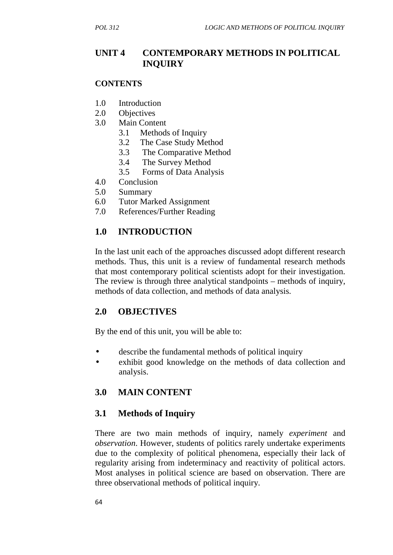# **UNIT 4 CONTEMPORARY METHODS IN POLITICAL INQUIRY**

#### **CONTENTS**

- 1.0 Introduction
- 2.0 Objectives
- 3.0 Main Content
	- 3.1 Methods of Inquiry
	- 3.2 The Case Study Method
	- 3.3 The Comparative Method
	- 3.4 The Survey Method
	- 3.5 Forms of Data Analysis
- 4.0 Conclusion
- 5.0 Summary
- 6.0 Tutor Marked Assignment
- 7.0 References/Further Reading

# **1.0 INTRODUCTION**

In the last unit each of the approaches discussed adopt different research methods. Thus, this unit is a review of fundamental research methods that most contemporary political scientists adopt for their investigation. The review is through three analytical standpoints – methods of inquiry, methods of data collection, and methods of data analysis.

## **2.0 OBJECTIVES**

By the end of this unit, you will be able to:

- describe the fundamental methods of political inquiry
- exhibit good knowledge on the methods of data collection and analysis.

# **3.0 MAIN CONTENT**

## **3.1 Methods of Inquiry**

There are two main methods of inquiry, namely *experiment* and *observation*. However, students of politics rarely undertake experiments due to the complexity of political phenomena, especially their lack of regularity arising from indeterminacy and reactivity of political actors. Most analyses in political science are based on observation. There are three observational methods of political inquiry.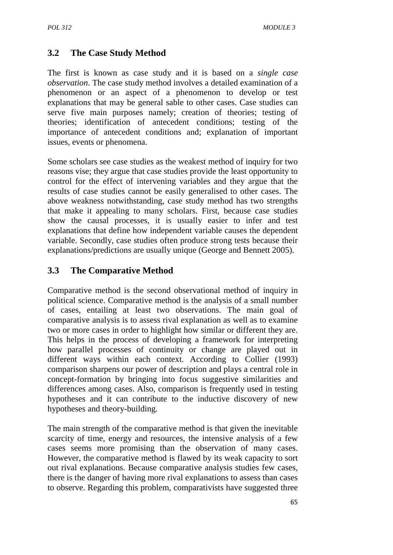## **3.2 The Case Study Method**

The first is known as case study and it is based on a *single case observation*. The case study method involves a detailed examination of a phenomenon or an aspect of a phenomenon to develop or test explanations that may be general sable to other cases. Case studies can serve five main purposes namely; creation of theories; testing of theories; identification of antecedent conditions; testing of the importance of antecedent conditions and; explanation of important issues, events or phenomena.

Some scholars see case studies as the weakest method of inquiry for two reasons vise; they argue that case studies provide the least opportunity to control for the effect of intervening variables and they argue that the results of case studies cannot be easily generalised to other cases. The above weakness notwithstanding, case study method has two strengths that make it appealing to many scholars. First, because case studies show the causal processes, it is usually easier to infer and test explanations that define how independent variable causes the dependent variable. Secondly, case studies often produce strong tests because their explanations/predictions are usually unique (George and Bennett 2005).

# **3.3 The Comparative Method**

Comparative method is the second observational method of inquiry in political science. Comparative method is the analysis of a small number of cases, entailing at least two observations. The main goal of comparative analysis is to assess rival explanation as well as to examine two or more cases in order to highlight how similar or different they are. This helps in the process of developing a framework for interpreting how parallel processes of continuity or change are played out in different ways within each context. According to Collier (1993) comparison sharpens our power of description and plays a central role in concept-formation by bringing into focus suggestive similarities and differences among cases. Also, comparison is frequently used in testing hypotheses and it can contribute to the inductive discovery of new hypotheses and theory-building.

The main strength of the comparative method is that given the inevitable scarcity of time, energy and resources, the intensive analysis of a few cases seems more promising than the observation of many cases. However, the comparative method is flawed by its weak capacity to sort out rival explanations. Because comparative analysis studies few cases, there is the danger of having more rival explanations to assess than cases to observe. Regarding this problem, comparativists have suggested three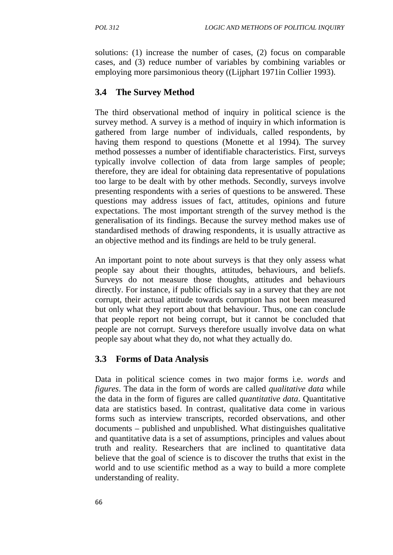solutions: (1) increase the number of cases, (2) focus on comparable cases, and (3) reduce number of variables by combining variables or employing more parsimonious theory ((Lijphart 1971in Collier 1993).

## **3.4 The Survey Method**

The third observational method of inquiry in political science is the survey method. A survey is a method of inquiry in which information is gathered from large number of individuals, called respondents, by having them respond to questions (Monette et al 1994). The survey method possesses a number of identifiable characteristics. First, surveys typically involve collection of data from large samples of people; therefore, they are ideal for obtaining data representative of populations too large to be dealt with by other methods. Secondly, surveys involve presenting respondents with a series of questions to be answered. These questions may address issues of fact, attitudes, opinions and future expectations. The most important strength of the survey method is the generalisation of its findings. Because the survey method makes use of standardised methods of drawing respondents, it is usually attractive as an objective method and its findings are held to be truly general.

An important point to note about surveys is that they only assess what people say about their thoughts, attitudes, behaviours, and beliefs. Surveys do not measure those thoughts, attitudes and behaviours directly. For instance, if public officials say in a survey that they are not corrupt, their actual attitude towards corruption has not been measured but only what they report about that behaviour. Thus, one can conclude that people report not being corrupt, but it cannot be concluded that people are not corrupt. Surveys therefore usually involve data on what people say about what they do, not what they actually do.

# **3.3 Forms of Data Analysis**

Data in political science comes in two major forms i.e. *words* and *figures*. The data in the form of words are called *qualitative data* while the data in the form of figures are called *quantitative data*. Quantitative data are statistics based. In contrast, qualitative data come in various forms such as interview transcripts, recorded observations, and other documents – published and unpublished. What distinguishes qualitative and quantitative data is a set of assumptions, principles and values about truth and reality. Researchers that are inclined to quantitative data believe that the goal of science is to discover the truths that exist in the world and to use scientific method as a way to build a more complete understanding of reality.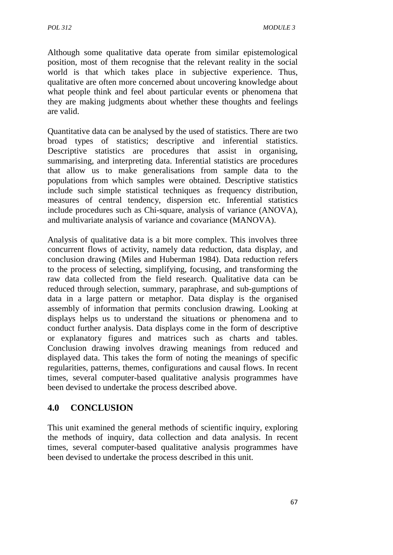Although some qualitative data operate from similar epistemological position, most of them recognise that the relevant reality in the social world is that which takes place in subjective experience. Thus, qualitative are often more concerned about uncovering knowledge about what people think and feel about particular events or phenomena that they are making judgments about whether these thoughts and feelings are valid.

Quantitative data can be analysed by the used of statistics. There are two broad types of statistics; descriptive and inferential statistics. Descriptive statistics are procedures that assist in organising, summarising, and interpreting data. Inferential statistics are procedures that allow us to make generalisations from sample data to the populations from which samples were obtained. Descriptive statistics include such simple statistical techniques as frequency distribution, measures of central tendency, dispersion etc. Inferential statistics include procedures such as Chi-square, analysis of variance (ANOVA), and multivariate analysis of variance and covariance (MANOVA).

Analysis of qualitative data is a bit more complex. This involves three concurrent flows of activity, namely data reduction, data display, and conclusion drawing (Miles and Huberman 1984). Data reduction refers to the process of selecting, simplifying, focusing, and transforming the raw data collected from the field research. Qualitative data can be reduced through selection, summary, paraphrase, and sub-gumptions of data in a large pattern or metaphor. Data display is the organised assembly of information that permits conclusion drawing. Looking at displays helps us to understand the situations or phenomena and to conduct further analysis. Data displays come in the form of descriptive or explanatory figures and matrices such as charts and tables. Conclusion drawing involves drawing meanings from reduced and displayed data. This takes the form of noting the meanings of specific regularities, patterns, themes, configurations and causal flows. In recent times, several computer-based qualitative analysis programmes have been devised to undertake the process described above.

# **4.0 CONCLUSION**

This unit examined the general methods of scientific inquiry, exploring the methods of inquiry, data collection and data analysis. In recent times, several computer-based qualitative analysis programmes have been devised to undertake the process described in this unit.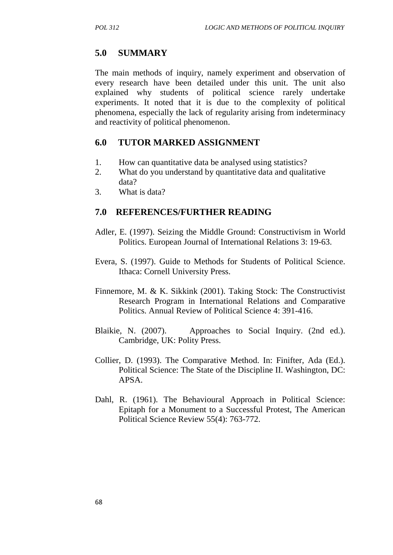# **5.0 SUMMARY**

The main methods of inquiry, namely experiment and observation of every research have been detailed under this unit. The unit also explained why students of political science rarely undertake experiments. It noted that it is due to the complexity of political phenomena, especially the lack of regularity arising from indeterminacy and reactivity of political phenomenon.

## **6.0 TUTOR MARKED ASSIGNMENT**

- 1. How can quantitative data be analysed using statistics?
- 2. What do you understand by quantitative data and qualitative data?
- 3. What is data?

- Adler, E. (1997). Seizing the Middle Ground: Constructivism in World Politics. European Journal of International Relations 3: 19-63.
- Evera, S. (1997). Guide to Methods for Students of Political Science. Ithaca: Cornell University Press.
- Finnemore, M. & K. Sikkink (2001). Taking Stock: The Constructivist Research Program in International Relations and Comparative Politics. Annual Review of Political Science 4: 391-416.
- Blaikie, N. (2007). Approaches to Social Inquiry. (2nd ed.). Cambridge, UK: Polity Press.
- Collier, D. (1993). The Comparative Method. In: Finifter, Ada (Ed.). Political Science: The State of the Discipline II. Washington, DC: APSA.
- Dahl, R. (1961). The Behavioural Approach in Political Science: Epitaph for a Monument to a Successful Protest, The American Political Science Review 55(4): 763-772.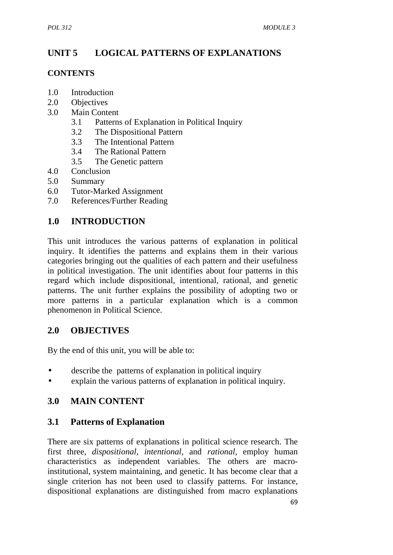# **UNIT 5 LOGICAL PATTERNS OF EXPLANATIONS**

### **CONTENTS**

- 1.0 Introduction
- 2.0 Objectives
- 3.0 Main Content
	- 3.1 Patterns of Explanation in Political Inquiry
	- 3.2 The Dispositional Pattern
	- 3.3 The Intentional Pattern
	- 3.4 The Rational Pattern
	- 3.5 The Genetic pattern
- 4.0 Conclusion
- 5.0 Summary
- 6.0 Tutor-Marked Assignment
- 7.0 References/Further Reading

## **1.0 INTRODUCTION**

This unit introduces the various patterns of explanation in political inquiry. It identifies the patterns and explains them in their various categories bringing out the qualities of each pattern and their usefulness in political investigation. The unit identifies about four patterns in this regard which include dispositional, intentional, rational, and genetic patterns. The unit further explains the possibility of adopting two or more patterns in a particular explanation which is a common phenomenon in Political Science.

## **2.0 OBJECTIVES**

By the end of this unit, you will be able to:

- describe the patterns of explanation in political inquiry
- explain the various patterns of explanation in political inquiry.

## **3.0 MAIN CONTENT**

# **3.1 Patterns of Explanation**

There are six patterns of explanations in political science research. The first three, *dispositional*, *intentional*, and *rational*, employ human characteristics as independent variables. The others are macroinstitutional, system maintaining, and genetic. It has become clear that a single criterion has not been used to classify patterns. For instance, dispositional explanations are distinguished from macro explanations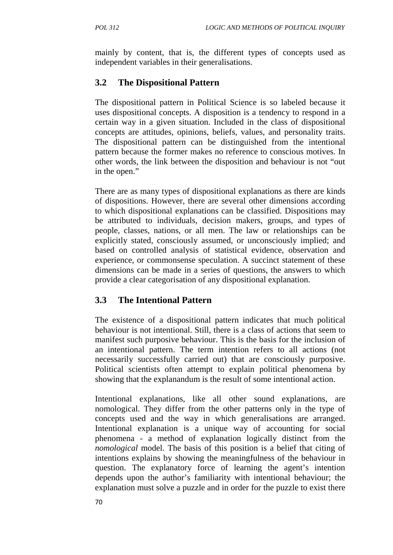mainly by content, that is, the different types of concepts used as independent variables in their generalisations.

# **3.2 The Dispositional Pattern**

The dispositional pattern in Political Science is so labeled because it uses dispositional concepts. A disposition is a tendency to respond in a certain way in a given situation. Included in the class of dispositional concepts are attitudes, opinions, beliefs, values, and personality traits. The dispositional pattern can be distinguished from the intentional pattern because the former makes no reference to conscious motives. In other words, the link between the disposition and behaviour is not "out in the open."

There are as many types of dispositional explanations as there are kinds of dispositions. However, there are several other dimensions according to which dispositional explanations can be classified. Dispositions may be attributed to individuals, decision makers, groups, and types of people, classes, nations, or all men. The law or relationships can be explicitly stated, consciously assumed, or unconsciously implied; and based on controlled analysis of statistical evidence, observation and experience, or commonsense speculation. A succinct statement of these dimensions can be made in a series of questions, the answers to which provide a clear categorisation of any dispositional explanation.

# **3.3 The Intentional Pattern**

The existence of a dispositional pattern indicates that much political behaviour is not intentional. Still, there is a class of actions that seem to manifest such purposive behaviour. This is the basis for the inclusion of an intentional pattern. The term intention refers to all actions (not necessarily successfully carried out) that are consciously purposive. Political scientists often attempt to explain political phenomena by showing that the explanandum is the result of some intentional action.

Intentional explanations, like all other sound explanations, are nomological. They differ from the other patterns only in the type of concepts used and the way in which generalisations are arranged. Intentional explanation is a unique way of accounting for social phenomena - a method of explanation logically distinct from the *nomological* model. The basis of this position is a belief that citing of intentions explains by showing the meaningfulness of the behaviour in question. The explanatory force of learning the agent's intention depends upon the author's familiarity with intentional behaviour; the explanation must solve a puzzle and in order for the puzzle to exist there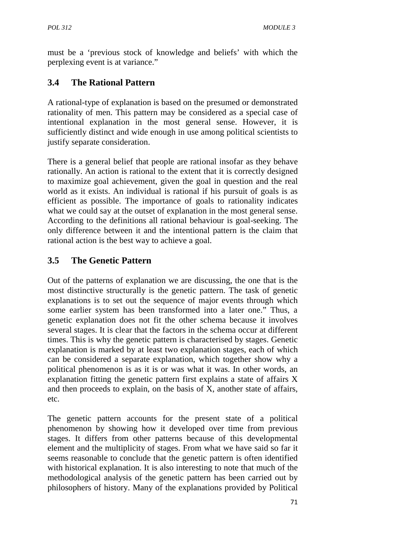must be a 'previous stock of knowledge and beliefs' with which the perplexing event is at variance."

# **3.4 The Rational Pattern**

A rational-type of explanation is based on the presumed or demonstrated rationality of men. This pattern may be considered as a special case of intentional explanation in the most general sense. However, it is sufficiently distinct and wide enough in use among political scientists to justify separate consideration.

There is a general belief that people are rational insofar as they behave rationally. An action is rational to the extent that it is correctly designed to maximize goal achievement, given the goal in question and the real world as it exists. An individual is rational if his pursuit of goals is as efficient as possible. The importance of goals to rationality indicates what we could say at the outset of explanation in the most general sense. According to the definitions all rational behaviour is goal-seeking. The only difference between it and the intentional pattern is the claim that rational action is the best way to achieve a goal.

# **3.5 The Genetic Pattern**

Out of the patterns of explanation we are discussing, the one that is the most distinctive structurally is the genetic pattern. The task of genetic explanations is to set out the sequence of major events through which some earlier system has been transformed into a later one." Thus, a genetic explanation does not fit the other schema because it involves several stages. It is clear that the factors in the schema occur at different times. This is why the genetic pattern is characterised by stages. Genetic explanation is marked by at least two explanation stages, each of which can be considered a separate explanation, which together show why a political phenomenon is as it is or was what it was. In other words, an explanation fitting the genetic pattern first explains a state of affairs X and then proceeds to explain, on the basis of X, another state of affairs, etc.

The genetic pattern accounts for the present state of a political phenomenon by showing how it developed over time from previous stages. It differs from other patterns because of this developmental element and the multiplicity of stages. From what we have said so far it seems reasonable to conclude that the genetic pattern is often identified with historical explanation. It is also interesting to note that much of the methodological analysis of the genetic pattern has been carried out by philosophers of history. Many of the explanations provided by Political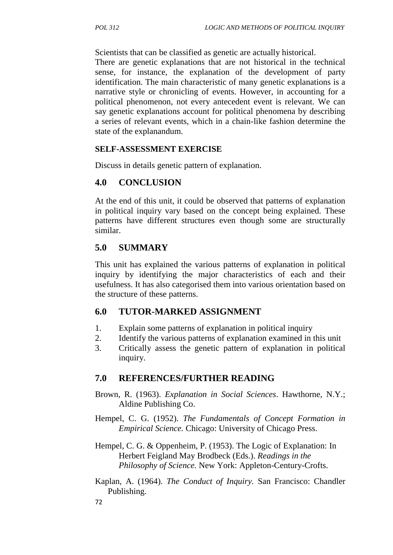Scientists that can be classified as genetic are actually historical.

There are genetic explanations that are not historical in the technical sense, for instance, the explanation of the development of party identification. The main characteristic of many genetic explanations is a narrative style or chronicling of events. However, in accounting for a political phenomenon, not every antecedent event is relevant. We can say genetic explanations account for political phenomena by describing a series of relevant events, which in a chain-like fashion determine the state of the explanandum.

#### **SELF-ASSESSMENT EXERCISE**

Discuss in details genetic pattern of explanation.

#### **4.0 CONCLUSION**

At the end of this unit, it could be observed that patterns of explanation in political inquiry vary based on the concept being explained. These patterns have different structures even though some are structurally similar.

## **5.0 SUMMARY**

This unit has explained the various patterns of explanation in political inquiry by identifying the major characteristics of each and their usefulness. It has also categorised them into various orientation based on the structure of these patterns.

#### **6.0 TUTOR-MARKED ASSIGNMENT**

- 1. Explain some patterns of explanation in political inquiry
- 2. Identify the various patterns of explanation examined in this unit
- 3. Critically assess the genetic pattern of explanation in political inquiry.

- Brown, R. (1963). *Explanation in Social Sciences*. Hawthorne, N.Y.; Aldine Publishing Co.
- Hempel, C. G. (1952). *The Fundamentals of Concept Formation in Empirical Science.* Chicago: University of Chicago Press.
- Hempel, C. G. & Oppenheim, P. (1953). The Logic of Explanation: In Herbert Feigland May Brodbeck (Eds.). *Readings in the Philosophy of Science.* New York: Appleton-Century-Crofts.
- Kaplan, A. (1964). *The Conduct of Inquiry.* San Francisco: Chandler Publishing.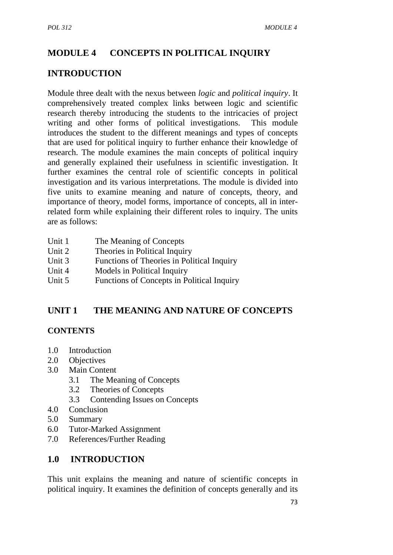# **MODULE 4 CONCEPTS IN POLITICAL INQUIRY**

## **INTRODUCTION**

Module three dealt with the nexus between *logic* and *political inquiry*. It comprehensively treated complex links between logic and scientific research thereby introducing the students to the intricacies of project writing and other forms of political investigations. This module introduces the student to the different meanings and types of concepts that are used for political inquiry to further enhance their knowledge of research. The module examines the main concepts of political inquiry and generally explained their usefulness in scientific investigation. It further examines the central role of scientific concepts in political investigation and its various interpretations. The module is divided into five units to examine meaning and nature of concepts, theory, and importance of theory, model forms, importance of concepts, all in interrelated form while explaining their different roles to inquiry. The units are as follows:

- Unit 1 The Meaning of Concepts
- Unit 2 Theories in Political Inquiry
- Unit 3 Functions of Theories in Political Inquiry
- Unit 4 Models in Political Inquiry
- Unit 5 Functions of Concepts in Political Inquiry

## **UNIT 1 THE MEANING AND NATURE OF CONCEPTS**

#### **CONTENTS**

- 1.0 Introduction
- 2.0 Objectives
- 3.0 Main Content
	- 3.1 The Meaning of Concepts
	- 3.2 Theories of Concepts
	- 3.3 Contending Issues on Concepts
- 4.0 Conclusion
- 5.0 Summary
- 6.0 Tutor-Marked Assignment
- 7.0 References/Further Reading

## **1.0 INTRODUCTION**

This unit explains the meaning and nature of scientific concepts in political inquiry. It examines the definition of concepts generally and its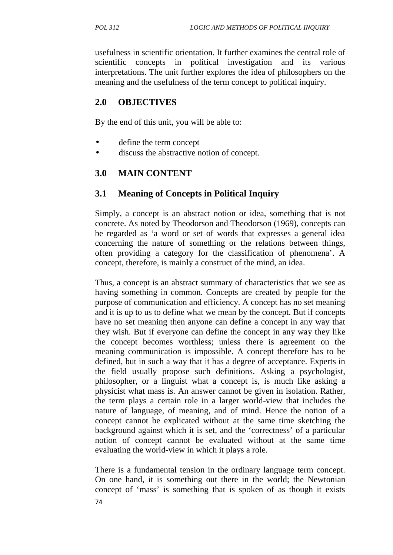usefulness in scientific orientation. It further examines the central role of scientific concepts in political investigation and its various interpretations. The unit further explores the idea of philosophers on the meaning and the usefulness of the term concept to political inquiry.

# **2.0 OBJECTIVES**

By the end of this unit, you will be able to:

- define the term concept
- discuss the abstractive notion of concept.

# **3.0 MAIN CONTENT**

## **3.1 Meaning of Concepts in Political Inquiry**

Simply, a concept is an abstract notion or idea, something that is not concrete. As noted by Theodorson and Theodorson (1969), concepts can be regarded as 'a word or set of words that expresses a general idea concerning the nature of something or the relations between things, often providing a category for the classification of phenomena'. A concept, therefore, is mainly a construct of the mind, an idea.

Thus, a concept is an abstract summary of characteristics that we see as having something in common. Concepts are created by people for the purpose of communication and efficiency. A concept has no set meaning and it is up to us to define what we mean by the concept. But if concepts have no set meaning then anyone can define a concept in any way that they wish. But if everyone can define the concept in any way they like the concept becomes worthless; unless there is agreement on the meaning communication is impossible. A concept therefore has to be defined, but in such a way that it has a degree of acceptance. Experts in the field usually propose such definitions. Asking a psychologist, philosopher, or a linguist what a concept is, is much like asking a physicist what mass is. An answer cannot be given in isolation. Rather, the term plays a certain role in a larger world-view that includes the nature of language, of meaning, and of mind. Hence the notion of a concept cannot be explicated without at the same time sketching the background against which it is set, and the 'correctness' of a particular notion of concept cannot be evaluated without at the same time evaluating the world-view in which it plays a role.

There is a fundamental tension in the ordinary language term concept. On one hand, it is something out there in the world; the Newtonian concept of 'mass' is something that is spoken of as though it exists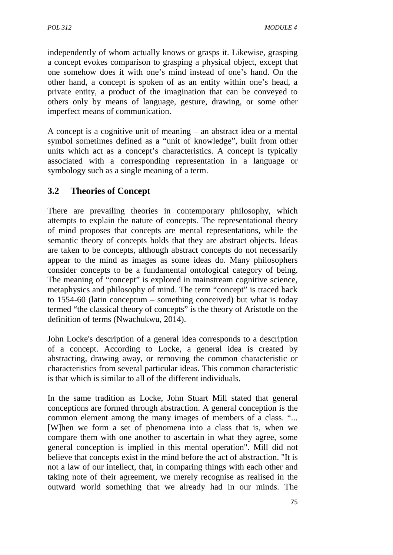independently of whom actually knows or grasps it. Likewise, grasping a concept evokes comparison to grasping a physical object, except that one somehow does it with one's mind instead of one's hand. On the other hand, a concept is spoken of as an entity within one's head, a private entity, a product of the imagination that can be conveyed to others only by means of language, gesture, drawing, or some other imperfect means of communication.

A concept is a cognitive unit of meaning – an abstract idea or a mental symbol sometimes defined as a "unit of knowledge", built from other units which act as a concept's characteristics. A concept is typically associated with a corresponding representation in a language or symbology such as a single meaning of a term.

# **3.2 Theories of Concept**

There are prevailing theories in contemporary philosophy, which attempts to explain the nature of concepts. The representational theory of mind proposes that concepts are mental representations, while the semantic theory of concepts holds that they are abstract objects. Ideas are taken to be concepts, although abstract concepts do not necessarily appear to the mind as images as some ideas do. Many philosophers consider concepts to be a fundamental ontological category of being. The meaning of "concept" is explored in mainstream cognitive science, metaphysics and philosophy of mind. The term "concept" is traced back to 1554-60 (latin conceptum – something conceived) but what is today termed "the classical theory of concepts" is the theory of Aristotle on the definition of terms (Nwachukwu, 2014).

John Locke's description of a general idea corresponds to a description of a concept. According to Locke, a general idea is created by abstracting, drawing away, or removing the common characteristic or characteristics from several particular ideas. This common characteristic is that which is similar to all of the different individuals.

In the same tradition as Locke, John Stuart Mill stated that general conceptions are formed through abstraction. A general conception is the common element among the many images of members of a class. "... [W]hen we form a set of phenomena into a class that is, when we compare them with one another to ascertain in what they agree, some general conception is implied in this mental operation". Mill did not believe that concepts exist in the mind before the act of abstraction. "It is not a law of our intellect, that, in comparing things with each other and taking note of their agreement, we merely recognise as realised in the outward world something that we already had in our minds. The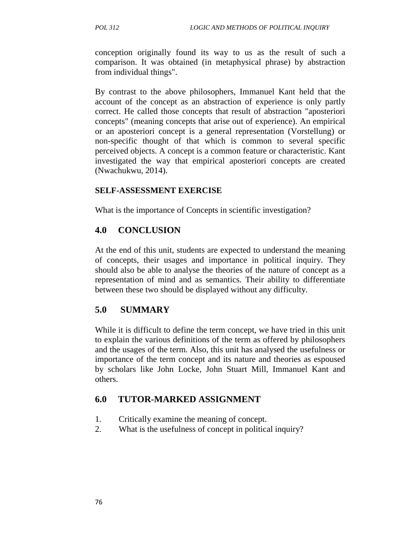conception originally found its way to us as the result of such a comparison. It was obtained (in metaphysical phrase) by abstraction from individual things".

By contrast to the above philosophers, Immanuel Kant held that the account of the concept as an abstraction of experience is only partly correct. He called those concepts that result of abstraction "aposteriori concepts" (meaning concepts that arise out of experience). An empirical or an aposteriori concept is a general representation (Vorstellung) or non-specific thought of that which is common to several specific perceived objects. A concept is a common feature or characteristic. Kant investigated the way that empirical aposteriori concepts are created (Nwachukwu, 2014).

#### **SELF-ASSESSMENT EXERCISE**

What is the importance of Concepts in scientific investigation?

#### **4.0 CONCLUSION**

At the end of this unit, students are expected to understand the meaning of concepts, their usages and importance in political inquiry. They should also be able to analyse the theories of the nature of concept as a representation of mind and as semantics. Their ability to differentiate between these two should be displayed without any difficulty.

#### **5.0 SUMMARY**

While it is difficult to define the term concept, we have tried in this unit to explain the various definitions of the term as offered by philosophers and the usages of the term. Also, this unit has analysed the usefulness or importance of the term concept and its nature and theories as espoused by scholars like John Locke, John Stuart Mill, Immanuel Kant and others.

#### **6.0 TUTOR-MARKED ASSIGNMENT**

- 1. Critically examine the meaning of concept.
- 2. What is the usefulness of concept in political inquiry?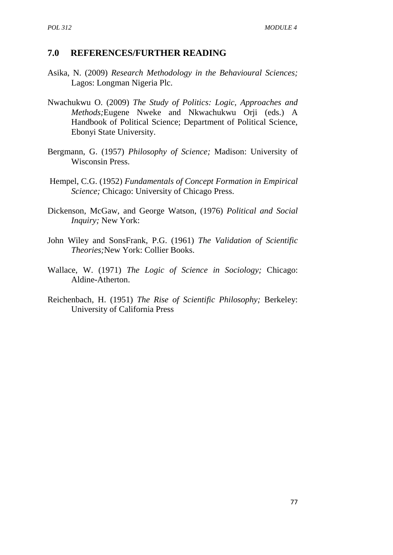- Asika, N. (2009) *Research Methodology in the Behavioural Sciences;* Lagos: Longman Nigeria Plc.
- Nwachukwu O. (2009) *The Study of Politics: Logic, Approaches and Methods*; Eugene Nweke and Nkwachukwu Orji (eds.) A Handbook of Political Science; Department of Political Science, Ebonyi State University.
- Bergmann, G. (1957) *Philosophy of Science;* Madison: University of Wisconsin Press.
- Hempel, C.G. (1952) *Fundamentals of Concept Formation in Empirical Science;* Chicago: University of Chicago Press.
- Dickenson, McGaw, and George Watson, (1976) *Political and Social Inquiry;* New York:
- John Wiley and SonsFrank, P.G. (1961) *The Validation of Scientific Theories;*New York: Collier Books.
- Wallace, W. (1971) *The Logic of Science in Sociology;* Chicago: Aldine-Atherton.
- Reichenbach, H. (1951) *The Rise of Scientific Philosophy;* Berkeley: University of California Press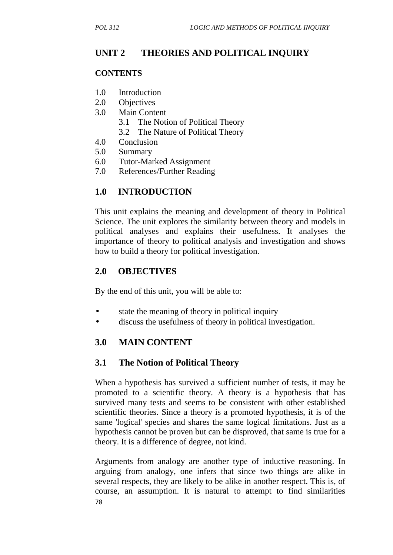# **UNIT 2 THEORIES AND POLITICAL INQUIRY**

#### **CONTENTS**

- 1.0 Introduction
- 2.0 Objectives
- 3.0 Main Content
	- 3.1 The Notion of Political Theory
	- 3.2 The Nature of Political Theory
- 4.0 Conclusion
- 5.0 Summary
- 6.0 Tutor-Marked Assignment
- 7.0 References/Further Reading

# **1.0 INTRODUCTION**

This unit explains the meaning and development of theory in Political Science. The unit explores the similarity between theory and models in political analyses and explains their usefulness. It analyses the importance of theory to political analysis and investigation and shows how to build a theory for political investigation.

## **2.0 OBJECTIVES**

By the end of this unit, you will be able to:

- state the meaning of theory in political inquiry
- discuss the usefulness of theory in political investigation.

# **3.0 MAIN CONTENT**

# **3.1 The Notion of Political Theory**

When a hypothesis has survived a sufficient number of tests, it may be promoted to a scientific theory. A theory is a hypothesis that has survived many tests and seems to be consistent with other established scientific theories. Since a theory is a promoted hypothesis, it is of the same 'logical' species and shares the same logical limitations. Just as a hypothesis cannot be proven but can be disproved, that same is true for a theory. It is a difference of degree, not kind.

78 Arguments from analogy are another type of inductive reasoning. In arguing from analogy, one infers that since two things are alike in several respects, they are likely to be alike in another respect. This is, of course, an assumption. It is natural to attempt to find similarities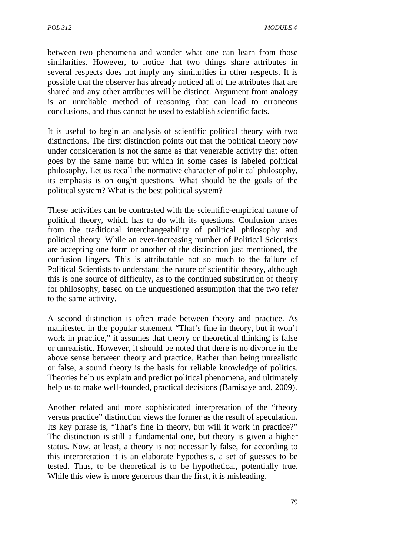between two phenomena and wonder what one can learn from those similarities. However, to notice that two things share attributes in several respects does not imply any similarities in other respects. It is possible that the observer has already noticed all of the attributes that are shared and any other attributes will be distinct. Argument from analogy is an unreliable method of reasoning that can lead to erroneous conclusions, and thus cannot be used to establish scientific facts.

It is useful to begin an analysis of scientific political theory with two distinctions. The first distinction points out that the political theory now under consideration is not the same as that venerable activity that often goes by the same name but which in some cases is labeled political philosophy. Let us recall the normative character of political philosophy, its emphasis is on ought questions. What should be the goals of the political system? What is the best political system?

These activities can be contrasted with the scientific-empirical nature of political theory, which has to do with its questions. Confusion arises from the traditional interchangeability of political philosophy and political theory. While an ever-increasing number of Political Scientists are accepting one form or another of the distinction just mentioned, the confusion lingers. This is attributable not so much to the failure of Political Scientists to understand the nature of scientific theory, although this is one source of difficulty, as to the continued substitution of theory for philosophy, based on the unquestioned assumption that the two refer to the same activity.

A second distinction is often made between theory and practice. As manifested in the popular statement "That's fine in theory, but it won't work in practice," it assumes that theory or theoretical thinking is false or unrealistic. However, it should be noted that there is no divorce in the above sense between theory and practice. Rather than being unrealistic or false, a sound theory is the basis for reliable knowledge of politics. Theories help us explain and predict political phenomena, and ultimately help us to make well-founded, practical decisions (Bamisaye and, 2009).

Another related and more sophisticated interpretation of the "theory versus practice" distinction views the former as the result of speculation. Its key phrase is, "That's fine in theory, but will it work in practice?" The distinction is still a fundamental one, but theory is given a higher status. Now, at least, a theory is not necessarily false, for according to this interpretation it is an elaborate hypothesis, a set of guesses to be tested. Thus, to be theoretical is to be hypothetical, potentially true. While this view is more generous than the first, it is misleading.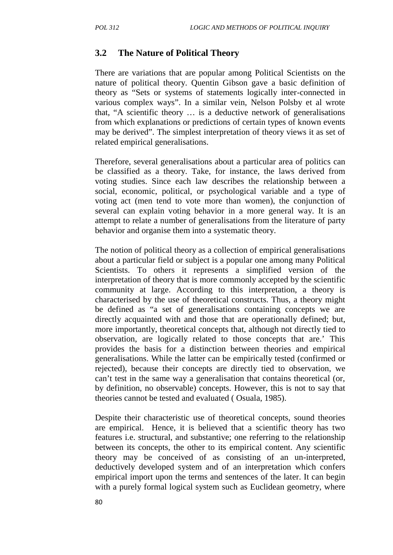#### **3.2 The Nature of Political Theory**

There are variations that are popular among Political Scientists on the nature of political theory. Quentin Gibson gave a basic definition of theory as "Sets or systems of statements logically inter-connected in various complex ways". In a similar vein, Nelson Polsby et al wrote that, "A scientific theory … is a deductive network of generalisations from which explanations or predictions of certain types of known events may be derived". The simplest interpretation of theory views it as set of related empirical generalisations.

Therefore, several generalisations about a particular area of politics can be classified as a theory. Take, for instance, the laws derived from voting studies. Since each law describes the relationship between a social, economic, political, or psychological variable and a type of voting act (men tend to vote more than women), the conjunction of several can explain voting behavior in a more general way. It is an attempt to relate a number of generalisations from the literature of party behavior and organise them into a systematic theory.

The notion of political theory as a collection of empirical generalisations about a particular field or subject is a popular one among many Political Scientists. To others it represents a simplified version of the interpretation of theory that is more commonly accepted by the scientific community at large. According to this interpretation, a theory is characterised by the use of theoretical constructs. Thus, a theory might be defined as "a set of generalisations containing concepts we are directly acquainted with and those that are operationally defined; but, more importantly, theoretical concepts that, although not directly tied to observation, are logically related to those concepts that are.' This provides the basis for a distinction between theories and empirical generalisations. While the latter can be empirically tested (confirmed or rejected), because their concepts are directly tied to observation, we can't test in the same way a generalisation that contains theoretical (or, by definition, no observable) concepts. However, this is not to say that theories cannot be tested and evaluated ( Osuala, 1985).

Despite their characteristic use of theoretical concepts, sound theories are empirical. Hence, it is believed that a scientific theory has two features i.e. structural, and substantive; one referring to the relationship between its concepts, the other to its empirical content. Any scientific theory may be conceived of as consisting of an un-interpreted, deductively developed system and of an interpretation which confers empirical import upon the terms and sentences of the later. It can begin with a purely formal logical system such as Euclidean geometry, where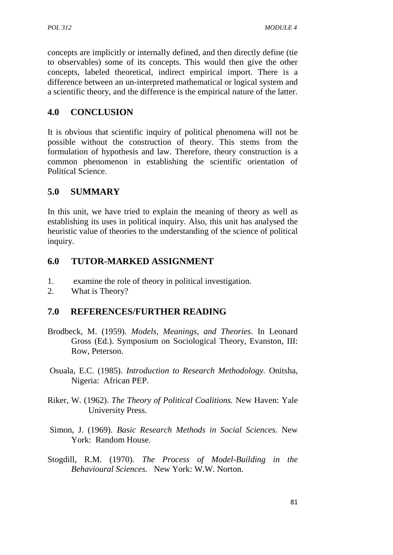concepts are implicitly or internally defined, and then directly define (tie to observables) some of its concepts. This would then give the other concepts, labeled theoretical, indirect empirical import. There is a difference between an un-interpreted mathematical or logical system and a scientific theory, and the difference is the empirical nature of the latter.

## **4.0 CONCLUSION**

It is obvious that scientific inquiry of political phenomena will not be possible without the construction of theory. This stems from the formulation of hypothesis and law. Therefore, theory construction is a common phenomenon in establishing the scientific orientation of Political Science.

## **5.0 SUMMARY**

In this unit, we have tried to explain the meaning of theory as well as establishing its uses in political inquiry. Also, this unit has analysed the heuristic value of theories to the understanding of the science of political inquiry.

## **6.0 TUTOR-MARKED ASSIGNMENT**

- 1. examine the role of theory in political investigation.
- 2. What is Theory?

- Brodbeck, M. (1959). *Models, Meanings, and Theories*. In Leonard Gross (Ed.). Symposium on Sociological Theory, Evanston, III: Row, Peterson.
- Osuala, E.C. (1985). *Introduction to Research Methodology.* Onitsha, Nigeria: African PEP.
- Riker, W. (1962). *The Theory of Political Coalitions.* New Haven: Yale University Press.
- Simon, J. (1969). *Basic Research Methods in Social Sciences.* New York: Random House.
- Stogdill, R.M. (1970). *The Process of Model-Building in the Behavioural Sciences.* New York: W.W. Norton.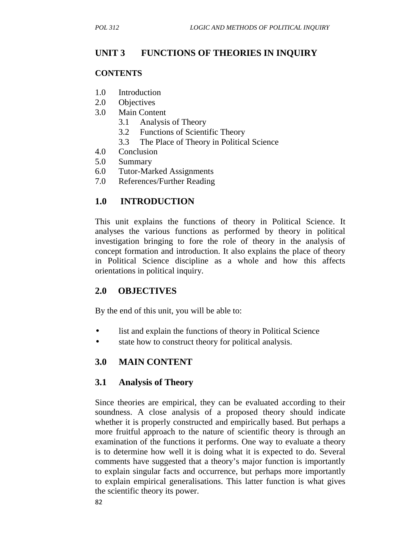## **UNIT 3 FUNCTIONS OF THEORIES IN INQUIRY**

#### **CONTENTS**

- 1.0 Introduction
- 2.0 Objectives
- 3.0 Main Content
	- 3.1 Analysis of Theory
	- 3.2 Functions of Scientific Theory
	- 3.3 The Place of Theory in Political Science
- 4.0 Conclusion
- 5.0 Summary
- 6.0 Tutor-Marked Assignments
- 7.0 References/Further Reading

## **1.0 INTRODUCTION**

This unit explains the functions of theory in Political Science. It analyses the various functions as performed by theory in political investigation bringing to fore the role of theory in the analysis of concept formation and introduction. It also explains the place of theory in Political Science discipline as a whole and how this affects orientations in political inquiry.

#### **2.0 OBJECTIVES**

By the end of this unit, you will be able to:

- list and explain the functions of theory in Political Science
- state how to construct theory for political analysis.

## **3.0 MAIN CONTENT**

#### **3.1 Analysis of Theory**

Since theories are empirical, they can be evaluated according to their soundness. A close analysis of a proposed theory should indicate whether it is properly constructed and empirically based. But perhaps a more fruitful approach to the nature of scientific theory is through an examination of the functions it performs. One way to evaluate a theory is to determine how well it is doing what it is expected to do. Several comments have suggested that a theory's major function is importantly to explain singular facts and occurrence, but perhaps more importantly to explain empirical generalisations. This latter function is what gives the scientific theory its power.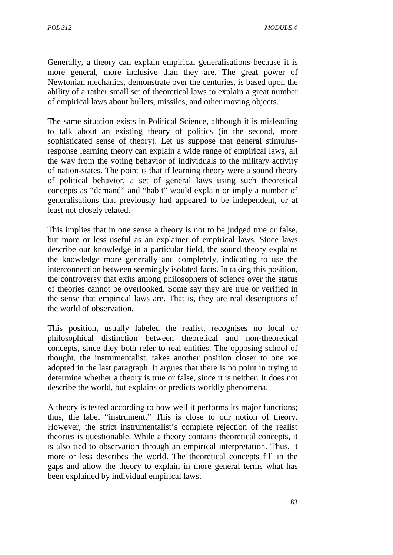Generally, a theory can explain empirical generalisations because it is more general, more inclusive than they are. The great power of Newtonian mechanics, demonstrate over the centuries, is based upon the ability of a rather small set of theoretical laws to explain a great number of empirical laws about bullets, missiles, and other moving objects.

The same situation exists in Political Science, although it is misleading to talk about an existing theory of politics (in the second, more sophisticated sense of theory). Let us suppose that general stimulusresponse learning theory can explain a wide range of empirical laws, all the way from the voting behavior of individuals to the military activity of nation-states. The point is that if learning theory were a sound theory of political behavior, a set of general laws using such theoretical concepts as "demand" and "habit" would explain or imply a number of generalisations that previously had appeared to be independent, or at least not closely related.

This implies that in one sense a theory is not to be judged true or false, but more or less useful as an explainer of empirical laws. Since laws describe our knowledge in a particular field, the sound theory explains the knowledge more generally and completely, indicating to use the interconnection between seemingly isolated facts. In taking this position, the controversy that exits among philosophers of science over the status of theories cannot be overlooked. Some say they are true or verified in the sense that empirical laws are. That is, they are real descriptions of the world of observation.

This position, usually labeled the realist, recognises no local or philosophical distinction between theoretical and non-theoretical concepts, since they both refer to real entities. The opposing school of thought, the instrumentalist, takes another position closer to one we adopted in the last paragraph. It argues that there is no point in trying to determine whether a theory is true or false, since it is neither. It does not describe the world, but explains or predicts worldly phenomena.

A theory is tested according to how well it performs its major functions; thus, the label "instrument." This is close to our notion of theory. However, the strict instrumentalist's complete rejection of the realist theories is questionable. While a theory contains theoretical concepts, it is also tied to observation through an empirical interpretation. Thus, it more or less describes the world. The theoretical concepts fill in the gaps and allow the theory to explain in more general terms what has been explained by individual empirical laws.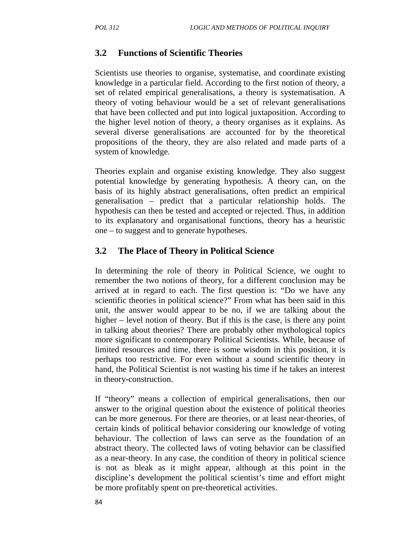#### **3.2 Functions of Scientific Theories**

Scientists use theories to organise, systematise, and coordinate existing knowledge in a particular field. According to the first notion of theory, a set of related empirical generalisations, a theory is systematisation. A theory of voting behaviour would be a set of relevant generalisations that have been collected and put into logical juxtaposition. According to the higher level notion of theory, a theory organises as it explains. As several diverse generalisations are accounted for by the theoretical propositions of the theory, they are also related and made parts of a system of knowledge.

Theories explain and organise existing knowledge. They also suggest potential knowledge by generating hypothesis. A theory can, on the basis of its highly abstract generalisations, often predict an empirical generalisation – predict that a particular relationship holds. The hypothesis can then be tested and accepted or rejected. Thus, in addition to its explanatory and organisational functions, theory has a heuristic one – to suggest and to generate hypotheses.

#### **3.2 The Place of Theory in Political Science**

In determining the role of theory in Political Science, we ought to remember the two notions of theory, for a different conclusion may be arrived at in regard to each. The first question is: "Do we have any scientific theories in political science?" From what has been said in this unit, the answer would appear to be no, if we are talking about the higher – level notion of theory. But if this is the case, is there any point in talking about theories? There are probably other mythological topics more significant to contemporary Political Scientists. While, because of limited resources and time, there is some wisdom in this position, it is perhaps too restrictive. For even without a sound scientific theory in hand, the Political Scientist is not wasting his time if he takes an interest in theory-construction.

If "theory" means a collection of empirical generalisations, then our answer to the original question about the existence of political theories can be more generous. For there are theories, or at least near-theories, of certain kinds of political behavior considering our knowledge of voting behaviour. The collection of laws can serve as the foundation of an abstract theory. The collected laws of voting behavior can be classified as a near-theory. In any case, the condition of theory in political science is not as bleak as it might appear, although at this point in the discipline's development the political scientist's time and effort might be more profitably spent on pre-theoretical activities.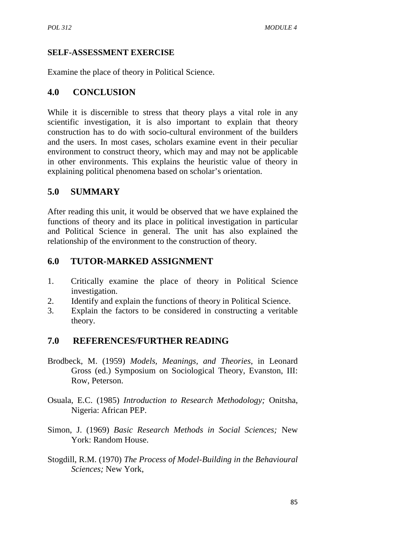#### **SELF-ASSESSMENT EXERCISE**

Examine the place of theory in Political Science.

## **4.0 CONCLUSION**

While it is discernible to stress that theory plays a vital role in any scientific investigation, it is also important to explain that theory construction has to do with socio-cultural environment of the builders and the users. In most cases, scholars examine event in their peculiar environment to construct theory, which may and may not be applicable in other environments. This explains the heuristic value of theory in explaining political phenomena based on scholar's orientation.

## **5.0 SUMMARY**

After reading this unit, it would be observed that we have explained the functions of theory and its place in political investigation in particular and Political Science in general. The unit has also explained the relationship of the environment to the construction of theory.

## **6.0 TUTOR-MARKED ASSIGNMENT**

- 1. Critically examine the place of theory in Political Science investigation.
- 2. Identify and explain the functions of theory in Political Science.
- 3. Explain the factors to be considered in constructing a veritable theory.

- Brodbeck, M. (1959) *Models, Meanings, and Theories*, in Leonard Gross (ed.) Symposium on Sociological Theory, Evanston, III: Row, Peterson.
- Osuala, E.C. (1985) *Introduction to Research Methodology;* Onitsha, Nigeria: African PEP.
- Simon, J. (1969) *Basic Research Methods in Social Sciences;* New York: Random House.
- Stogdill, R.M. (1970) *The Process of Model-Building in the Behavioural Sciences;* New York,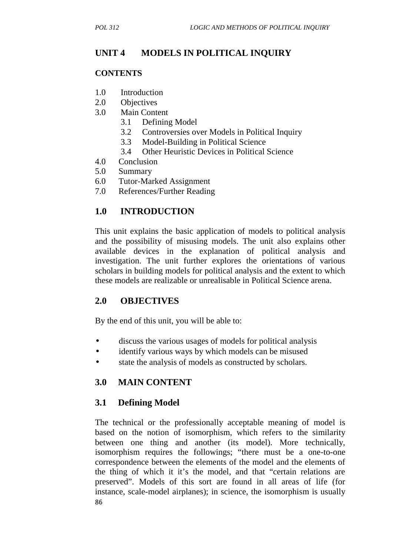# **UNIT 4 MODELS IN POLITICAL INQUIRY**

#### **CONTENTS**

- 1.0 Introduction
- 2.0 Objectives
- 3.0 Main Content
	- 3.1 Defining Model
	- 3.2 Controversies over Models in Political Inquiry
	- 3.3 Model-Building in Political Science
	- 3.4 Other Heuristic Devices in Political Science
- 4.0 Conclusion
- 5.0 Summary
- 6.0 Tutor-Marked Assignment
- 7.0 References/Further Reading

# **1.0 INTRODUCTION**

This unit explains the basic application of models to political analysis and the possibility of misusing models. The unit also explains other available devices in the explanation of political analysis and investigation. The unit further explores the orientations of various scholars in building models for political analysis and the extent to which these models are realizable or unrealisable in Political Science arena.

## **2.0 OBJECTIVES**

By the end of this unit, you will be able to:

- discuss the various usages of models for political analysis
- identify various ways by which models can be misused
- state the analysis of models as constructed by scholars.

## **3.0 MAIN CONTENT**

## **3.1 Defining Model**

86 The technical or the professionally acceptable meaning of model is based on the notion of isomorphism, which refers to the similarity between one thing and another (its model). More technically, isomorphism requires the followings; "there must be a one-to-one correspondence between the elements of the model and the elements of the thing of which it it's the model, and that "certain relations are preserved". Models of this sort are found in all areas of life (for instance, scale-model airplanes); in science, the isomorphism is usually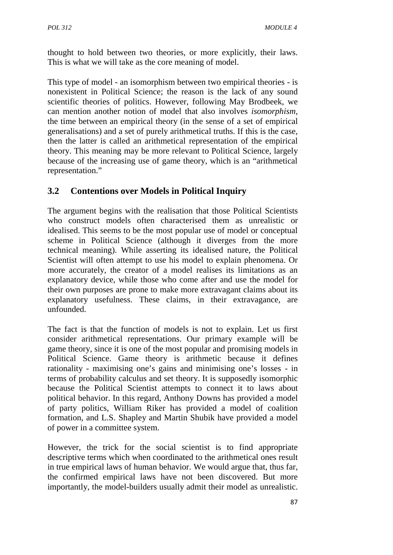thought to hold between two theories, or more explicitly, their laws. This is what we will take as the core meaning of model.

This type of model - an isomorphism between two empirical theories - is nonexistent in Political Science; the reason is the lack of any sound scientific theories of politics. However, following May Brodbeek, we can mention another notion of model that also involves *isomorphism*, the time between an empirical theory (in the sense of a set of empirical generalisations) and a set of purely arithmetical truths. If this is the case, then the latter is called an arithmetical representation of the empirical theory. This meaning may be more relevant to Political Science, largely because of the increasing use of game theory, which is an "arithmetical representation."

## **3.2 Contentions over Models in Political Inquiry**

The argument begins with the realisation that those Political Scientists who construct models often characterised them as unrealistic or idealised. This seems to be the most popular use of model or conceptual scheme in Political Science (although it diverges from the more technical meaning). While asserting its idealised nature, the Political Scientist will often attempt to use his model to explain phenomena. Or more accurately, the creator of a model realises its limitations as an explanatory device, while those who come after and use the model for their own purposes are prone to make more extravagant claims about its explanatory usefulness. These claims, in their extravagance, are unfounded.

The fact is that the function of models is not to explain. Let us first consider arithmetical representations. Our primary example will be game theory, since it is one of the most popular and promising models in Political Science. Game theory is arithmetic because it defines rationality - maximising one's gains and minimising one's losses - in terms of probability calculus and set theory. It is supposedly isomorphic because the Political Scientist attempts to connect it to laws about political behavior. In this regard, Anthony Downs has provided a model of party politics, William Riker has provided a model of coalition formation, and L.S. Shapley and Martin Shubik have provided a model of power in a committee system.

However, the trick for the social scientist is to find appropriate descriptive terms which when coordinated to the arithmetical ones result in true empirical laws of human behavior. We would argue that, thus far, the confirmed empirical laws have not been discovered. But more importantly, the model-builders usually admit their model as unrealistic.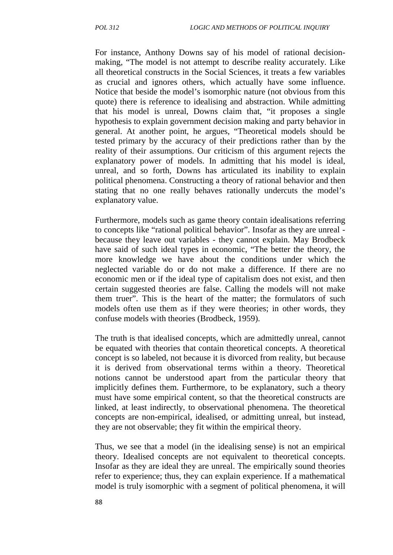For instance, Anthony Downs say of his model of rational decision making, "The model is not attempt to describe reality accurately. Like all theoretical constructs in the Social Sciences, it treats a few variables as crucial and ignores others, which actually have some influence. Notice that beside the model's isomorphic nature (not obvious from this quote) there is reference to idealising and abstraction. While admitting that his model is unreal, Downs claim that, "it proposes a single hypothesis to explain government decision making and party behavior in general. At another point, he argues, "Theoretical models should be tested primary by the accuracy of their predictions rather than by the reality of their assumptions. Our criticism of this argument rejects the explanatory power of models. In admitting that his model is ideal, unreal, and so forth, Downs has articulated its inability to explain political phenomena. Constructing a theory of rational behavior and then stating that no one really behaves rationally undercuts the model's explanatory value.

Furthermore, models such as game theory contain idealisations referring to concepts like "rational political behavior". Insofar as they are unreal because they leave out variables - they cannot explain. May Brodbeck have said of such ideal types in economic, "The better the theory, the more knowledge we have about the conditions under which the neglected variable do or do not make a difference. If there are no economic men or if the ideal type of capitalism does not exist, and then certain suggested theories are false. Calling the models will not make them truer". This is the heart of the matter; the formulators of such models often use them as if they were theories; in other words, they confuse models with theories (Brodbeck, 1959).

The truth is that idealised concepts, which are admittedly unreal, cannot be equated with theories that contain theoretical concepts. A theoretical concept is so labeled, not because it is divorced from reality, but because it is derived from observational terms within a theory. Theoretical notions cannot be understood apart from the particular theory that implicitly defines them. Furthermore, to be explanatory, such a theory must have some empirical content, so that the theoretical constructs are linked, at least indirectly, to observational phenomena. The theoretical concepts are non-empirical, idealised, or admitting unreal, but instead, they are not observable; they fit within the empirical theory.

Thus, we see that a model (in the idealising sense) is not an empirical theory. Idealised concepts are not equivalent to theoretical concepts. Insofar as they are ideal they are unreal. The empirically sound theories refer to experience; thus, they can explain experience. If a mathematical model is truly isomorphic with a segment of political phenomena, it will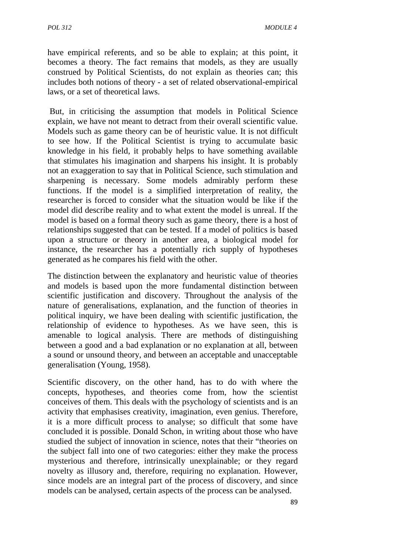have empirical referents, and so be able to explain; at this point, it becomes a theory. The fact remains that models, as they are usually construed by Political Scientists, do not explain as theories can; this includes both notions of theory - a set of related observational-empirical laws, or a set of theoretical laws.

But, in criticising the assumption that models in Political Science explain, we have not meant to detract from their overall scientific value. Models such as game theory can be of heuristic value. It is not difficult to see how. If the Political Scientist is trying to accumulate basic knowledge in his field, it probably helps to have something available that stimulates his imagination and sharpens his insight. It is probably not an exaggeration to say that in Political Science, such stimulation and sharpening is necessary. Some models admirably perform these functions. If the model is a simplified interpretation of reality, the researcher is forced to consider what the situation would be like if the model did describe reality and to what extent the model is unreal. If the model is based on a formal theory such as game theory, there is a host of relationships suggested that can be tested. If a model of politics is based upon a structure or theory in another area, a biological model for instance, the researcher has a potentially rich supply of hypotheses generated as he compares his field with the other.

The distinction between the explanatory and heuristic value of theories and models is based upon the more fundamental distinction between scientific justification and discovery. Throughout the analysis of the nature of generalisations, explanation, and the function of theories in political inquiry, we have been dealing with scientific justification, the relationship of evidence to hypotheses. As we have seen, this is amenable to logical analysis. There are methods of distinguishing between a good and a bad explanation or no explanation at all, between a sound or unsound theory, and between an acceptable and unacceptable generalisation (Young, 1958).

Scientific discovery, on the other hand, has to do with where the concepts, hypotheses, and theories come from, how the scientist conceives of them. This deals with the psychology of scientists and is an activity that emphasises creativity, imagination, even genius. Therefore, it is a more difficult process to analyse; so difficult that some have concluded it is possible. Donald Schon, in writing about those who have studied the subject of innovation in science, notes that their "theories on the subject fall into one of two categories: either they make the process mysterious and therefore, intrinsically unexplainable; or they regard novelty as illusory and, therefore, requiring no explanation. However, since models are an integral part of the process of discovery, and since models can be analysed, certain aspects of the process can be analysed.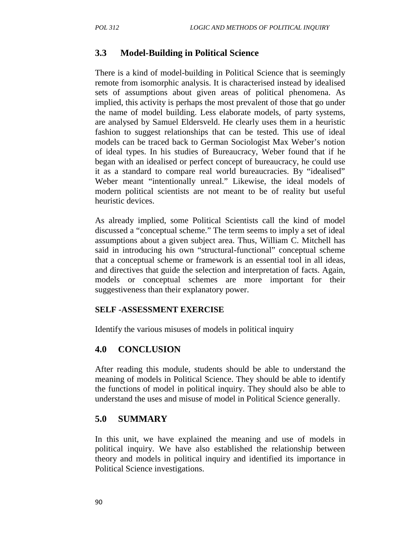## **3.3 Model-Building in Political Science**

There is a kind of model-building in Political Science that is seemingly remote from isomorphic analysis. It is characterised instead by idealised sets of assumptions about given areas of political phenomena. As implied, this activity is perhaps the most prevalent of those that go under the name of model building. Less elaborate models, of party systems, are analysed by Samuel Eldersveld. He clearly uses them in a heuristic fashion to suggest relationships that can be tested. This use of ideal models can be traced back to German Sociologist Max Weber's notion of ideal types. In his studies of Bureaucracy, Weber found that if he began with an idealised or perfect concept of bureaucracy, he could use it as a standard to compare real world bureaucracies. By "idealised" Weber meant "intentionally unreal." Likewise, the ideal models of modern political scientists are not meant to be of reality but useful heuristic devices.

As already implied, some Political Scientists call the kind of model discussed a "conceptual scheme." The term seems to imply a set of ideal assumptions about a given subject area. Thus, William C. Mitchell has said in introducing his own "structural-functional" conceptual scheme that a conceptual scheme or framework is an essential tool in all ideas, and directives that guide the selection and interpretation of facts. Again, models or conceptual schemes are more important for their suggestiveness than their explanatory power.

#### **SELF -ASSESSMENT EXERCISE**

Identify the various misuses of models in political inquiry

#### **4.0 CONCLUSION**

After reading this module, students should be able to understand the meaning of models in Political Science. They should be able to identify the functions of model in political inquiry. They should also be able to understand the uses and misuse of model in Political Science generally.

#### **5.0 SUMMARY**

In this unit, we have explained the meaning and use of models in political inquiry. We have also established the relationship between theory and models in political inquiry and identified its importance in Political Science investigations.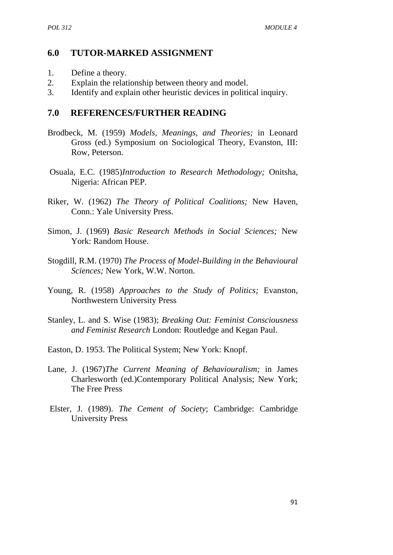#### **6.0 TUTOR-MARKED ASSIGNMENT**

- 1. Define a theory.
- 2. Explain the relationship between theory and model.
- 3. Identify and explain other heuristic devices in political inquiry.

- Brodbeck, M. (1959) *Models, Meanings, and Theories;* in Leonard Gross (ed.) Symposium on Sociological Theory, Evanston, III: Row, Peterson.
- Osuala, E.C. (1985)*Introduction to Research Methodology;* Onitsha, Nigeria: African PEP.
- Riker, W. (1962) *The Theory of Political Coalitions;* New Haven, Conn.: Yale University Press.
- Simon, J. (1969) *Basic Research Methods in Social Sciences;* New York: Random House.
- Stogdill, R.M. (1970) *The Process of Model-Building in the Behavioural Sciences;* New York, W.W. Norton.
- Young, R. (1958) *Approaches to the Study of Politics;* Evanston, Northwestern University Press
- Stanley, L. and S. Wise (1983); *Breaking Out: Feminist Consciousness and Feminist Research* London: Routledge and Kegan Paul.
- Easton, D. 1953. The Political System; New York: Knopf.
- Lane, J. (1967)*The Current Meaning of Behaviouralism;* in James Charlesworth (ed.)Contemporary Political Analysis; New York; The Free Press
- Elster, J. (1989). *The Cement of Society*; Cambridge: Cambridge University Press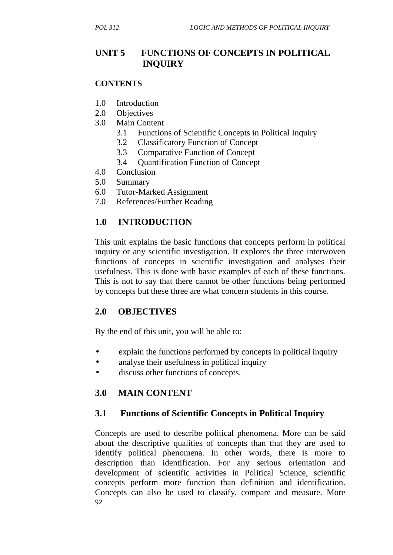# **UNIT 5 FUNCTIONS OF CONCEPTS IN POLITICAL INQUIRY**

#### **CONTENTS**

- 1.0 Introduction
- 2.0 Objectives
- 3.0 Main Content
	- 3.1 Functions of Scientific Concepts in Political Inquiry
	- 3.2 Classificatory Function of Concept
	- 3.3 Comparative Function of Concept
	- 3.4 Quantification Function of Concept
- 4.0 Conclusion
- 5.0 Summary
- 6.0 Tutor-Marked Assignment
- 7.0 References/Further Reading

### **1.0 INTRODUCTION**

This unit explains the basic functions that concepts perform in political inquiry or any scientific investigation. It explores the three interwoven functions of concepts in scientific investigation and analyses their usefulness. This is done with basic examples of each of these functions. This is not to say that there cannot be other functions being performed by concepts but these three are what concern students in this course.

### **2.0 OBJECTIVES**

By the end of this unit, you will be able to:

- explain the functions performed by concepts in political inquiry
- analyse their usefulness in political inquiry
- discuss other functions of concepts.

# **3.0 MAIN CONTENT**

### **3.1 Functions of Scientific Concepts in Political Inquiry**

92 Concepts are used to describe political phenomena. More can be said about the descriptive qualities of concepts than that they are used to identify political phenomena. In other words, there is more to description than identification. For any serious orientation and development of scientific activities in Political Science, scientific concepts perform more function than definition and identification. Concepts can also be used to classify, compare and measure. More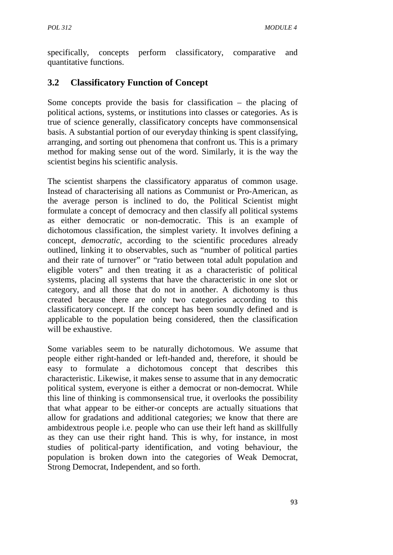specifically, concepts perform classificatory, comparative and quantitative functions.

# **3.2 Classificatory Function of Concept**

Some concepts provide the basis for classification – the placing of political actions, systems, or institutions into classes or categories. As is true of science generally, classificatory concepts have commonsensical basis. A substantial portion of our everyday thinking is spent classifying, arranging, and sorting out phenomena that confront us. This is a primary method for making sense out of the word. Similarly, it is the way the scientist begins his scientific analysis.

The scientist sharpens the classificatory apparatus of common usage. Instead of characterising all nations as Communist or Pro-American, as the average person is inclined to do, the Political Scientist might formulate a concept of democracy and then classify all political systems as either democratic or non-democratic. This is an example of dichotomous classification, the simplest variety. It involves defining a concept, *democratic*, according to the scientific procedures already outlined, linking it to observables, such as "number of political parties and their rate of turnover" or "ratio between total adult population and eligible voters" and then treating it as a characteristic of political systems, placing all systems that have the characteristic in one slot or category, and all those that do not in another. A dichotomy is thus created because there are only two categories according to this classificatory concept. If the concept has been soundly defined and is applicable to the population being considered, then the classification will be exhaustive.

Some variables seem to be naturally dichotomous. We assume that people either right-handed or left-handed and, therefore, it should be easy to formulate a dichotomous concept that describes this characteristic. Likewise, it makes sense to assume that in any democratic political system, everyone is either a democrat or non-democrat. While this line of thinking is commonsensical true, it overlooks the possibility that what appear to be either-or concepts are actually situations that allow for gradations and additional categories; we know that there are ambidextrous people i.e. people who can use their left hand as skillfully as they can use their right hand. This is why, for instance, in most studies of political-party identification, and voting behaviour, the population is broken down into the categories of Weak Democrat, Strong Democrat, Independent, and so forth.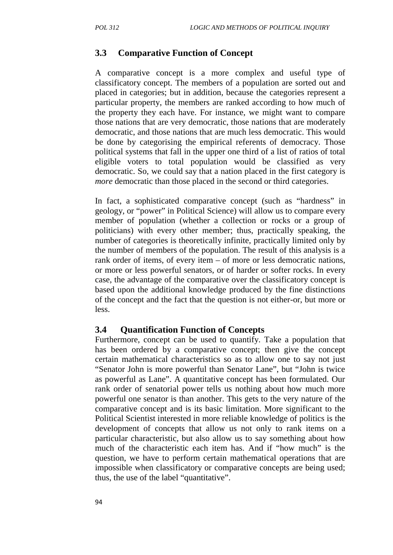#### **3.3 Comparative Function of Concept**

A comparative concept is a more complex and useful type of classificatory concept. The members of a population are sorted out and placed in categories; but in addition, because the categories represent a particular property, the members are ranked according to how much of the property they each have. For instance, we might want to compare those nations that are very democratic, those nations that are moderately democratic, and those nations that are much less democratic. This would be done by categorising the empirical referents of democracy. Those political systems that fall in the upper one third of a list of ratios of total eligible voters to total population would be classified as very democratic. So, we could say that a nation placed in the first category is *more* democratic than those placed in the second or third categories.

In fact, a sophisticated comparative concept (such as "hardness" in geology, or "power" in Political Science) will allow us to compare every member of population (whether a collection or rocks or a group of politicians) with every other member; thus, practically speaking, the number of categories is theoretically infinite, practically limited only by the number of members of the population. The result of this analysis is a rank order of items, of every item – of more or less democratic nations, or more or less powerful senators, or of harder or softer rocks. In every case, the advantage of the comparative over the classificatory concept is based upon the additional knowledge produced by the fine distinctions of the concept and the fact that the question is not either-or, but more or less.

#### **3.4 Quantification Function of Concepts**

Furthermore, concept can be used to quantify. Take a population that has been ordered by a comparative concept; then give the concept certain mathematical characteristics so as to allow one to say not just "Senator John is more powerful than Senator Lane", but "John is twice as powerful as Lane". A quantitative concept has been formulated. Our rank order of senatorial power tells us nothing about how much more powerful one senator is than another. This gets to the very nature of the comparative concept and is its basic limitation. More significant to the Political Scientist interested in more reliable knowledge of politics is the development of concepts that allow us not only to rank items on a particular characteristic, but also allow us to say something about how much of the characteristic each item has. And if "how much" is the question, we have to perform certain mathematical operations that are impossible when classificatory or comparative concepts are being used; thus, the use of the label "quantitative".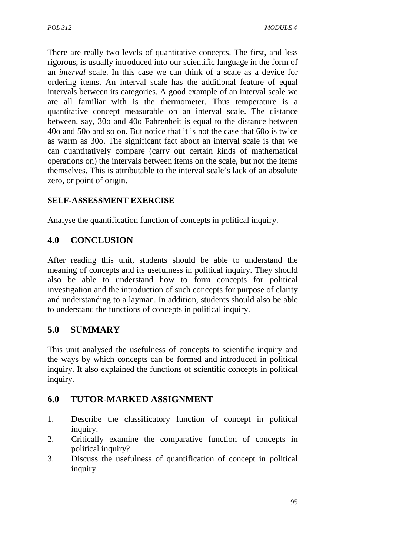There are really two levels of quantitative concepts. The first, and less rigorous, is usually introduced into our scientific language in the form of an *interval* scale. In this case we can think of a scale as a device for ordering items. An interval scale has the additional feature of equal intervals between its categories. A good example of an interval scale we are all familiar with is the thermometer. Thus temperature is a quantitative concept measurable on an interval scale. The distance between, say, 30o and 40o Fahrenheit is equal to the distance between 40o and 50o and so on. But notice that it is not the case that 60o is twice as warm as 30o. The significant fact about an interval scale is that we can quantitatively compare (carry out certain kinds of mathematical operations on) the intervals between items on the scale, but not the items themselves. This is attributable to the interval scale's lack of an absolute zero, or point of origin.

### **SELF-ASSESSMENT EXERCISE**

Analyse the quantification function of concepts in political inquiry.

# **4.0 CONCLUSION**

After reading this unit, students should be able to understand the meaning of concepts and its usefulness in political inquiry. They should also be able to understand how to form concepts for political investigation and the introduction of such concepts for purpose of clarity and understanding to a layman. In addition, students should also be able to understand the functions of concepts in political inquiry.

### **5.0 SUMMARY**

This unit analysed the usefulness of concepts to scientific inquiry and the ways by which concepts can be formed and introduced in political inquiry. It also explained the functions of scientific concepts in political inquiry.

### **6.0 TUTOR-MARKED ASSIGNMENT**

- 1. Describe the classificatory function of concept in political inquiry.
- 2. Critically examine the comparative function of concepts in political inquiry?
- 3. Discuss the usefulness of quantification of concept in political inquiry.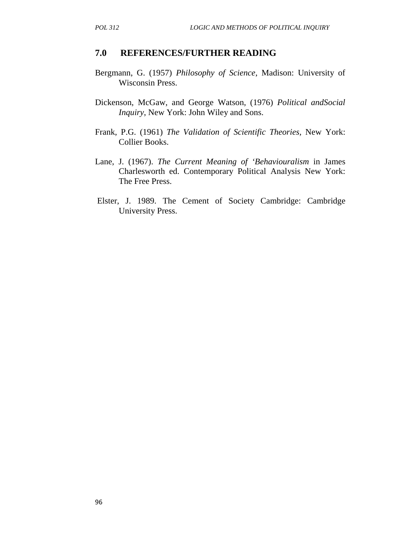#### **7.0 REFERENCES/FURTHER READING**

- Bergmann, G. (1957) *Philosophy of Science*, Madison: University of Wisconsin Press.
- Dickenson, McGaw, and George Watson, (1976) *Political andSocial Inquiry*, New York: John Wiley and Sons.
- Frank, P.G. (1961) *The Validation of Scientific Theories,* New York: Collier Books.
- Lane, J. (1967). *The Current Meaning of 'Behaviouralism* in James Charlesworth ed. Contemporary Political Analysis New York: The Free Press.
- Elster, J. 1989. The Cement of Society Cambridge: Cambridge University Press.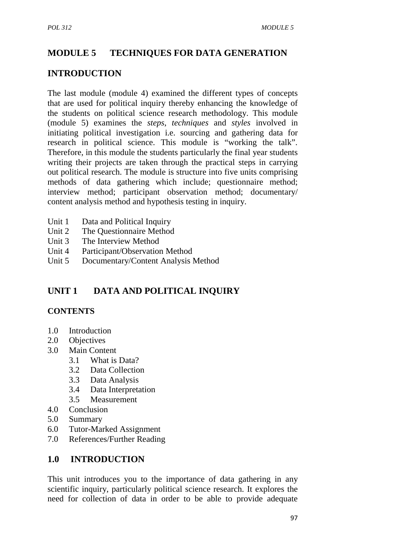# **MODULE 5 TECHNIQUES FOR DATA GENERATION**

# **INTRODUCTION**

The last module (module 4) examined the different types of concepts that are used for political inquiry thereby enhancing the knowledge of the students on political science research methodology. This module (module 5) examines the *steps*, *techniques* and *styles* involved in initiating political investigation i.e. sourcing and gathering data for research in political science. This module is "working the talk". Therefore, in this module the students particularly the final year students writing their projects are taken through the practical steps in carrying out political research. The module is structure into five units comprising methods of data gathering which include; questionnaire method; interview method; participant observation method; documentary/ content analysis method and hypothesis testing in inquiry.

- Unit 1 Data and Political Inquiry
- Unit 2 The Questionnaire Method
- Unit 3 The Interview Method
- Unit 4 Participant/Observation Method
- Unit 5 Documentary/Content Analysis Method

# **UNIT 1 DATA AND POLITICAL INQUIRY**

### **CONTENTS**

- 1.0 Introduction
- 2.0 Objectives
- 3.0 Main Content
	- 3.1 What is Data?
	- 3.2 Data Collection
	- 3.3 Data Analysis
	- 3.4 Data Interpretation
	- 3.5 Measurement
- 4.0 Conclusion
- 5.0 Summary
- 6.0 Tutor-Marked Assignment
- 7.0 References/Further Reading

### **1.0 INTRODUCTION**

This unit introduces you to the importance of data gathering in any scientific inquiry, particularly political science research. It explores the need for collection of data in order to be able to provide adequate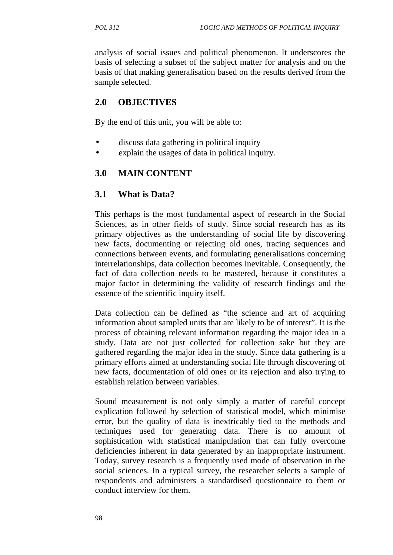analysis of social issues and political phenomenon. It underscores the basis of selecting a subset of the subject matter for analysis and on the basis of that making generalisation based on the results derived from the sample selected.

### **2.0 OBJECTIVES**

By the end of this unit, you will be able to:

- discuss data gathering in political inquiry
- explain the usages of data in political inquiry.

# **3.0 MAIN CONTENT**

### **3.1 What is Data?**

This perhaps is the most fundamental aspect of research in the Social Sciences, as in other fields of study. Since social research has as its primary objectives as the understanding of social life by discovering new facts, documenting or rejecting old ones, tracing sequences and connections between events, and formulating generalisations concerning interrelationships, data collection becomes inevitable. Consequently, the fact of data collection needs to be mastered, because it constitutes a major factor in determining the validity of research findings and the essence of the scientific inquiry itself.

Data collection can be defined as "the science and art of acquiring information about sampled units that are likely to be of interest". It is the process of obtaining relevant information regarding the major idea in a study. Data are not just collected for collection sake but they are gathered regarding the major idea in the study. Since data gathering is a primary efforts aimed at understanding social life through discovering of new facts, documentation of old ones or its rejection and also trying to establish relation between variables.

Sound measurement is not only simply a matter of careful concept explication followed by selection of statistical model, which minimise error, but the quality of data is inextricably tied to the methods and techniques used for generating data. There is no amount of sophistication with statistical manipulation that can fully overcome deficiencies inherent in data generated by an inappropriate instrument. Today, survey research is a frequently used mode of observation in the social sciences. In a typical survey, the researcher selects a sample of respondents and administers a standardised questionnaire to them or conduct interview for them.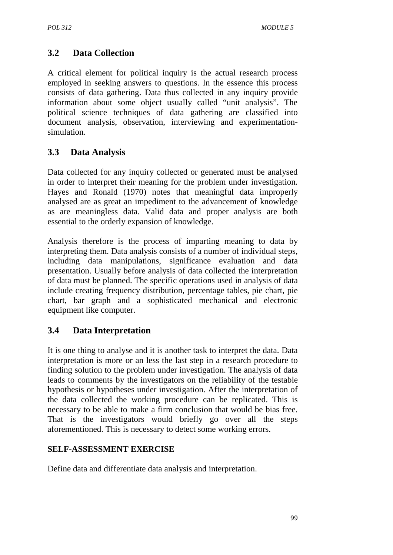# **3.2 Data Collection**

A critical element for political inquiry is the actual research process employed in seeking answers to questions. In the essence this process consists of data gathering. Data thus collected in any inquiry provide information about some object usually called "unit analysis". The political science techniques of data gathering are classified into document analysis, observation, interviewing and experimentation simulation.

# **3.3 Data Analysis**

Data collected for any inquiry collected or generated must be analysed in order to interpret their meaning for the problem under investigation. Hayes and Ronald (1970) notes that meaningful data improperly analysed are as great an impediment to the advancement of knowledge as are meaningless data. Valid data and proper analysis are both essential to the orderly expansion of knowledge.

Analysis therefore is the process of imparting meaning to data by interpreting them. Data analysis consists of a number of individual steps, including data manipulations, significance evaluation and data presentation. Usually before analysis of data collected the interpretation of data must be planned. The specific operations used in analysis of data include creating frequency distribution, percentage tables, pie chart, pie chart, bar graph and a sophisticated mechanical and electronic equipment like computer.

# **3.4 Data Interpretation**

It is one thing to analyse and it is another task to interpret the data. Data interpretation is more or an less the last step in a research procedure to finding solution to the problem under investigation. The analysis of data leads to comments by the investigators on the reliability of the testable hypothesis or hypotheses under investigation. After the interpretation of the data collected the working procedure can be replicated. This is necessary to be able to make a firm conclusion that would be bias free. That is the investigators would briefly go over all the steps aforementioned. This is necessary to detect some working errors.

### **SELF-ASSESSMENT EXERCISE**

Define data and differentiate data analysis and interpretation.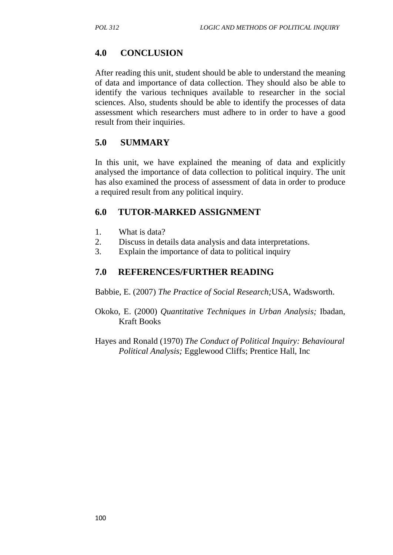# **4.0 CONCLUSION**

After reading this unit, student should be able to understand the meaning of data and importance of data collection. They should also be able to identify the various techniques available to researcher in the social sciences. Also, students should be able to identify the processes of data assessment which researchers must adhere to in order to have a good result from their inquiries.

### **5.0 SUMMARY**

In this unit, we have explained the meaning of data and explicitly analysed the importance of data collection to political inquiry. The unit has also examined the process of assessment of data in order to produce a required result from any political inquiry.

### **6.0 TUTOR-MARKED ASSIGNMENT**

- 1. What is data?
- 2. Discuss in details data analysis and data interpretations.
- 3. Explain the importance of data to political inquiry

### **7.0 REFERENCES/FURTHER READING**

Babbie, E. (2007) *The Practice of Social Research;*USA, Wadsworth.

Okoko, E. (2000) *Quantitative Techniques in Urban Analysis;* Ibadan, Kraft Books

Hayes and Ronald (1970) *The Conduct of Political Inquiry: Behavioural Political Analysis;* Egglewood Cliffs; Prentice Hall, Inc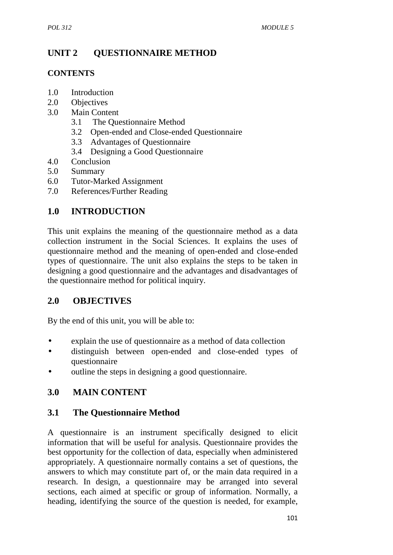# **UNIT 2 QUESTIONNAIRE METHOD**

### **CONTENTS**

- 1.0 Introduction
- 2.0 Objectives
- 3.0 Main Content
	- 3.1 The Questionnaire Method
	- 3.2 Open-ended and Close-ended Questionnaire
	- 3.3 Advantages of Questionnaire
	- 3.4 Designing a Good Questionnaire
- 4.0 Conclusion
- 5.0 Summary
- 6.0 Tutor-Marked Assignment
- 7.0 References/Further Reading

# **1.0 INTRODUCTION**

This unit explains the meaning of the questionnaire method as a data collection instrument in the Social Sciences. It explains the uses of questionnaire method and the meaning of open-ended and close-ended types of questionnaire. The unit also explains the steps to be taken in designing a good questionnaire and the advantages and disadvantages of the questionnaire method for political inquiry.

# **2.0 OBJECTIVES**

By the end of this unit, you will be able to:

- explain the use of questionnaire as a method of data collection
- distinguish between open-ended and close-ended types of questionnaire
- outline the steps in designing a good questionnaire.

# **3.0 MAIN CONTENT**

### **3.1 The Questionnaire Method**

A questionnaire is an instrument specifically designed to elicit information that will be useful for analysis. Questionnaire provides the best opportunity for the collection of data, especially when administered appropriately. A questionnaire normally contains a set of questions, the answers to which may constitute part of, or the main data required in a research. In design, a questionnaire may be arranged into several sections, each aimed at specific or group of information. Normally, a heading, identifying the source of the question is needed, for example,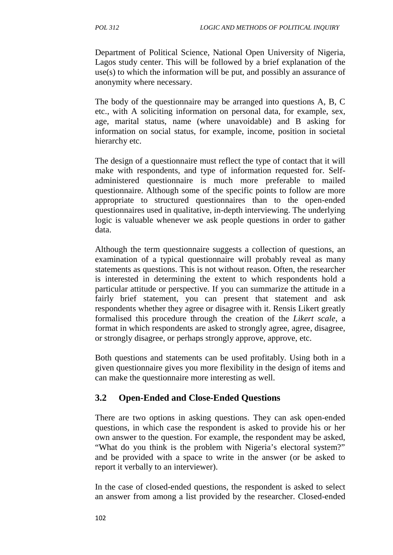Department of Political Science, National Open University of Nigeria, Lagos study center. This will be followed by a brief explanation of the use(s) to which the information will be put, and possibly an assurance of anonymity where necessary.

The body of the questionnaire may be arranged into questions A, B, C etc., with A soliciting information on personal data, for example, sex, age, marital status, name (where unavoidable) and B asking for information on social status, for example, income, position in societal hierarchy etc.

The design of a questionnaire must reflect the type of contact that it will make with respondents, and type of information requested for. Self administered questionnaire is much more preferable to mailed questionnaire. Although some of the specific points to follow are more appropriate to structured questionnaires than to the open-ended questionnaires used in qualitative, in-depth interviewing. The underlying logic is valuable whenever we ask people questions in order to gather data.

Although the term questionnaire suggests a collection of questions, an examination of a typical questionnaire will probably reveal as many statements as questions. This is not without reason. Often, the researcher is interested in determining the extent to which respondents hold a particular attitude or perspective. If you can summarize the attitude in a fairly brief statement, you can present that statement and ask respondents whether they agree or disagree with it. Rensis Likert greatly formalised this procedure through the creation of the *Likert scale*, a format in which respondents are asked to strongly agree, agree, disagree, or strongly disagree, or perhaps strongly approve, approve, etc.

Both questions and statements can be used profitably. Using both in a given questionnaire gives you more flexibility in the design of items and can make the questionnaire more interesting as well.

# **3.2 Open-Ended and Close-Ended Questions**

There are two options in asking questions. They can ask open-ended questions, in which case the respondent is asked to provide his or her own answer to the question. For example, the respondent may be asked, "What do you think is the problem with Nigeria's electoral system?" and be provided with a space to write in the answer (or be asked to report it verbally to an interviewer).

In the case of closed-ended questions, the respondent is asked to select an answer from among a list provided by the researcher. Closed-ended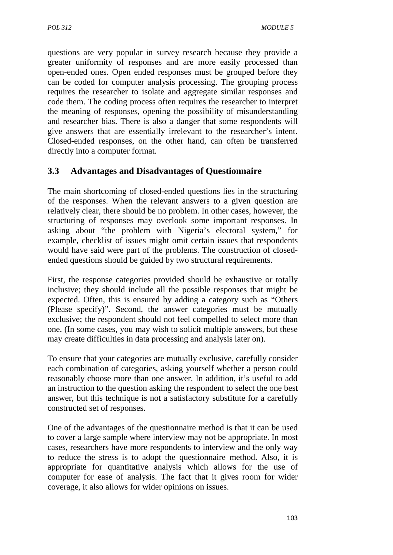questions are very popular in survey research because they provide a greater uniformity of responses and are more easily processed than open-ended ones. Open ended responses must be grouped before they can be coded for computer analysis processing. The grouping process requires the researcher to isolate and aggregate similar responses and code them. The coding process often requires the researcher to interpret the meaning of responses, opening the possibility of misunderstanding and researcher bias. There is also a danger that some respondents will give answers that are essentially irrelevant to the researcher's intent. Closed-ended responses, on the other hand, can often be transferred directly into a computer format.

# **3.3 Advantages and Disadvantages of Questionnaire**

The main shortcoming of closed-ended questions lies in the structuring of the responses. When the relevant answers to a given question are relatively clear, there should be no problem. In other cases, however, the structuring of responses may overlook some important responses. In asking about "the problem with Nigeria's electoral system," for example, checklist of issues might omit certain issues that respondents would have said were part of the problems. The construction of closed ended questions should be guided by two structural requirements.

First, the response categories provided should be exhaustive or totally inclusive; they should include all the possible responses that might be expected. Often, this is ensured by adding a category such as "Others (Please specify)". Second, the answer categories must be mutually exclusive; the respondent should not feel compelled to select more than one. (In some cases, you may wish to solicit multiple answers, but these may create difficulties in data processing and analysis later on).

To ensure that your categories are mutually exclusive, carefully consider each combination of categories, asking yourself whether a person could reasonably choose more than one answer. In addition, it's useful to add an instruction to the question asking the respondent to select the one best answer, but this technique is not a satisfactory substitute for a carefully constructed set of responses.

One of the advantages of the questionnaire method is that it can be used to cover a large sample where interview may not be appropriate. In most cases, researchers have more respondents to interview and the only way to reduce the stress is to adopt the questionnaire method. Also, it is appropriate for quantitative analysis which allows for the use of computer for ease of analysis. The fact that it gives room for wider coverage, it also allows for wider opinions on issues.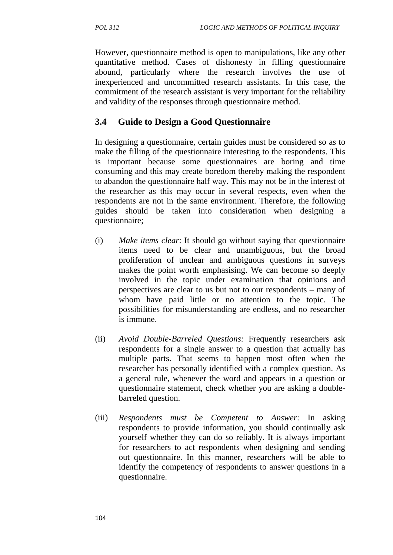However, questionnaire method is open to manipulations, like any other quantitative method. Cases of dishonesty in filling questionnaire abound, particularly where the research involves the use of inexperienced and uncommitted research assistants. In this case, the commitment of the research assistant is very important for the reliability and validity of the responses through questionnaire method.

# **3.4 Guide to Design a Good Questionnaire**

In designing a questionnaire, certain guides must be considered so as to make the filling of the questionnaire interesting to the respondents. This is important because some questionnaires are boring and time consuming and this may create boredom thereby making the respondent to abandon the questionnaire half way. This may not be in the interest of the researcher as this may occur in several respects, even when the respondents are not in the same environment. Therefore, the following guides should be taken into consideration when designing a questionnaire;

- (i) *Make items clear*: It should go without saying that questionnaire items need to be clear and unambiguous, but the broad proliferation of unclear and ambiguous questions in surveys makes the point worth emphasising. We can become so deeply involved in the topic under examination that opinions and perspectives are clear to us but not to our respondents – many of whom have paid little or no attention to the topic. The possibilities for misunderstanding are endless, and no researcher is immune.
- (ii) *Avoid Double-Barreled Questions:* Frequently researchers ask respondents for a single answer to a question that actually has multiple parts. That seems to happen most often when the researcher has personally identified with a complex question. As a general rule, whenever the word and appears in a question or questionnaire statement, check whether you are asking a double barreled question.
- (iii) *Respondents must be Competent to Answer*: In asking respondents to provide information, you should continually ask yourself whether they can do so reliably. It is always important for researchers to act respondents when designing and sending out questionnaire. In this manner, researchers will be able to identify the competency of respondents to answer questions in a questionnaire.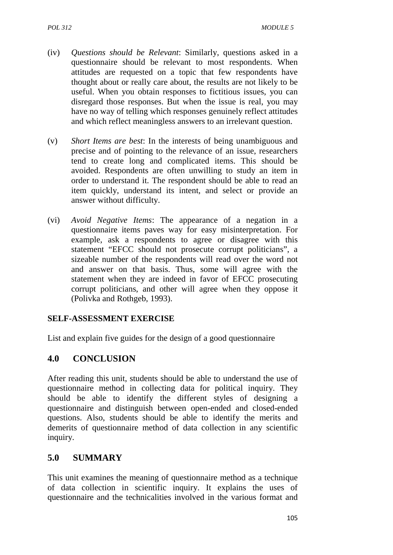- (iv) *Questions should be Relevant*: Similarly, questions asked in a questionnaire should be relevant to most respondents. When attitudes are requested on a topic that few respondents have thought about or really care about, the results are not likely to be useful. When you obtain responses to fictitious issues, you can disregard those responses. But when the issue is real, you may have no way of telling which responses genuinely reflect attitudes and which reflect meaningless answers to an irrelevant question.
- (v) *Short Items are best*: In the interests of being unambiguous and precise and of pointing to the relevance of an issue, researchers tend to create long and complicated items. This should be avoided. Respondents are often unwilling to study an item in order to understand it. The respondent should be able to read an item quickly, understand its intent, and select or provide an answer without difficulty.
- (vi) *Avoid Negative Items*: The appearance of a negation in a questionnaire items paves way for easy misinterpretation. For example, ask a respondents to agree or disagree with this statement "EFCC should not prosecute corrupt politicians", a sizeable number of the respondents will read over the word not and answer on that basis. Thus, some will agree with the statement when they are indeed in favor of EFCC prosecuting corrupt politicians, and other will agree when they oppose it (Polivka and Rothgeb, 1993).

### **SELF-ASSESSMENT EXERCISE**

List and explain five guides for the design of a good questionnaire

### **4.0 CONCLUSION**

After reading this unit, students should be able to understand the use of questionnaire method in collecting data for political inquiry. They should be able to identify the different styles of designing a questionnaire and distinguish between open-ended and closed-ended questions. Also, students should be able to identify the merits and demerits of questionnaire method of data collection in any scientific inquiry.

### **5.0 SUMMARY**

This unit examines the meaning of questionnaire method as a technique of data collection in scientific inquiry. It explains the uses of questionnaire and the technicalities involved in the various format and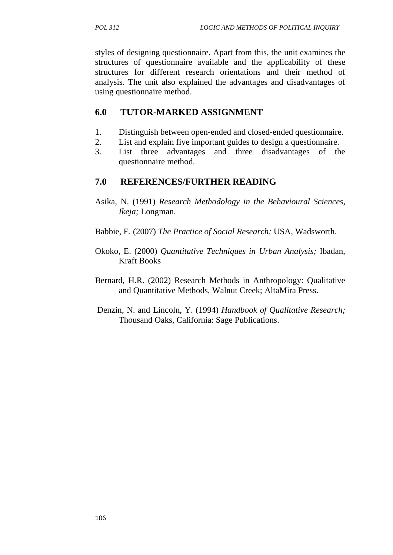styles of designing questionnaire. Apart from this, the unit examines the structures of questionnaire available and the applicability of these structures for different research orientations and their method of analysis. The unit also explained the advantages and disadvantages of using questionnaire method.

# **6.0 TUTOR-MARKED ASSIGNMENT**

- 1. Distinguish between open-ended and closed-ended questionnaire.
- 2. List and explain five important guides to design a questionnaire.
- 3. List three advantages and three disadvantages of the questionnaire method.

# **7.0 REFERENCES/FURTHER READING**

- Asika, N. (1991) *Research Methodology in the Behavioural Sciences, Ikeja;* Longman.
- Babbie, E. (2007) *The Practice of Social Research;* USA, Wadsworth.
- Okoko, E. (2000) *Quantitative Techniques in Urban Analysis;* Ibadan, Kraft Books
- Bernard, H.R. (2002) Research Methods in Anthropology: Qualitative and Quantitative Methods, Walnut Creek; AltaMira Press.
- Denzin, N. and Lincoln, Y. (1994) *Handbook of Qualitative Research;* Thousand Oaks, California: Sage Publications.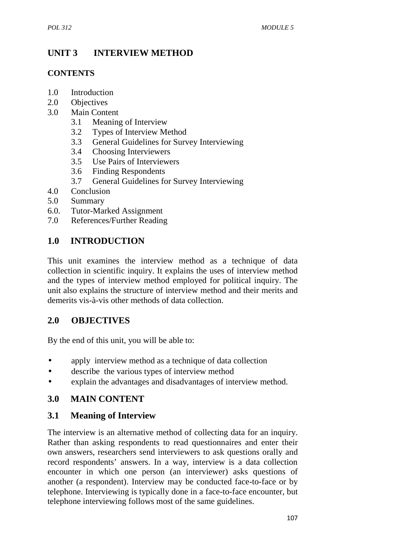# **UNIT 3 INTERVIEW METHOD**

### **CONTENTS**

- 1.0 Introduction
- 2.0 Objectives
- 3.0 Main Content
	- 3.1 Meaning of Interview
	- 3.2 Types of Interview Method
	- 3.3 General Guidelines for Survey Interviewing
	- 3.4 Choosing Interviewers
	- 3.5 Use Pairs of Interviewers
	- 3.6 Finding Respondents
	- 3.7 General Guidelines for Survey Interviewing
- 4.0 Conclusion
- 5.0 Summary
- 6.0. Tutor-Marked Assignment
- 7.0 References/Further Reading

# **1.0 INTRODUCTION**

This unit examines the interview method as a technique of data collection in scientific inquiry. It explains the uses of interview method and the types of interview method employed for political inquiry. The unit also explains the structure of interview method and their merits and demerits vis-à-vis other methods of data collection.

### **2.0 OBJECTIVES**

By the end of this unit, you will be able to:

- apply interview method as a technique of data collection
- describe the various types of interview method
- explain the advantages and disadvantages of interview method.

### **3.0 MAIN CONTENT**

### **3.1 Meaning of Interview**

The interview is an alternative method of collecting data for an inquiry. Rather than asking respondents to read questionnaires and enter their own answers, researchers send interviewers to ask questions orally and record respondents' answers. In a way, interview is a data collection encounter in which one person (an interviewer) asks questions of another (a respondent). Interview may be conducted face-to-face or by telephone. Interviewing is typically done in a face-to-face encounter, but telephone interviewing follows most of the same guidelines.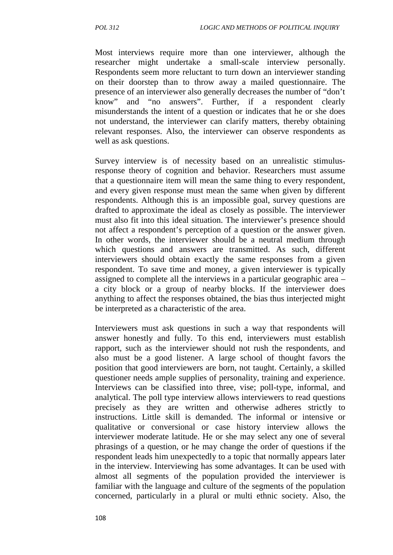Most interviews require more than one interviewer, although the researcher might undertake a small-scale interview personally. Respondents seem more reluctant to turn down an interviewer standing on their doorstep than to throw away a mailed questionnaire. The presence of an interviewer also generally decreases the number of "don't know" and "no answers". Further, if a respondent clearly misunderstands the intent of a question or indicates that he or she does not understand, the interviewer can clarify matters, thereby obtaining relevant responses. Also, the interviewer can observe respondents as well as ask questions.

Survey interview is of necessity based on an unrealistic stimulusresponse theory of cognition and behavior. Researchers must assume that a questionnaire item will mean the same thing to every respondent, and every given response must mean the same when given by different respondents. Although this is an impossible goal, survey questions are drafted to approximate the ideal as closely as possible. The interviewer must also fit into this ideal situation. The interviewer's presence should not affect a respondent's perception of a question or the answer given. In other words, the interviewer should be a neutral medium through which questions and answers are transmitted. As such, different interviewers should obtain exactly the same responses from a given respondent. To save time and money, a given interviewer is typically assigned to complete all the interviews in a particular geographic area – a city block or a group of nearby blocks. If the interviewer does anything to affect the responses obtained, the bias thus interjected might be interpreted as a characteristic of the area.

Interviewers must ask questions in such a way that respondents will answer honestly and fully. To this end, interviewers must establish rapport, such as the interviewer should not rush the respondents, and also must be a good listener. A large school of thought favors the position that good interviewers are born, not taught. Certainly, a skilled questioner needs ample supplies of personality, training and experience. Interviews can be classified into three, vise; poll-type, informal, and analytical. The poll type interview allows interviewers to read questions precisely as they are written and otherwise adheres strictly to instructions. Little skill is demanded. The informal or intensive or qualitative or conversional or case history interview allows the interviewer moderate latitude. He or she may select any one of several phrasings of a question, or he may change the order of questions if the respondent leads him unexpectedly to a topic that normally appears later in the interview. Interviewing has some advantages. It can be used with almost all segments of the population provided the interviewer is familiar with the language and culture of the segments of the population concerned, particularly in a plural or multi ethnic society. Also, the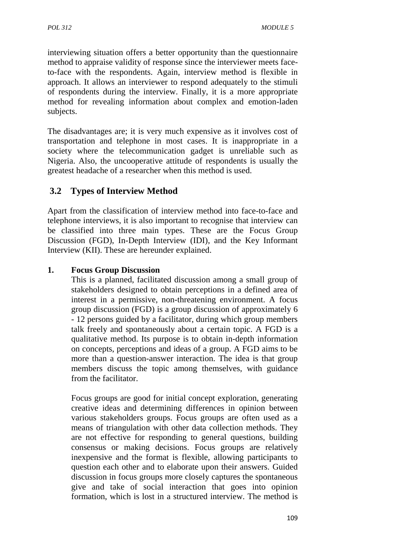interviewing situation offers a better opportunity than the questionnaire method to appraise validity of response since the interviewer meets faceto-face with the respondents. Again, interview method is flexible in approach. It allows an interviewer to respond adequately to the stimuli of respondents during the interview. Finally, it is a more appropriate method for revealing information about complex and emotion-laden subjects.

The disadvantages are; it is very much expensive as it involves cost of transportation and telephone in most cases. It is inappropriate in a society where the telecommunication gadget is unreliable such as Nigeria. Also, the uncooperative attitude of respondents is usually the greatest headache of a researcher when this method is used.

# **3.2 Types of Interview Method**

Apart from the classification of interview method into face-to-face and telephone interviews, it is also important to recognise that interview can be classified into three main types. These are the Focus Group Discussion (FGD), In-Depth Interview (IDI), and the Key Informant Interview (KII). These are hereunder explained.

### **1. Focus Group Discussion**

This is a planned, facilitated discussion among a small group of stakeholders designed to obtain perceptions in a defined area of interest in a permissive, non-threatening environment. A focus group discussion (FGD) is a group discussion of approximately 6 - 12 persons guided by a facilitator, during which group members talk freely and spontaneously about a certain topic. A FGD is a qualitative method. Its purpose is to obtain in-depth information on concepts, perceptions and ideas of a group. A FGD aims to be more than a question-answer interaction. The idea is that group members discuss the topic among themselves, with guidance from the facilitator.

Focus groups are good for initial concept exploration, generating creative ideas and determining differences in opinion between various stakeholders groups. Focus groups are often used as a means of triangulation with other data collection methods. They are not effective for responding to general questions, building consensus or making decisions. Focus groups are relatively inexpensive and the format is flexible, allowing participants to question each other and to elaborate upon their answers. Guided discussion in focus groups more closely captures the spontaneous give and take of social interaction that goes into opinion formation, which is lost in a structured interview. The method is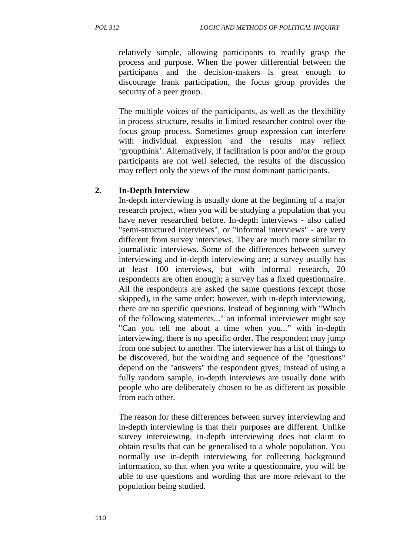relatively simple, allowing participants to readily grasp the process and purpose. When the power differential between the participants and the decision-makers is great enough to discourage frank participation, the focus group provides the security of a peer group.

The multiple voices of the participants, as well as the flexibility in process structure, results in limited researcher control over the focus group process. Sometimes group expression can interfere with individual expression and the results may reflect 'groupthink'. Alternatively, if facilitation is poor and/or the group participants are not well selected, the results of the discussion may reflect only the views of the most dominant participants.

### **2. In-Depth Interview**

In-depth interviewing is usually done at the beginning of a major research project, when you will be studying a population that you have never researched before. In-depth interviews - also called "semi-structured interviews", or "informal interviews" - are very different from survey interviews. They are much more similar to journalistic interviews. Some of the differences between survey interviewing and in-depth interviewing are; a survey usually has at least 100 interviews, but with informal research, 20 respondents are often enough; a survey has a fixed questionnaire. All the respondents are asked the same questions (except those skipped), in the same order; however, with in-depth interviewing, there are no specific questions. Instead of beginning with "Which of the following statements..." an informal interviewer might say "Can you tell me about a time when you..." with in-depth interviewing, there is no specific order. The respondent may jump from one subject to another. The interviewer has a list of things to be discovered, but the wording and sequence of the "questions" depend on the "answers" the respondent gives; instead of using a fully random sample, in-depth interviews are usually done with people who are deliberately chosen to be as different as possible from each other.

The reason for these differences between survey interviewing and in-depth interviewing is that their purposes are different. Unlike survey interviewing, in-depth interviewing does not claim to obtain results that can be generalised to a whole population. You normally use in-depth interviewing for collecting background information, so that when you write a questionnaire, you will be able to use questions and wording that are more relevant to the population being studied.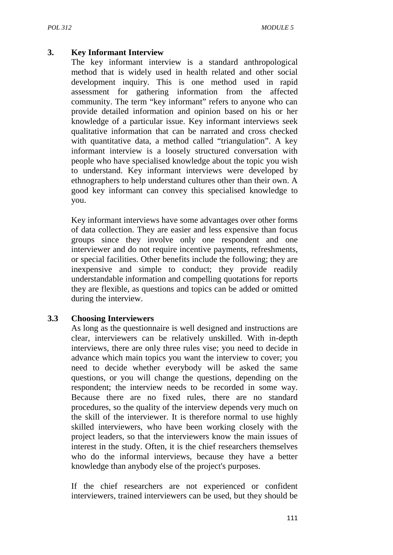### **3. Key Informant Interview**

The key informant interview is a standard anthropological method that is widely used in health related and other social development inquiry. This is one method used in rapid assessment for gathering information from the affected community. The term "key informant" refers to anyone who can provide detailed information and opinion based on his or her knowledge of a particular issue. Key informant interviews seek qualitative information that can be narrated and cross checked with quantitative data, a method called "triangulation". A key informant interview is a loosely structured conversation with people who have specialised knowledge about the topic you wish to understand. Key informant interviews were developed by ethnographers to help understand cultures other than their own. A good key informant can convey this specialised knowledge to you.

Key informant interviews have some advantages over other forms of data collection. They are easier and less expensive than focus groups since they involve only one respondent and one interviewer and do not require incentive payments, refreshments, or special facilities. Other benefits include the following; they are inexpensive and simple to conduct; they provide readily understandable information and compelling quotations for reports they are flexible, as questions and topics can be added or omitted during the interview.

### **3.3 Choosing Interviewers**

As long as the questionnaire is well designed and instructions are clear, interviewers can be relatively unskilled. With in-depth interviews, there are only three rules vise; you need to decide in advance which main topics you want the interview to cover; you need to decide whether everybody will be asked the same questions, or you will change the questions, depending on the respondent; the interview needs to be recorded in some way. Because there are no fixed rules, there are no standard procedures, so the quality of the interview depends very much on the skill of the interviewer. It is therefore normal to use highly skilled interviewers, who have been working closely with the project leaders, so that the interviewers know the main issues of interest in the study. Often, it is the chief researchers themselves who do the informal interviews, because they have a better knowledge than anybody else of the project's purposes.

If the chief researchers are not experienced or confident interviewers, trained interviewers can be used, but they should be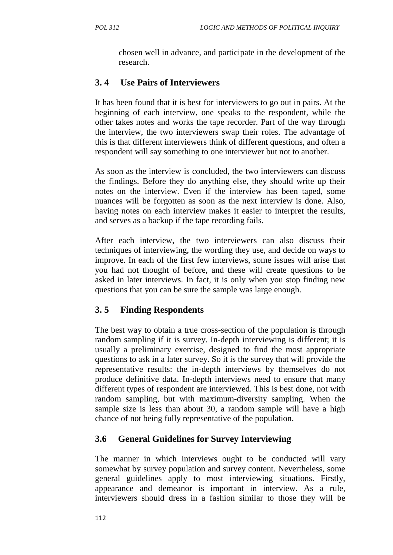chosen well in advance, and participate in the development of the research.

# **3. 4 Use Pairs of Interviewers**

It has been found that it is best for interviewers to go out in pairs. At the beginning of each interview, one speaks to the respondent, while the other takes notes and works the tape recorder. Part of the way through the interview, the two interviewers swap their roles. The advantage of this is that different interviewers think of different questions, and often a respondent will say something to one interviewer but not to another.

As soon as the interview is concluded, the two interviewers can discuss the findings. Before they do anything else, they should write up their notes on the interview. Even if the interview has been taped, some nuances will be forgotten as soon as the next interview is done. Also, having notes on each interview makes it easier to interpret the results, and serves as a backup if the tape recording fails.

After each interview, the two interviewers can also discuss their techniques of interviewing, the wording they use, and decide on ways to improve. In each of the first few interviews, some issues will arise that you had not thought of before, and these will create questions to be asked in later interviews. In fact, it is only when you stop finding new questions that you can be sure the sample was large enough.

# **3. 5 Finding Respondents**

The best way to obtain a true cross-section of the population is through random sampling if it is survey. In-depth interviewing is different; it is usually a preliminary exercise, designed to find the most appropriate questions to ask in a later survey. So it is the survey that will provide the representative results: the in-depth interviews by themselves do not produce definitive data. In-depth interviews need to ensure that many different types of respondent are interviewed. This is best done, not with random sampling, but with maximum-diversity sampling. When the sample size is less than about 30, a random sample will have a high chance of not being fully representative of the population.

# **3.6 General Guidelines for Survey Interviewing**

The manner in which interviews ought to be conducted will vary somewhat by survey population and survey content. Nevertheless, some general guidelines apply to most interviewing situations. Firstly, appearance and demeanor is important in interview. As a rule, interviewers should dress in a fashion similar to those they will be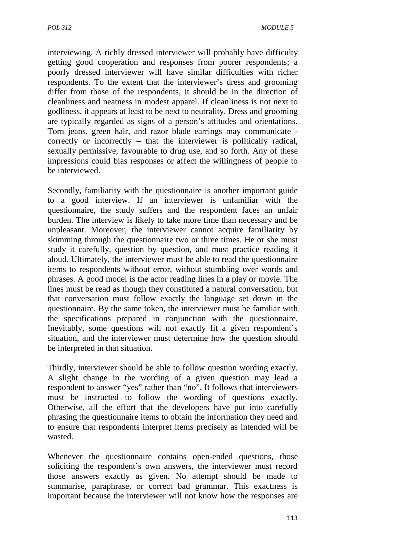interviewing. A richly dressed interviewer will probably have difficulty getting good cooperation and responses from poorer respondents; a poorly dressed interviewer will have similar difficulties with richer respondents. To the extent that the interviewer's dress and grooming differ from those of the respondents, it should be in the direction of cleanliness and neatness in modest apparel. If cleanliness is not next to godliness, it appears at least to be next to neutrality. Dress and grooming are typically regarded as signs of a person's attitudes and orientations. Torn jeans, green hair, and razor blade earrings may communicate -correctly or incorrectly – that the interviewer is politically radical, sexually permissive, favourable to drug use, and so forth. Any of these impressions could bias responses or affect the willingness of people to be interviewed.

Secondly, familiarity with the questionnaire is another important guide to a good interview. If an interviewer is unfamiliar with the questionnaire, the study suffers and the respondent faces an unfair burden. The interview is likely to take more time than necessary and be unpleasant. Moreover, the interviewer cannot acquire familiarity by skimming through the questionnaire two or three times. He or she must study it carefully, question by question, and must practice reading it aloud. Ultimately, the interviewer must be able to read the questionnaire items to respondents without error, without stumbling over words and phrases. A good model is the actor reading lines in a play or movie. The lines must be read as though they constituted a natural conversation, but that conversation must follow exactly the language set down in the questionnaire. By the same token, the interviewer must be familiar with the specifications prepared in conjunction with the questionnaire. Inevitably, some questions will not exactly fit a given respondent's situation, and the interviewer must determine how the question should be interpreted in that situation.

Thirdly, interviewer should be able to follow question wording exactly. A slight change in the wording of a given question may lead a respondent to answer "yes" rather than "no". It follows that interviewers must be instructed to follow the wording of questions exactly. Otherwise, all the effort that the developers have put into carefully phrasing the questionnaire items to obtain the information they need and to ensure that respondents interpret items precisely as intended will be wasted.

Whenever the questionnaire contains open-ended questions, those soliciting the respondent's own answers, the interviewer must record those answers exactly as given. No attempt should be made to summarise, paraphrase, or correct bad grammar. This exactness is important because the interviewer will not know how the responses are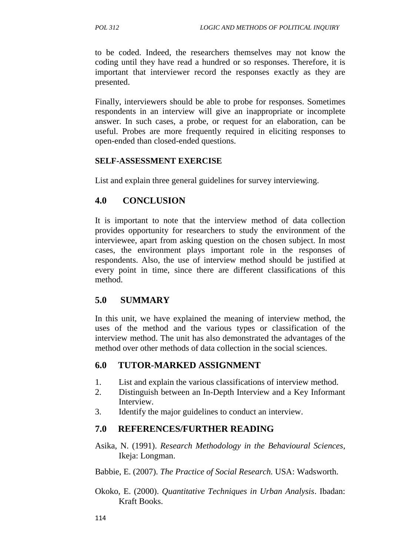to be coded. Indeed, the researchers themselves may not know the coding until they have read a hundred or so responses. Therefore, it is important that interviewer record the responses exactly as they are presented.

Finally, interviewers should be able to probe for responses. Sometimes respondents in an interview will give an inappropriate or incomplete answer. In such cases, a probe, or request for an elaboration, can be useful. Probes are more frequently required in eliciting responses to open-ended than closed-ended questions.

### **SELF-ASSESSMENT EXERCISE**

List and explain three general guidelines for survey interviewing.

# **4.0 CONCLUSION**

It is important to note that the interview method of data collection provides opportunity for researchers to study the environment of the interviewee, apart from asking question on the chosen subject. In most cases, the environment plays important role in the responses of respondents. Also, the use of interview method should be justified at every point in time, since there are different classifications of this method.

# **5.0 SUMMARY**

In this unit, we have explained the meaning of interview method, the uses of the method and the various types or classification of the interview method. The unit has also demonstrated the advantages of the method over other methods of data collection in the social sciences.

# **6.0 TUTOR-MARKED ASSIGNMENT**

- 1. List and explain the various classifications of interview method.
- 2. Distinguish between an In-Depth Interview and a Key Informant Interview.
- 3. Identify the major guidelines to conduct an interview.

# **7.0 REFERENCES/FURTHER READING**

Asika, N. (1991). *Research Methodology in the Behavioural Sciences*, Ikeja: Longman.

Babbie, E. (2007). *The Practice of Social Research.* USA: Wadsworth.

Okoko, E. (2000). *Quantitative Techniques in Urban Analysis*. Ibadan: Kraft Books.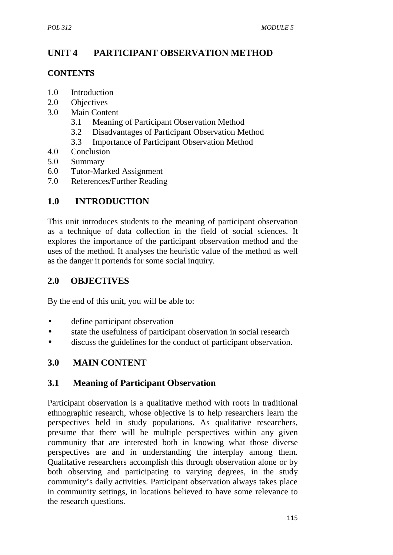# **UNIT 4 PARTICIPANT OBSERVATION METHOD**

### **CONTENTS**

- 1.0 Introduction
- 2.0 Objectives
- 3.0 Main Content
	- 3.1 Meaning of Participant Observation Method
	- 3.2 Disadvantages of Participant Observation Method
	- 3.3 Importance of Participant Observation Method
- 4.0 Conclusion
- 5.0 Summary
- 6.0 Tutor-Marked Assignment
- 7.0 References/Further Reading

# **1.0 INTRODUCTION**

This unit introduces students to the meaning of participant observation as a technique of data collection in the field of social sciences. It explores the importance of the participant observation method and the uses of the method. It analyses the heuristic value of the method as well as the danger it portends for some social inquiry.

# **2.0 OBJECTIVES**

By the end of this unit, you will be able to:

- define participant observation
- state the usefulness of participant observation in social research
- discuss the guidelines for the conduct of participant observation.

# **3.0 MAIN CONTENT**

### **3.1 Meaning of Participant Observation**

Participant observation is a qualitative method with roots in traditional ethnographic research, whose objective is to help researchers learn the perspectives held in study populations. As qualitative researchers, presume that there will be multiple perspectives within any given community that are interested both in knowing what those diverse perspectives are and in understanding the interplay among them. Qualitative researchers accomplish this through observation alone or by both observing and participating to varying degrees, in the study community's daily activities. Participant observation always takes place in community settings, in locations believed to have some relevance to the research questions.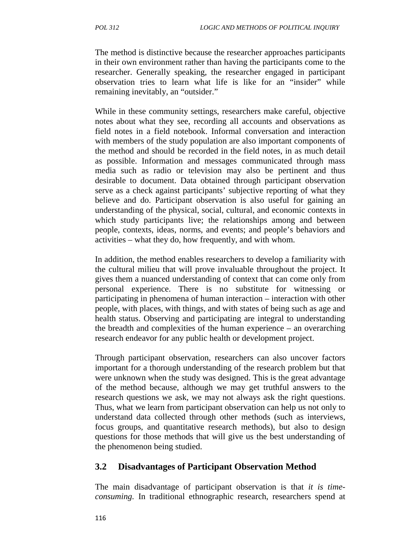The method is distinctive because the researcher approaches participants in their own environment rather than having the participants come to the researcher. Generally speaking, the researcher engaged in participant observation tries to learn what life is like for an "insider" while remaining inevitably, an "outsider."

While in these community settings, researchers make careful, objective notes about what they see, recording all accounts and observations as field notes in a field notebook. Informal conversation and interaction with members of the study population are also important components of the method and should be recorded in the field notes, in as much detail as possible. Information and messages communicated through mass media such as radio or television may also be pertinent and thus desirable to document. Data obtained through participant observation serve as a check against participants' subjective reporting of what they believe and do. Participant observation is also useful for gaining an understanding of the physical, social, cultural, and economic contexts in which study participants live; the relationships among and between people, contexts, ideas, norms, and events; and people's behaviors and activities – what they do, how frequently, and with whom.

In addition, the method enables researchers to develop a familiarity with the cultural milieu that will prove invaluable throughout the project. It gives them a nuanced understanding of context that can come only from personal experience. There is no substitute for witnessing or participating in phenomena of human interaction – interaction with other people, with places, with things, and with states of being such as age and health status. Observing and participating are integral to understanding the breadth and complexities of the human experience – an overarching research endeavor for any public health or development project.

Through participant observation, researchers can also uncover factors important for a thorough understanding of the research problem but that were unknown when the study was designed. This is the great advantage of the method because, although we may get truthful answers to the research questions we ask, we may not always ask the right questions. Thus, what we learn from participant observation can help us not only to understand data collected through other methods (such as interviews, focus groups, and quantitative research methods), but also to design questions for those methods that will give us the best understanding of the phenomenon being studied.

### **3.2 Disadvantages of Participant Observation Method**

The main disadvantage of participant observation is that *it is time consuming.* In traditional ethnographic research, researchers spend at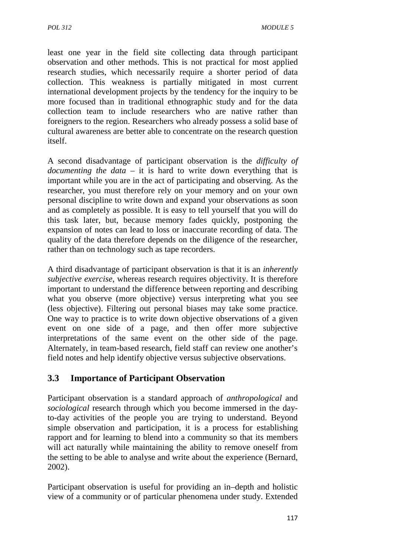least one year in the field site collecting data through participant observation and other methods. This is not practical for most applied research studies, which necessarily require a shorter period of data collection. This weakness is partially mitigated in most current international development projects by the tendency for the inquiry to be more focused than in traditional ethnographic study and for the data collection team to include researchers who are native rather than foreigners to the region. Researchers who already possess a solid base of cultural awareness are better able to concentrate on the research question itself.

A second disadvantage of participant observation is the *difficulty of documenting the data* – it is hard to write down everything that is important while you are in the act of participating and observing. As the researcher, you must therefore rely on your memory and on your own personal discipline to write down and expand your observations as soon and as completely as possible. It is easy to tell yourself that you will do this task later, but, because memory fades quickly, postponing the expansion of notes can lead to loss or inaccurate recording of data. The quality of the data therefore depends on the diligence of the researcher, rather than on technology such as tape recorders.

A third disadvantage of participant observation is that it is an *inherently subjective exercise*, whereas research requires objectivity. It is therefore important to understand the difference between reporting and describing what you observe (more objective) versus interpreting what you see (less objective). Filtering out personal biases may take some practice. One way to practice is to write down objective observations of a given event on one side of a page, and then offer more subjective interpretations of the same event on the other side of the page. Alternately, in team-based research, field staff can review one another's field notes and help identify objective versus subjective observations.

# **3.3 Importance of Participant Observation**

Participant observation is a standard approach of *anthropological* and *sociological* research through which you become immersed in the dayto-day activities of the people you are trying to understand. Beyond simple observation and participation, it is a process for establishing rapport and for learning to blend into a community so that its members will act naturally while maintaining the ability to remove oneself from the setting to be able to analyse and write about the experience (Bernard, 2002).

Participant observation is useful for providing an in–depth and holistic view of a community or of particular phenomena under study. Extended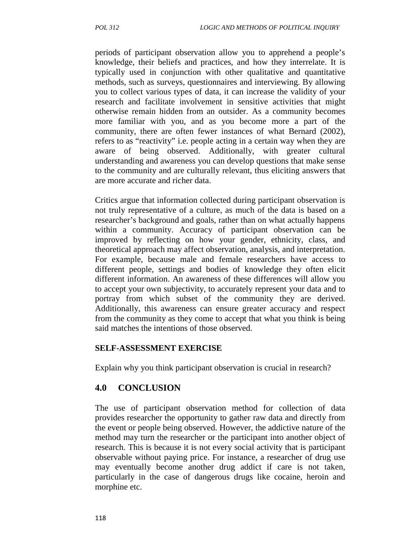periods of participant observation allow you to apprehend a people's knowledge, their beliefs and practices, and how they interrelate. It is typically used in conjunction with other qualitative and quantitative methods, such as surveys, questionnaires and interviewing. By allowing you to collect various types of data, it can increase the validity of your research and facilitate involvement in sensitive activities that might otherwise remain hidden from an outsider. As a community becomes more familiar with you, and as you become more a part of the community, there are often fewer instances of what Bernard (2002), refers to as "reactivity" i.e. people acting in a certain way when they are aware of being observed. Additionally, with greater cultural understanding and awareness you can develop questions that make sense to the community and are culturally relevant, thus eliciting answers that are more accurate and richer data.

Critics argue that information collected during participant observation is not truly representative of a culture, as much of the data is based on a researcher's background and goals, rather than on what actually happens within a community. Accuracy of participant observation can be improved by reflecting on how your gender, ethnicity, class, and theoretical approach may affect observation, analysis, and interpretation. For example, because male and female researchers have access to different people, settings and bodies of knowledge they often elicit different information. An awareness of these differences will allow you to accept your own subjectivity, to accurately represent your data and to portray from which subset of the community they are derived. Additionally, this awareness can ensure greater accuracy and respect from the community as they come to accept that what you think is being said matches the intentions of those observed.

#### **SELF-ASSESSMENT EXERCISE**

Explain why you think participant observation is crucial in research?

### **4.0 CONCLUSION**

The use of participant observation method for collection of data provides researcher the opportunity to gather raw data and directly from the event or people being observed. However, the addictive nature of the method may turn the researcher or the participant into another object of research. This is because it is not every social activity that is participant observable without paying price. For instance, a researcher of drug use may eventually become another drug addict if care is not taken, particularly in the case of dangerous drugs like cocaine, heroin and morphine etc.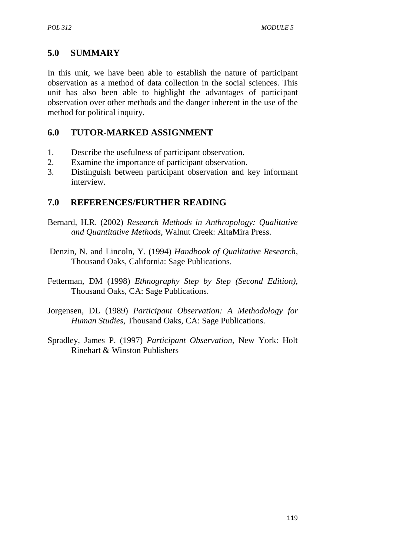# **5.0 SUMMARY**

In this unit, we have been able to establish the nature of participant observation as a method of data collection in the social sciences. This unit has also been able to highlight the advantages of participant observation over other methods and the danger inherent in the use of the method for political inquiry.

### **6.0 TUTOR-MARKED ASSIGNMENT**

- 1. Describe the usefulness of participant observation.
- 2. Examine the importance of participant observation.
- 3. Distinguish between participant observation and key informant interview.

# **7.0 REFERENCES/FURTHER READING**

- Bernard, H.R. (2002) *Research Methods in Anthropology: Qualitative and Quantitative Methods,* Walnut Creek: AltaMira Press.
- Denzin, N. and Lincoln, Y. (1994) *Handbook of Qualitative Research*, Thousand Oaks, California: Sage Publications.
- Fetterman, DM (1998) *Ethnography Step by Step (Second Edition),* Thousand Oaks, CA: Sage Publications.
- Jorgensen, DL (1989) *Participant Observation: A Methodology for Human Studies,* Thousand Oaks, CA: Sage Publications.
- Spradley, James P. (1997) *Participant Observation,* New York: Holt Rinehart & Winston Publishers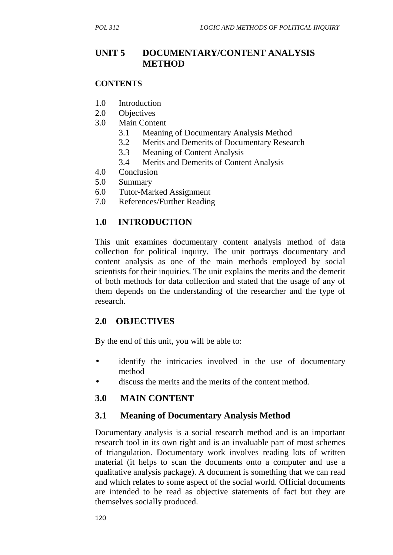# **UNIT 5 DOCUMENTARY/CONTENT ANALYSIS METHOD**

### **CONTENTS**

- 1.0 Introduction
- 2.0 Objectives
- 3.0 Main Content
	- 3.1 Meaning of Documentary Analysis Method
	- 3.2 Merits and Demerits of Documentary Research
	- 3.3 Meaning of Content Analysis
	- 3.4 Merits and Demerits of Content Analysis
- 4.0 Conclusion
- 5.0 Summary
- 6.0 Tutor-Marked Assignment
- 7.0 References/Further Reading

# **1.0 INTRODUCTION**

This unit examines documentary content analysis method of data collection for political inquiry. The unit portrays documentary and content analysis as one of the main methods employed by social scientists for their inquiries. The unit explains the merits and the demerit of both methods for data collection and stated that the usage of any of them depends on the understanding of the researcher and the type of research.

### **2.0 OBJECTIVES**

By the end of this unit, you will be able to:

- identify the intricacies involved in the use of documentary method
- discuss the merits and the merits of the content method.

### **3.0 MAIN CONTENT**

### **3.1 Meaning of Documentary Analysis Method**

Documentary analysis is a social research method and is an important research tool in its own right and is an invaluable part of most schemes of triangulation. Documentary work involves reading lots of written material (it helps to scan the documents onto a computer and use a qualitative analysis package). A document is something that we can read and which relates to some aspect of the social world. Official documents are intended to be read as objective statements of fact but they are themselves socially produced.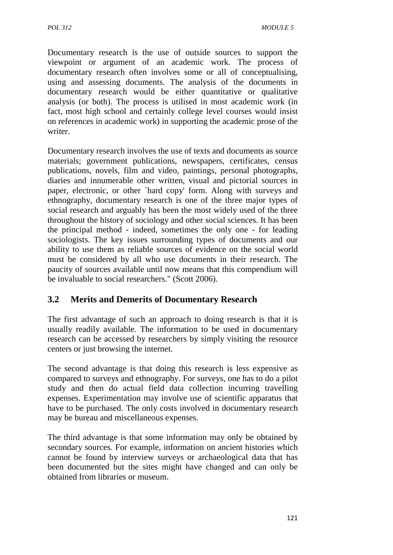Documentary research is the use of outside sources to support the viewpoint or argument of an academic work. The process of documentary research often involves some or all of conceptualising, using and assessing documents. The analysis of the documents in documentary research would be either quantitative or qualitative analysis (or both). The process is utilised in most academic work (in fact, most high school and certainly college level courses would insist on references in academic work) in supporting the academic prose of the writer

Documentary research involves the use of texts and documents as source materials; government publications, newspapers, certificates, census publications, novels, film and video, paintings, personal photographs, diaries and innumerable other written, visual and pictorial sources in paper, electronic, or other `hard copy' form. Along with surveys and ethnography, documentary research is one of the three major types of social research and arguably has been the most widely used of the three throughout the history of sociology and other social sciences. It has been the principal method - indeed, sometimes the only one - for leading sociologists. The key issues surrounding types of documents and our ability to use them as reliable sources of evidence on the social world must be considered by all who use documents in their research. The paucity of sources available until now means that this compendium will be invaluable to social researchers." (Scott 2006).

# **3.2 Merits and Demerits of Documentary Research**

The first advantage of such an approach to doing research is that it is usually readily available. The information to be used in documentary research can be accessed by researchers by simply visiting the resource centers or just browsing the internet.

The second advantage is that doing this research is less expensive as compared to surveys and ethnography. For surveys, one has to do a pilot study and then do actual field data collection incurring travelling expenses. Experimentation may involve use of scientific apparatus that have to be purchased. The only costs involved in documentary research may be bureau and miscellaneous expenses.

The third advantage is that some information may only be obtained by secondary sources. For example, information on ancient histories which cannot be found by interview surveys or archaeological data that has been documented but the sites might have changed and can only be obtained from libraries or museum.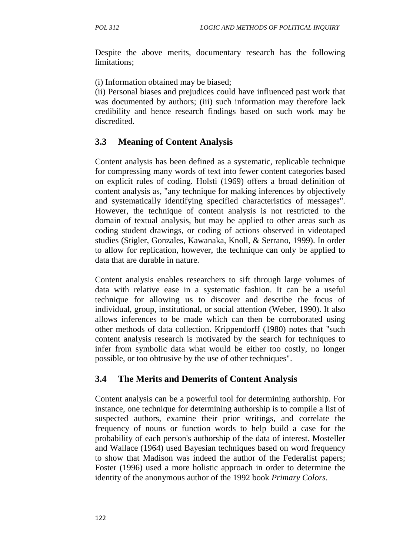Despite the above merits, documentary research has the following limitations;

(i) Information obtained may be biased;

(ii) Personal biases and prejudices could have influenced past work that was documented by authors; (iii) such information may therefore lack credibility and hence research findings based on such work may be discredited.

### **3.3 Meaning of Content Analysis**

Content analysis has been defined as a systematic, replicable technique for compressing many words of text into fewer content categories based on explicit rules of coding. Holsti (1969) offers a broad definition of content analysis as, "any technique for making inferences by objectively and systematically identifying specified characteristics of messages". However, the technique of content analysis is not restricted to the domain of textual analysis, but may be applied to other areas such as coding student drawings, or coding of actions observed in videotaped studies (Stigler, Gonzales, Kawanaka, Knoll, & Serrano, 1999). In order to allow for replication, however, the technique can only be applied to data that are durable in nature.

Content analysis enables researchers to sift through large volumes of data with relative ease in a systematic fashion. It can be a useful technique for allowing us to discover and describe the focus of individual, group, institutional, or social attention (Weber, 1990). It also allows inferences to be made which can then be corroborated using other methods of data collection. Krippendorff (1980) notes that "such content analysis research is motivated by the search for techniques to infer from symbolic data what would be either too costly, no longer possible, or too obtrusive by the use of other techniques".

### **3.4 The Merits and Demerits of Content Analysis**

Content analysis can be a powerful tool for determining authorship. For instance, one technique for determining authorship is to compile a list of suspected authors, examine their prior writings, and correlate the frequency of nouns or function words to help build a case for the probability of each person's authorship of the data of interest. Mosteller and Wallace (1964) used Bayesian techniques based on word frequency to show that Madison was indeed the author of the Federalist papers; Foster (1996) used a more holistic approach in order to determine the identity of the anonymous author of the 1992 book *Primary Colors*.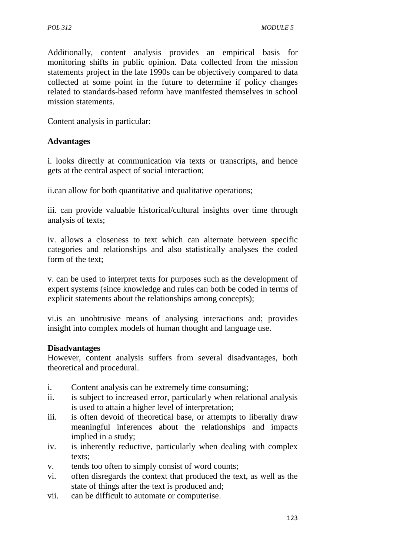Additionally, content analysis provides an empirical basis for monitoring shifts in public opinion. Data collected from the mission statements project in the late 1990s can be objectively compared to data collected at some point in the future to determine if policy changes related to standards-based reform have manifested themselves in school mission statements.

Content analysis in particular:

### **Advantages**

i. looks directly at communication via texts or transcripts, and hence gets at the central aspect of social interaction;

ii.can allow for both quantitative and qualitative operations;

iii. can provide valuable historical/cultural insights over time through analysis of texts;

iv. allows a closeness to text which can alternate between specific categories and relationships and also statistically analyses the coded form of the text;

v. can be used to interpret texts for purposes such as the development of expert systems (since knowledge and rules can both be coded in terms of explicit statements about the relationships among concepts);

vi.is an unobtrusive means of analysing interactions and; provides insight into complex models of human thought and language use.

### **Disadvantages**

However, content analysis suffers from several disadvantages, both theoretical and procedural.

- i. Content analysis can be extremely time consuming;
- ii. is subject to increased error, particularly when relational analysis is used to attain a higher level of interpretation;
- iii. is often devoid of theoretical base, or attempts to liberally draw meaningful inferences about the relationships and impacts implied in a study;
- iv. is inherently reductive, particularly when dealing with complex texts;
- v. tends too often to simply consist of word counts;
- vi. often disregards the context that produced the text, as well as the state of things after the text is produced and;
- vii. can be difficult to automate or computerise.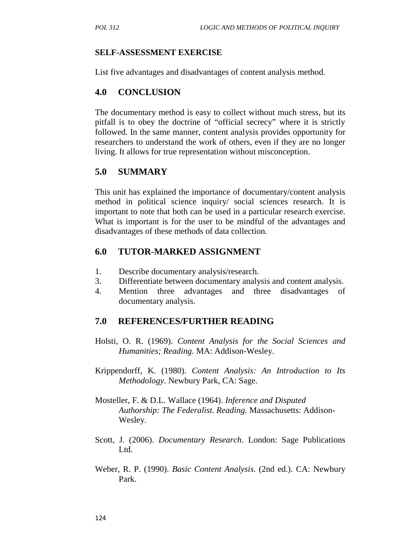#### **SELF-ASSESSMENT EXERCISE**

List five advantages and disadvantages of content analysis method.

### **4.0 CONCLUSION**

The documentary method is easy to collect without much stress, but its pitfall is to obey the doctrine of "official secrecy" where it is strictly followed. In the same manner, content analysis provides opportunity for researchers to understand the work of others, even if they are no longer living. It allows for true representation without misconception.

# **5.0 SUMMARY**

This unit has explained the importance of documentary/content analysis method in political science inquiry/ social sciences research. It is important to note that both can be used in a particular research exercise. What is important is for the user to be mindful of the advantages and disadvantages of these methods of data collection.

### **6.0 TUTOR-MARKED ASSIGNMENT**

- 1. Describe documentary analysis/research.
- 3. Differentiate between documentary analysis and content analysis.
- 4. Mention three advantages and three disadvantages of documentary analysis.

### **7.0 REFERENCES/FURTHER READING**

- Holsti, O. R. (1969). *Content Analysis for the Social Sciences and Humanities; Reading.* MA: Addison-Wesley.
- Krippendorff, K. (1980). *Content Analysis: An Introduction to Its Methodology.* Newbury Park, CA: Sage.
- Mosteller, F. & D.L. Wallace (1964). *Inference and Disputed Authorship: The Federalist. Reading.* Massachusetts: Addison- Wesley.
- Scott, J. (2006). *Documentary Research*. London: Sage Publications L<sub>td</sub>
- Weber, R. P. (1990). *Basic Content Analysis.* (2nd ed.). CA: Newbury Park.